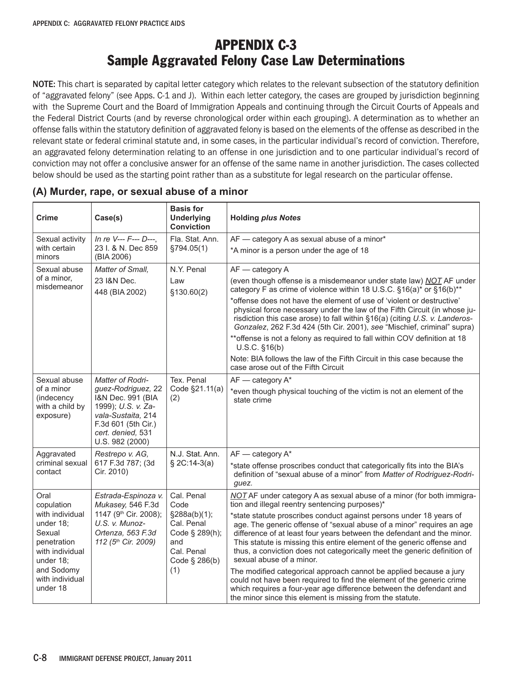# APPENDIX C-3 Sample Aggravated Felony Case Law Determinations

NOTE: This chart is separated by capital letter category which relates to the relevant subsection of the statutory definition of "aggravated felony" (see Apps. C-1 and J). Within each letter category, the cases are grouped by jurisdiction beginning with the Supreme Court and the Board of Immigration Appeals and continuing through the Circuit Courts of Appeals and the Federal District Courts (and by reverse chronological order within each grouping). A determination as to whether an offense falls within the statutory definition of aggravated felony is based on the elements of the offense as described in the relevant state or federal criminal statute and, in some cases, in the particular individual's record of conviction. Therefore, an aggravated felony determination relating to an offense in one jurisdiction and to one particular individual's record of conviction may not offer a conclusive answer for an offense of the same name in another jurisdiction. The cases collected below should be used as the starting point rather than as a substitute for legal research on the particular offense.

| Crime                                                                                 | Case(s)                                                                                                                                                                | <b>Basis for</b><br><b>Underlying</b><br><b>Conviction</b>                         | <b>Holding plus Notes</b>                                                                                                                                                                                                                                                                                                                                                                                |
|---------------------------------------------------------------------------------------|------------------------------------------------------------------------------------------------------------------------------------------------------------------------|------------------------------------------------------------------------------------|----------------------------------------------------------------------------------------------------------------------------------------------------------------------------------------------------------------------------------------------------------------------------------------------------------------------------------------------------------------------------------------------------------|
| Sexual activity                                                                       | In re V--- F--- D---,                                                                                                                                                  | Fla. Stat. Ann.                                                                    | AF - category A as sexual abuse of a minor*                                                                                                                                                                                                                                                                                                                                                              |
| with certain<br>minors                                                                | 23 I. & N. Dec 859<br>(BIA 2006)                                                                                                                                       | §794.05(1)                                                                         | *A minor is a person under the age of 18                                                                                                                                                                                                                                                                                                                                                                 |
| Sexual abuse                                                                          | Matter of Small.                                                                                                                                                       | N.Y. Penal                                                                         | AF - category A                                                                                                                                                                                                                                                                                                                                                                                          |
| of a minor,<br>misdemeanor                                                            | 23 I&N Dec.<br>448 (BIA 2002)                                                                                                                                          | Law<br>\$130.60(2)                                                                 | (even though offense is a misdemeanor under state law) NOT AF under<br>category F as crime of violence within 18 U.S.C. §16(a)* or §16(b)**                                                                                                                                                                                                                                                              |
|                                                                                       |                                                                                                                                                                        |                                                                                    | *offense does not have the element of use of 'violent or destructive'<br>physical force necessary under the law of the Fifth Circuit (in whose ju-<br>risdiction this case arose) to fall within §16(a) (citing U.S. v. Landeros-<br>Gonzalez, 262 F.3d 424 (5th Cir. 2001), see "Mischief, criminal" supra)                                                                                             |
|                                                                                       |                                                                                                                                                                        |                                                                                    | ** offense is not a felony as required to fall within COV definition at 18<br>$U.S.C.$ §16(b)                                                                                                                                                                                                                                                                                                            |
|                                                                                       |                                                                                                                                                                        |                                                                                    | Note: BIA follows the law of the Fifth Circuit in this case because the<br>case arose out of the Fifth Circuit                                                                                                                                                                                                                                                                                           |
| Sexual abuse<br>of a minor<br>(indecency<br>with a child by<br>exposure)              | Matter of Rodri-<br>guez-Rodriguez, 22<br>I&N Dec. 991 (BIA<br>1999); U.S. v. Za-<br>vala-Sustaita, 214<br>F.3d 601 (5th Cir.)<br>cert. denied, 531<br>U.S. 982 (2000) | Tex. Penal<br>Code §21.11(a)<br>(2)                                                | $AF$ - category $A^*$<br>*even though physical touching of the victim is not an element of the<br>state crime                                                                                                                                                                                                                                                                                            |
| Aggravated                                                                            | Restrepo v. AG,                                                                                                                                                        | N.J. Stat. Ann.                                                                    | $AF - category A^*$                                                                                                                                                                                                                                                                                                                                                                                      |
| criminal sexual<br>contact                                                            | 617 F.3d 787; (3d<br>Cir. 2010)                                                                                                                                        | $$2C:14-3(a)$                                                                      | *state offense proscribes conduct that categorically fits into the BIA's<br>definition of "sexual abuse of a minor" from Matter of Rodriguez-Rodri-<br>guez.                                                                                                                                                                                                                                             |
| Oral<br>copulation                                                                    | Estrada-Espinoza v.<br>Mukasey, 546 F.3d                                                                                                                               | Cal. Penal<br>Code                                                                 | NOT AF under category A as sexual abuse of a minor (for both immigra-<br>tion and illegal reentry sentencing purposes)*                                                                                                                                                                                                                                                                                  |
| with individual<br>under 18;<br>Sexual<br>penetration<br>with individual<br>under 18; | 1147 (9th Cir. 2008);<br>U.S. v. Munoz-<br>Ortenza, 563 F.3d<br>112 (5th Cir. 2009)                                                                                    | §288a(b)(1);<br>Cal. Penal<br>Code § 289(h);<br>and<br>Cal. Penal<br>Code § 286(b) | *state statute proscribes conduct against persons under 18 years of<br>age. The generic offense of "sexual abuse of a minor" requires an age<br>difference of at least four years between the defendant and the minor.<br>This statute is missing this entire element of the generic offense and<br>thus, a conviction does not categorically meet the generic definition of<br>sexual abuse of a minor. |
| and Sodomy<br>with individual<br>under 18                                             |                                                                                                                                                                        | (1)                                                                                | The modified categorical approach cannot be applied because a jury<br>could not have been required to find the element of the generic crime<br>which requires a four-year age difference between the defendant and<br>the minor since this element is missing from the statute.                                                                                                                          |

#### **(A) Murder, rape, or sexual abuse of a minor**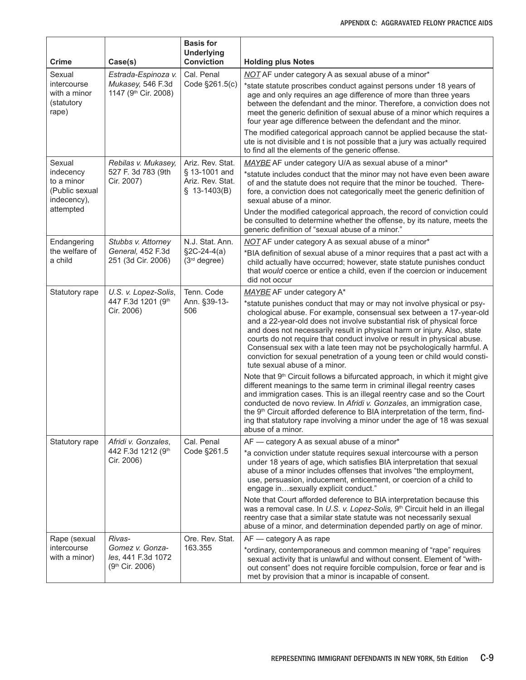| <b>Crime</b>                                                                    | Case(s)                                                          | <b>Basis for</b><br><b>Underlying</b><br><b>Conviction</b>             | <b>Holding plus Notes</b>                                                                                                                                                                                                                                                                                                                                                                                                                                                                                                                                                    |
|---------------------------------------------------------------------------------|------------------------------------------------------------------|------------------------------------------------------------------------|------------------------------------------------------------------------------------------------------------------------------------------------------------------------------------------------------------------------------------------------------------------------------------------------------------------------------------------------------------------------------------------------------------------------------------------------------------------------------------------------------------------------------------------------------------------------------|
| Sexual<br>intercourse<br>with a minor<br>(statutory<br>rape)                    | Estrada-Espinoza v.<br>Mukasey, 546 F.3d<br>1147 (9th Cir. 2008) | Cal. Penal<br>Code §261.5(c)                                           | NOT AF under category A as sexual abuse of a minor*<br>*state statute proscribes conduct against persons under 18 years of<br>age and only requires an age difference of more than three years<br>between the defendant and the minor. Therefore, a conviction does not<br>meet the generic definition of sexual abuse of a minor which requires a<br>four year age difference between the defendant and the minor.<br>The modified categorical approach cannot be applied because the stat-<br>ute is not divisible and t is not possible that a jury was actually required |
|                                                                                 |                                                                  |                                                                        | to find all the elements of the generic offense.                                                                                                                                                                                                                                                                                                                                                                                                                                                                                                                             |
| Sexual<br>indecency<br>to a minor<br>(Public sexual<br>indecency),<br>attempted | Rebilas v. Mukasey,<br>527 F. 3d 783 (9th<br>Cir. 2007)          | Ariz. Rev. Stat.<br>§ 13-1001 and<br>Ariz. Rev. Stat.<br>$$13-1403(B)$ | MAYBE AF under category U/A as sexual abuse of a minor*<br>*statute includes conduct that the minor may not have even been aware<br>of and the statute does not require that the minor be touched. There-<br>fore, a conviction does not categorically meet the generic definition of<br>sexual abuse of a minor.                                                                                                                                                                                                                                                            |
|                                                                                 |                                                                  |                                                                        | Under the modified categorical approach, the record of conviction could<br>be consulted to determine whether the offense, by its nature, meets the<br>generic definition of "sexual abuse of a minor."                                                                                                                                                                                                                                                                                                                                                                       |
| Endangering<br>the welfare of                                                   | Stubbs v. Attorney<br>General, 452 F.3d                          | N.J. Stat. Ann.<br>$\S2C-24-4(a)$                                      | NOT AF under category A as sexual abuse of a minor*                                                                                                                                                                                                                                                                                                                                                                                                                                                                                                                          |
| a child                                                                         | 251 (3d Cir. 2006)                                               | $(3rd$ degree)                                                         | *BIA definition of sexual abuse of a minor requires that a past act with a<br>child actually have occurred; however, state statute punishes conduct<br>that would coerce or entice a child, even if the coercion or inducement<br>did not occur                                                                                                                                                                                                                                                                                                                              |
| Statutory rape                                                                  | U.S. v. Lopez-Solis,                                             | Tenn. Code                                                             | MAYBE AF under category A*                                                                                                                                                                                                                                                                                                                                                                                                                                                                                                                                                   |
|                                                                                 | 447 F.3d 1201 (9th<br>Cir. 2006)                                 | Ann. §39-13-<br>506                                                    | *statute punishes conduct that may or may not involve physical or psy-<br>chological abuse. For example, consensual sex between a 17-year-old<br>and a 22-year-old does not involve substantial risk of physical force<br>and does not necessarily result in physical harm or injury. Also, state<br>courts do not require that conduct involve or result in physical abuse.<br>Consensual sex with a late teen may not be psychologically harmful. A<br>conviction for sexual penetration of a young teen or child would consti-<br>tute sexual abuse of a minor.           |
|                                                                                 |                                                                  |                                                                        | Note that 9 <sup>th</sup> Circuit follows a bifurcated approach, in which it might give<br>different meanings to the same term in criminal illegal reentry cases<br>and immigration cases. This is an illegal reentry case and so the Court<br>conducted de novo review. In Afridi v. Gonzales, an immigration case,<br>the 9 <sup>th</sup> Circuit afforded deference to BIA interpretation of the term, find-<br>ing that statutory rape involving a minor under the age of 18 was sexual<br>abuse of a minor.                                                             |
| Statutory rape                                                                  | Afridi v. Gonzales,<br>442 F.3d 1212 (9th<br>Cir. 2006)          | Cal. Penal<br>Code §261.5                                              | AF - category A as sexual abuse of a minor*<br>*a conviction under statute requires sexual intercourse with a person<br>under 18 years of age, which satisfies BIA interpretation that sexual<br>abuse of a minor includes offenses that involves "the employment,                                                                                                                                                                                                                                                                                                           |
|                                                                                 |                                                                  |                                                                        | use, persuasion, inducement, enticement, or coercion of a child to<br>engage insexually explicit conduct."                                                                                                                                                                                                                                                                                                                                                                                                                                                                   |
|                                                                                 |                                                                  |                                                                        | Note that Court afforded deference to BIA interpretation because this<br>was a removal case. In U.S. v. Lopez-Solis, 9th Circuit held in an illegal<br>reentry case that a similar state statute was not necessarily sexual<br>abuse of a minor, and determination depended partly on age of minor.                                                                                                                                                                                                                                                                          |
| Rape (sexual                                                                    | Rivas-                                                           | Ore. Rev. Stat.                                                        | AF - category A as rape                                                                                                                                                                                                                                                                                                                                                                                                                                                                                                                                                      |
| intercourse<br>with a minor)                                                    | Gomez v. Gonza-<br>les, 441 F.3d 1072<br>(9th Cir. 2006)         | 163.355                                                                | *ordinary, contemporaneous and common meaning of "rape" requires<br>sexual activity that is unlawful and without consent. Element of "with-<br>out consent" does not require forcible compulsion, force or fear and is<br>met by provision that a minor is incapable of consent.                                                                                                                                                                                                                                                                                             |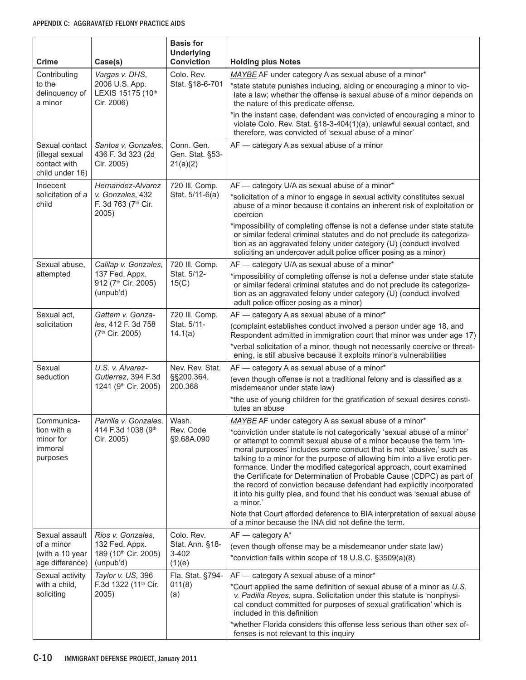| <b>Crime</b>                                                         | Case(s)                                                        | <b>Basis for</b><br><b>Underlying</b><br><b>Conviction</b> | <b>Holding plus Notes</b>                                                                                                                                                                                                                                                                                                                                                                                                                                                                                                                                                                                             |
|----------------------------------------------------------------------|----------------------------------------------------------------|------------------------------------------------------------|-----------------------------------------------------------------------------------------------------------------------------------------------------------------------------------------------------------------------------------------------------------------------------------------------------------------------------------------------------------------------------------------------------------------------------------------------------------------------------------------------------------------------------------------------------------------------------------------------------------------------|
| Contributing                                                         | Vargas v. DHS,                                                 | Colo. Rev.                                                 | MAYBE AF under category A as sexual abuse of a minor*                                                                                                                                                                                                                                                                                                                                                                                                                                                                                                                                                                 |
| to the<br>delinquency of<br>a minor                                  | 2006 U.S. App.<br>LEXIS 15175 (10th<br>Cir. 2006)              | Stat. §18-6-701                                            | *state statute punishes inducing, aiding or encouraging a minor to vio-<br>late a law; whether the offense is sexual abuse of a minor depends on<br>the nature of this predicate offense.                                                                                                                                                                                                                                                                                                                                                                                                                             |
|                                                                      |                                                                |                                                            | *in the instant case, defendant was convicted of encouraging a minor to<br>violate Colo. Rev. Stat. §18-3-404(1)(a), unlawful sexual contact, and<br>therefore, was convicted of 'sexual abuse of a minor'                                                                                                                                                                                                                                                                                                                                                                                                            |
| Sexual contact<br>(illegal sexual<br>contact with<br>child under 16) | Santos v. Gonzales,<br>436 F. 3d 323 (2d<br>Cir. 2005)         | Conn. Gen.<br>Gen. Stat. §53-<br>21(a)(2)                  | AF - category A as sexual abuse of a minor                                                                                                                                                                                                                                                                                                                                                                                                                                                                                                                                                                            |
| Indecent                                                             | Hernandez-Alvarez                                              | 720 III. Comp.                                             | AF - category U/A as sexual abuse of a minor*                                                                                                                                                                                                                                                                                                                                                                                                                                                                                                                                                                         |
| solicitation of a<br>child                                           | v. Gonzales, 432<br>F. 3d 763 (7th Cir.<br>2005)               | Stat. 5/11-6(a)                                            | *solicitation of a minor to engage in sexual activity constitutes sexual<br>abuse of a minor because it contains an inherent risk of exploitation or<br>coercion                                                                                                                                                                                                                                                                                                                                                                                                                                                      |
|                                                                      |                                                                |                                                            | *impossibility of completing offense is not a defense under state statute<br>or similar federal criminal statutes and do not preclude its categoriza-<br>tion as an aggravated felony under category (U) (conduct involved<br>soliciting an undercover adult police officer posing as a minor)                                                                                                                                                                                                                                                                                                                        |
| Sexual abuse,                                                        | Calilap v. Gonzales,                                           | 720 III. Comp.                                             | AF - category U/A as sexual abuse of a minor*                                                                                                                                                                                                                                                                                                                                                                                                                                                                                                                                                                         |
| attempted                                                            | 137 Fed. Appx.<br>912 (7 <sup>th</sup> Cir. 2005)<br>(unpub'd) | Stat. 5/12-<br>15(C)                                       | *impossibility of completing offense is not a defense under state statute<br>or similar federal criminal statutes and do not preclude its categoriza-<br>tion as an aggravated felony under category (U) (conduct involved<br>adult police officer posing as a minor)                                                                                                                                                                                                                                                                                                                                                 |
| Sexual act,                                                          | Gattem v. Gonza-                                               | 720 III. Comp.                                             | AF - category A as sexual abuse of a minor*                                                                                                                                                                                                                                                                                                                                                                                                                                                                                                                                                                           |
| solicitation                                                         | les, 412 F. 3d 758<br>(7 <sup>th</sup> Cir. 2005)              | Stat. 5/11-<br>14.1(a)                                     | (complaint establishes conduct involved a person under age 18, and<br>Respondent admitted in immigration court that minor was under age 17)                                                                                                                                                                                                                                                                                                                                                                                                                                                                           |
|                                                                      |                                                                |                                                            | *verbal solicitation of a minor, though not necessarily coercive or threat-<br>ening, is still abusive because it exploits minor's vulnerabilities                                                                                                                                                                                                                                                                                                                                                                                                                                                                    |
| Sexual                                                               | U.S. v. Alvarez-                                               | Nev. Rev. Stat.                                            | AF - category A as sexual abuse of a minor*                                                                                                                                                                                                                                                                                                                                                                                                                                                                                                                                                                           |
| seduction                                                            | Gutierrez, 394 F.3d<br>1241 (9 <sup>th</sup> Cir. 2005)        | §§200.364,<br>200.368                                      | (even though offense is not a traditional felony and is classified as a<br>misdemeanor under state law)                                                                                                                                                                                                                                                                                                                                                                                                                                                                                                               |
|                                                                      |                                                                |                                                            | *the use of young children for the gratification of sexual desires consti-<br>tutes an abuse                                                                                                                                                                                                                                                                                                                                                                                                                                                                                                                          |
| Communica-<br>tion with a                                            | Parrilla v. Gonzales,<br>414 F.3d 1038 (9th                    | Wash.<br>Rev. Code                                         | MAYBE AF under category A as sexual abuse of a minor*                                                                                                                                                                                                                                                                                                                                                                                                                                                                                                                                                                 |
| minor for<br>immoral<br>purposes                                     | Cir. 2005)                                                     | §9.68A.090                                                 | *conviction under statute is not categorically 'sexual abuse of a minor'<br>or attempt to commit sexual abuse of a minor because the term 'im-<br>moral purposes' includes some conduct that is not 'abusive,' such as<br>talking to a minor for the purpose of allowing him into a live erotic per-<br>formance. Under the modified categorical approach, court examined<br>the Certificate for Determination of Probable Cause (CDPC) as part of<br>the record of conviction because defendant had explicitly incorporated<br>it into his guilty plea, and found that his conduct was 'sexual abuse of<br>a minor.' |
|                                                                      |                                                                |                                                            | Note that Court afforded deference to BIA interpretation of sexual abuse<br>of a minor because the INA did not define the term.                                                                                                                                                                                                                                                                                                                                                                                                                                                                                       |
| Sexual assault                                                       | Rios v. Gonzales,                                              | Colo. Rev.                                                 | AF - category A*                                                                                                                                                                                                                                                                                                                                                                                                                                                                                                                                                                                                      |
| of a minor<br>(with a 10 year<br>age difference)                     | 132 Fed. Appx.<br>189 (10th Cir. 2005)<br>(unpub'd)            | Stat. Ann. §18-<br>$3 - 402$<br>(1)(e)                     | (even though offense may be a misdemeanor under state law)<br>*conviction falls within scope of 18 U.S.C. §3509(a)(8)                                                                                                                                                                                                                                                                                                                                                                                                                                                                                                 |
| Sexual activity                                                      | Taylor v. US, 396                                              | Fla. Stat. §794-                                           | AF - category A sexual abuse of a minor*                                                                                                                                                                                                                                                                                                                                                                                                                                                                                                                                                                              |
| with a child,<br>soliciting                                          | F.3d 1322 (11 <sup>th</sup> Cir.<br>2005)                      | 011(8)<br>(a)                                              | *Court applied the same definition of sexual abuse of a minor as U.S.<br>v. Padilla Reyes, supra. Solicitation under this statute is 'nonphysi-<br>cal conduct committed for purposes of sexual gratification' which is<br>included in this definition                                                                                                                                                                                                                                                                                                                                                                |
|                                                                      |                                                                |                                                            | *whether Florida considers this offense less serious than other sex of-<br>fenses is not relevant to this inquiry                                                                                                                                                                                                                                                                                                                                                                                                                                                                                                     |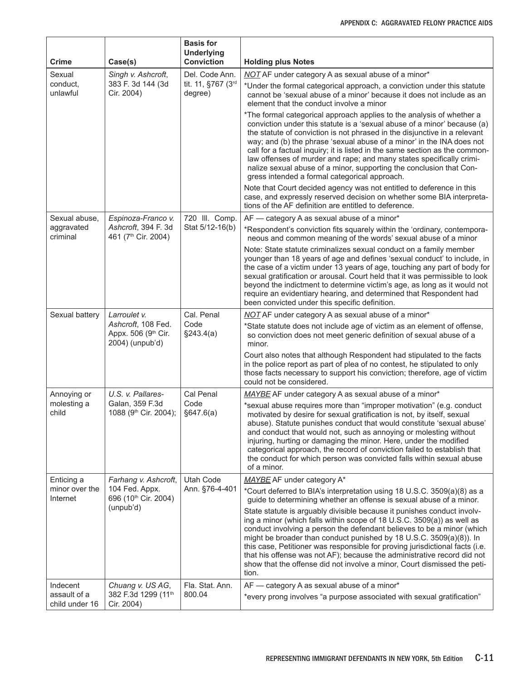| Crime                          | Case(s)                                                      | <b>Basis for</b><br><b>Underlying</b><br><b>Conviction</b> | <b>Holding plus Notes</b>                                                                                                                                                                                                                                                                                                                                                                                                                                                                                                                                                              |
|--------------------------------|--------------------------------------------------------------|------------------------------------------------------------|----------------------------------------------------------------------------------------------------------------------------------------------------------------------------------------------------------------------------------------------------------------------------------------------------------------------------------------------------------------------------------------------------------------------------------------------------------------------------------------------------------------------------------------------------------------------------------------|
| Sexual                         | Singh v. Ashcroft,                                           | Del. Code Ann.<br>tit. 11, §767 (3rd<br>degree)            | <b>NOT</b> AF under category A as sexual abuse of a minor*                                                                                                                                                                                                                                                                                                                                                                                                                                                                                                                             |
| conduct.<br>unlawful           | 383 F. 3d 144 (3d<br>Cir. 2004)                              |                                                            | *Under the formal categorical approach, a conviction under this statute<br>cannot be 'sexual abuse of a minor' because it does not include as an<br>element that the conduct involve a minor                                                                                                                                                                                                                                                                                                                                                                                           |
|                                |                                                              |                                                            | *The formal categorical approach applies to the analysis of whether a<br>conviction under this statute is a 'sexual abuse of a minor' because (a)<br>the statute of conviction is not phrased in the disjunctive in a relevant<br>way; and (b) the phrase 'sexual abuse of a minor' in the INA does not<br>call for a factual inquiry; it is listed in the same section as the common-<br>law offenses of murder and rape; and many states specifically crimi-<br>nalize sexual abuse of a minor, supporting the conclusion that Con-<br>gress intended a formal categorical approach. |
|                                |                                                              |                                                            | Note that Court decided agency was not entitled to deference in this<br>case, and expressly reserved decision on whether some BIA interpreta-<br>tions of the AF definition are entitled to deference.                                                                                                                                                                                                                                                                                                                                                                                 |
| Sexual abuse,                  | Espinoza-Franco v.                                           | 720 III. Comp.                                             | AF — category A as sexual abuse of a minor*                                                                                                                                                                                                                                                                                                                                                                                                                                                                                                                                            |
| aggravated<br>criminal         | Ashcroft, 394 F. 3d<br>461 (7 <sup>th</sup> Cir. 2004)       | Stat 5/12-16(b)                                            | *Respondent's conviction fits squarely within the 'ordinary, contempora-<br>neous and common meaning of the words' sexual abuse of a minor                                                                                                                                                                                                                                                                                                                                                                                                                                             |
|                                |                                                              |                                                            | Note: State statute criminalizes sexual conduct on a family member<br>younger than 18 years of age and defines 'sexual conduct' to include, in<br>the case of a victim under 13 years of age, touching any part of body for<br>sexual gratification or arousal. Court held that it was permissible to look<br>beyond the indictment to determine victim's age, as long as it would not<br>require an evidentiary hearing, and determined that Respondent had<br>been convicted under this specific definition.                                                                         |
| Sexual battery                 | Larroulet v.                                                 | Cal. Penal                                                 | NOT AF under category A as sexual abuse of a minor*                                                                                                                                                                                                                                                                                                                                                                                                                                                                                                                                    |
|                                | Ashcroft, 108 Fed.<br>Appx. 506 (9th Cir.<br>2004) (unpub'd) | Code<br>§243.4(a)                                          | *State statute does not include age of victim as an element of offense,<br>so conviction does not meet generic definition of sexual abuse of a<br>minor.                                                                                                                                                                                                                                                                                                                                                                                                                               |
|                                |                                                              |                                                            | Court also notes that although Respondent had stipulated to the facts<br>in the police report as part of plea of no contest, he stipulated to only<br>those facts necessary to support his conviction; therefore, age of victim<br>could not be considered.                                                                                                                                                                                                                                                                                                                            |
| Annoying or                    | U.S. v. Pallares-                                            | Cal Penal                                                  | MAYBE AF under category A as sexual abuse of a minor*                                                                                                                                                                                                                                                                                                                                                                                                                                                                                                                                  |
| molesting a<br>child           | Galan, 359 F.3d<br>1088 (9th Cir. 2004);                     | Code<br>§647.6(a)                                          | *sexual abuse requires more than "improper motivation" (e.g. conduct<br>motivated by desire for sexual gratification is not, by itself, sexual<br>abuse). Statute punishes conduct that would constitute 'sexual abuse'<br>and conduct that would not, such as annoying or molesting without<br>injuring, hurting or damaging the minor. Here, under the modified<br>categorical approach, the record of conviction failed to establish that<br>the conduct for which person was convicted falls within sexual abuse<br>of a minor.                                                    |
| Enticing a                     | Farhang v. Ashcroft,                                         | Utah Code                                                  | MAYBE AF under category A*                                                                                                                                                                                                                                                                                                                                                                                                                                                                                                                                                             |
| minor over the<br>Internet     | 104 Fed. Appx.<br>696 (10th Cir. 2004)                       | Ann. §76-4-401                                             | *Court deferred to BIA's interpretation using 18 U.S.C. 3509(a)(8) as a<br>guide to determining whether an offense is sexual abuse of a minor.                                                                                                                                                                                                                                                                                                                                                                                                                                         |
|                                | (unpub'd)                                                    |                                                            | State statute is arguably divisible because it punishes conduct involv-<br>ing a minor (which falls within scope of 18 U.S.C. 3509(a)) as well as<br>conduct involving a person the defendant believes to be a minor (which<br>might be broader than conduct punished by 18 U.S.C. 3509(a)(8)). In<br>this case, Petitioner was responsible for proving jurisdictional facts (i.e.<br>that his offense was not AF); because the administrative record did not<br>show that the offense did not involve a minor, Court dismissed the peti-<br>tion.                                     |
| Indecent                       | Chuang v. US AG,                                             | Fla. Stat. Ann.                                            | AF - category A as sexual abuse of a minor*                                                                                                                                                                                                                                                                                                                                                                                                                                                                                                                                            |
| assault of a<br>child under 16 | 382 F.3d 1299 (11th<br>Cir. 2004)                            | 800.04                                                     | *every prong involves "a purpose associated with sexual gratification"                                                                                                                                                                                                                                                                                                                                                                                                                                                                                                                 |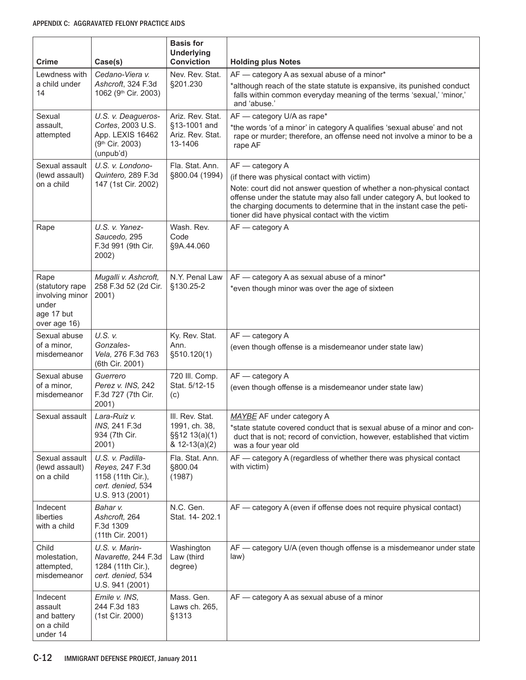| Crime                                                                             | Case(s)                                                                                            | <b>Basis for</b><br><b>Underlying</b><br><b>Conviction</b>             | <b>Holding plus Notes</b>                                                                                                                                                                                                                                                                                                                        |
|-----------------------------------------------------------------------------------|----------------------------------------------------------------------------------------------------|------------------------------------------------------------------------|--------------------------------------------------------------------------------------------------------------------------------------------------------------------------------------------------------------------------------------------------------------------------------------------------------------------------------------------------|
| Lewdness with                                                                     | Cedano-Viera v.                                                                                    | Nev. Rev. Stat.                                                        | AF - category A as sexual abuse of a minor*                                                                                                                                                                                                                                                                                                      |
| a child under<br>14                                                               | Ashcroft, 324 F.3d<br>1062 (9 <sup>th</sup> Cir. 2003)                                             | §201.230                                                               | *although reach of the state statute is expansive, its punished conduct<br>falls within common everyday meaning of the terms 'sexual,' 'minor,'<br>and 'abuse.'                                                                                                                                                                                  |
| Sexual<br>assault.<br>attempted                                                   | U.S. v. Deagueros-<br>Cortes, 2003 U.S.<br>App. LEXIS 16462<br>(9th Cir. 2003)<br>(unpub'd)        | Ariz. Rev. Stat.<br>§13-1001 and<br>Ariz. Rev. Stat.<br>13-1406        | AF - category U/A as rape*<br>*the words 'of a minor' in category A qualifies 'sexual abuse' and not<br>rape or murder; therefore, an offense need not involve a minor to be a<br>rape AF                                                                                                                                                        |
| Sexual assault<br>(lewd assault)<br>on a child                                    | U.S. v. Londono-<br>Quintero, 289 F.3d<br>147 (1st Cir. 2002)                                      | Fla. Stat. Ann.<br>§800.04 (1994)                                      | AF - category A<br>(if there was physical contact with victim)<br>Note: court did not answer question of whether a non-physical contact<br>offense under the statute may also fall under category A, but looked to<br>the charging documents to determine that in the instant case the peti-<br>tioner did have physical contact with the victim |
| Rape                                                                              | U.S. v. Yanez-<br>Saucedo, 295<br>F.3d 991 (9th Cir.<br>2002)                                      | Wash. Rev.<br>Code<br>§9A.44.060                                       | AF - category A                                                                                                                                                                                                                                                                                                                                  |
| Rape<br>(statutory rape<br>involving minor<br>under<br>age 17 but<br>over age 16) | Mugalli v. Ashcroft,<br>258 F.3d 52 (2d Cir.<br>2001)                                              | N.Y. Penal Law<br>§130.25-2                                            | AF - category A as sexual abuse of a minor*<br>*even though minor was over the age of sixteen                                                                                                                                                                                                                                                    |
| Sexual abuse<br>of a minor,<br>misdemeanor                                        | U.S. v.<br>Gonzales-<br>Vela, 276 F.3d 763<br>(6th Cir. 2001)                                      | Ky. Rev. Stat.<br>Ann.<br>§510.120(1)                                  | AF - category A<br>(even though offense is a misdemeanor under state law)                                                                                                                                                                                                                                                                        |
| Sexual abuse<br>of a minor,<br>misdemeanor                                        | Guerrero<br>Perez v. INS, 242<br>F.3d 727 (7th Cir.<br>2001)                                       | 720 III. Comp.<br>Stat. 5/12-15<br>(c)                                 | AF - category A<br>(even though offense is a misdemeanor under state law)                                                                                                                                                                                                                                                                        |
| Sexual assault                                                                    | Lara-Ruiz v.<br>INS, 241 F.3d<br>934 (7th Cir.<br>2001)                                            | III. Rev. Stat.<br>1991, ch. 38,<br>§§12 13(a)(1)<br>$& 12 - 13(a)(2)$ | MAYBE AF under category A<br>*state statute covered conduct that is sexual abuse of a minor and con-<br>duct that is not; record of conviction, however, established that victim<br>was a four year old                                                                                                                                          |
| Sexual assault<br>(lewd assault)<br>on a child                                    | U.S. v. Padilla-<br>Reyes, 247 F.3d<br>1158 (11th Cir.),<br>cert. denied, 534<br>U.S. 913 (2001)   | Fla. Stat. Ann.<br>§800.04<br>(1987)                                   | AF - category A (regardless of whether there was physical contact<br>with victim)                                                                                                                                                                                                                                                                |
| Indecent<br>liberties<br>with a child                                             | Bahar v.<br>Ashcroft, 264<br>F.3d 1309<br>(11th Cir. 2001)                                         | N.C. Gen.<br>Stat. 14-202.1                                            | AF — category A (even if offense does not require physical contact)                                                                                                                                                                                                                                                                              |
| Child<br>molestation,<br>attempted,<br>misdemeanor                                | U.S. v. Marin-<br>Navarette, 244 F.3d<br>1284 (11th Cir.),<br>cert. denied, 534<br>U.S. 941 (2001) | Washington<br>Law (third<br>degree)                                    | AF - category U/A (even though offense is a misdemeanor under state<br>law)                                                                                                                                                                                                                                                                      |
| Indecent<br>assault<br>and battery<br>on a child<br>under 14                      | Emile v. INS,<br>244 F.3d 183<br>(1st Cir. 2000)                                                   | Mass. Gen.<br>Laws ch. 265,<br>§1313                                   | AF - category A as sexual abuse of a minor                                                                                                                                                                                                                                                                                                       |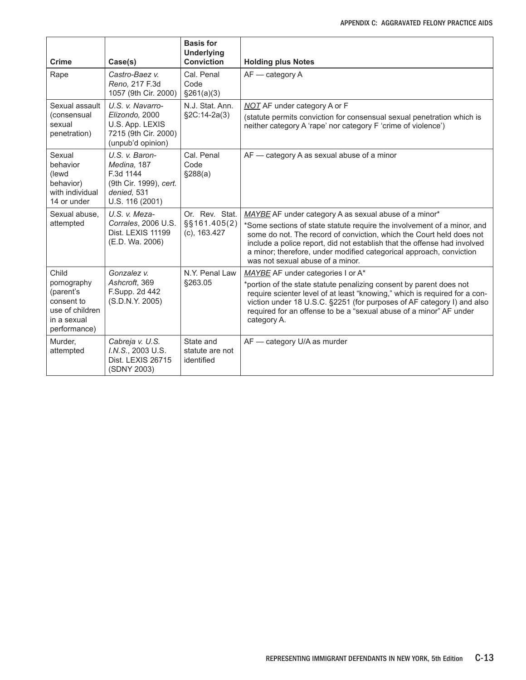| <b>Crime</b>                                                                                      | Case(s)                                                                                                | <b>Basis for</b><br><b>Underlying</b><br><b>Conviction</b> | <b>Holding plus Notes</b>                                                                                                                                                                                                                                                                                                                                                                       |
|---------------------------------------------------------------------------------------------------|--------------------------------------------------------------------------------------------------------|------------------------------------------------------------|-------------------------------------------------------------------------------------------------------------------------------------------------------------------------------------------------------------------------------------------------------------------------------------------------------------------------------------------------------------------------------------------------|
| Rape                                                                                              | Castro-Baez v.<br>Reno, 217 F.3d<br>1057 (9th Cir. 2000)                                               | Cal. Penal<br>Code<br>§261(a)(3)                           | AF - category A                                                                                                                                                                                                                                                                                                                                                                                 |
| Sexual assault<br>(consensual<br>sexual<br>penetration)                                           | U.S. v. Navarro-<br>Elizondo, 2000<br>U.S. App. LEXIS<br>7215 (9th Cir. 2000)<br>(unpub'd opinion)     | N.J. Stat. Ann.<br>§2C:14-2a(3)                            | NOT AF under category A or F<br>(statute permits conviction for consensual sexual penetration which is<br>neither category A 'rape' nor category F 'crime of violence')                                                                                                                                                                                                                         |
| Sexual<br>behavior<br>(lewd<br>behavior)<br>with individual<br>14 or under                        | U.S. v. Baron-<br>Medina, 187<br>F.3d 1144<br>(9th Cir. 1999), cert.<br>denied. 531<br>U.S. 116 (2001) | Cal. Penal<br>Code<br>\$288(a)                             | AF — category A as sexual abuse of a minor                                                                                                                                                                                                                                                                                                                                                      |
| Sexual abuse.<br>attempted                                                                        | U.S. v. Meza-<br>Corrales, 2006 U.S.<br>Dist. LEXIS 11199<br>(E.D. Wa. 2006)                           | Or. Rev. Stat.<br>$\S$ §161.405(2)<br>$(c)$ , 163.427      | MAYBE AF under category A as sexual abuse of a minor*<br>*Some sections of state statute require the involvement of a minor, and<br>some do not. The record of conviction, which the Court held does not<br>include a police report, did not establish that the offense had involved<br>a minor; therefore, under modified categorical approach, conviction<br>was not sexual abuse of a minor. |
| Child<br>pornography<br>(parent's<br>consent to<br>use of children<br>in a sexual<br>performance) | Gonzalez v.<br>Ashcroft, 369<br>F.Supp. 2d 442<br>(S.D.N.Y. 2005)                                      | N.Y. Penal Law<br>§263.05                                  | MAYBE AF under categories I or A*<br>*portion of the state statute penalizing consent by parent does not<br>require scienter level of at least "knowing," which is required for a con-<br>viction under 18 U.S.C. §2251 (for purposes of AF category I) and also<br>required for an offense to be a "sexual abuse of a minor" AF under<br>category A.                                           |
| Murder,<br>attempted                                                                              | Cabreja v. U.S.<br>I.N.S., 2003 U.S.<br>Dist. LEXIS 26715<br>(SDNY 2003)                               | State and<br>statute are not<br>identified                 | AF - category U/A as murder                                                                                                                                                                                                                                                                                                                                                                     |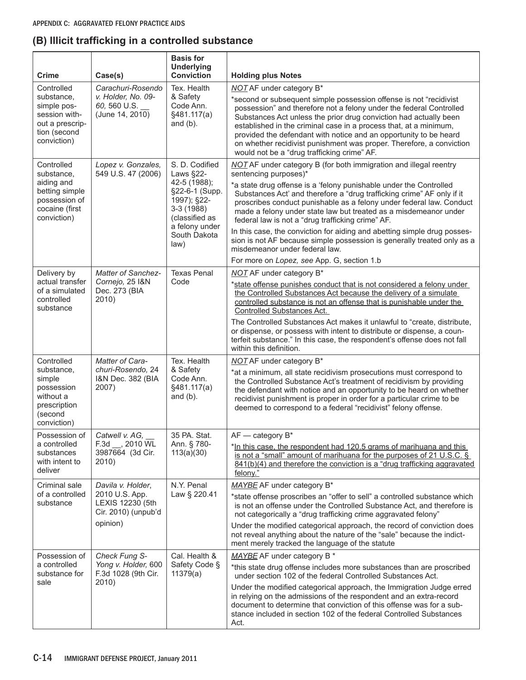## **(B) Illicit trafficking in a controlled substance**

| <b>Crime</b>                                                                                               | Case(s)                                                                                    | <b>Basis for</b><br><b>Underlying</b><br><b>Conviction</b>                                                                                              | <b>Holding plus Notes</b>                                                                                                                                                                                                                                                                                                                                                                                                                                                                                                                                                                                                                                                          |
|------------------------------------------------------------------------------------------------------------|--------------------------------------------------------------------------------------------|---------------------------------------------------------------------------------------------------------------------------------------------------------|------------------------------------------------------------------------------------------------------------------------------------------------------------------------------------------------------------------------------------------------------------------------------------------------------------------------------------------------------------------------------------------------------------------------------------------------------------------------------------------------------------------------------------------------------------------------------------------------------------------------------------------------------------------------------------|
| Controlled<br>substance.<br>simple pos-<br>session with-<br>out a prescrip-<br>tion (second<br>conviction) | Carachuri-Rosendo<br>v. Holder, No. 09-<br>60, 560 U.S.<br>(June 14, 2010)                 | Tex. Health<br>& Safety<br>Code Ann.<br>§481.117(a)<br>and $(b)$ .                                                                                      | NOT AF under category B*<br>*second or subsequent simple possession offense is not "recidivist<br>possession" and therefore not a felony under the federal Controlled<br>Substances Act unless the prior drug conviction had actually been<br>established in the criminal case in a process that, at a minimum,<br>provided the defendant with notice and an opportunity to be heard<br>on whether recidivist punishment was proper. Therefore, a conviction<br>would not be a "drug trafficking crime" AF.                                                                                                                                                                        |
| Controlled<br>substance,<br>aiding and<br>betting simple<br>possession of<br>cocaine (first<br>conviction) | Lopez v. Gonzales,<br>549 U.S. 47 (2006)                                                   | S. D. Codified<br>Laws §22-<br>42-5 (1988);<br>§22-6-1 (Supp.<br>1997); §22-<br>$3-3(1988)$<br>(classified as<br>a felony under<br>South Dakota<br>law) | NOT AF under category B (for both immigration and illegal reentry<br>sentencing purposes)*<br>*a state drug offense is a 'felony punishable under the Controlled<br>Substances Act' and therefore a "drug trafficking crime" AF only if it<br>proscribes conduct punishable as a felony under federal law. Conduct<br>made a felony under state law but treated as a misdemeanor under<br>federal law is not a "drug trafficking crime" AF.<br>In this case, the conviction for aiding and abetting simple drug posses-<br>sion is not AF because simple possession is generally treated only as a<br>misdemeanor under federal law.<br>For more on Lopez, see App. G, section 1.b |
| Delivery by<br>actual transfer<br>of a simulated<br>controlled<br>substance                                | Matter of Sanchez-<br>Cornejo, 25 I&N<br>Dec. 273 (BIA<br>2010)                            | <b>Texas Penal</b><br>Code                                                                                                                              | NOT AF under category B*<br>*state offense punishes conduct that is not considered a felony under<br>the Controlled Substances Act because the delivery of a simulate<br>controlled substance is not an offense that is punishable under the<br><b>Controlled Substances Act.</b><br>The Controlled Substances Act makes it unlawful to "create, distribute,<br>or dispense, or possess with intent to distribute or dispense, a coun-<br>terfeit substance." In this case, the respondent's offense does not fall<br>within this definition.                                                                                                                                      |
| Controlled<br>substance,<br>simple<br>possession<br>without a<br>prescription<br>(second<br>conviction)    | Matter of Cara-<br>churi-Rosendo, 24<br>I&N Dec. 382 (BIA<br>2007)                         | Tex. Health<br>& Safety<br>Code Ann.<br>§481.117(a)<br>and $(b)$ .                                                                                      | <b>NOT AF under category B*</b><br>*at a minimum, all state recidivism prosecutions must correspond to<br>the Controlled Substance Act's treatment of recidivism by providing<br>the defendant with notice and an opportunity to be heard on whether<br>recidivist punishment is proper in order for a particular crime to be<br>deemed to correspond to a federal "recidivist" felony offense.                                                                                                                                                                                                                                                                                    |
| Possession of<br>a controlled<br>substances<br>with intent to<br>deliver                                   | Catwell v. AG,<br>$F.3d$ __, 2010 $WL$<br>3987664 (3d Cir.<br>2010)                        | 35 PA. Stat.<br>Ann. § 780-<br>113(a)(30)                                                                                                               | $AF -$<br>- category B*<br>*In this case, the respondent had 120.5 grams of marihuana and this<br>is not a "small" amount of marihuana for the purposes of 21 U.S.C. §<br>$841(b)(4)$ and therefore the conviction is a "drug trafficking aggravated<br>felony."                                                                                                                                                                                                                                                                                                                                                                                                                   |
| Criminal sale<br>of a controlled<br>substance                                                              | Davila v. Holder,<br>2010 U.S. App.<br>LEXIS 12230 (5th<br>Cir. 2010) (unpub'd<br>opinion) | N.Y. Penal<br>Law § 220.41                                                                                                                              | MAYBE AF under category B*<br>*state offense proscribes an "offer to sell" a controlled substance which<br>is not an offense under the Controlled Substance Act, and therefore is<br>not categorically a "drug trafficking crime aggravated felony"<br>Under the modified categorical approach, the record of conviction does<br>not reveal anything about the nature of the "sale" because the indict-<br>ment merely tracked the language of the statute                                                                                                                                                                                                                         |
| Possession of<br>a controlled<br>substance for<br>sale                                                     | Check Fung S-<br>Yong v. Holder, 600<br>F.3d 1028 (9th Cir.<br>2010)                       | Cal. Health &<br>Safety Code §<br>11379(a)                                                                                                              | MAYBE AF under category B *<br>*this state drug offense includes more substances than are proscribed<br>under section 102 of the federal Controlled Substances Act.<br>Under the modified categorical approach, the Immigration Judge erred<br>in relying on the admissions of the respondent and an extra-record<br>document to determine that conviction of this offense was for a sub-<br>stance included in section 102 of the federal Controlled Substances<br>Act.                                                                                                                                                                                                           |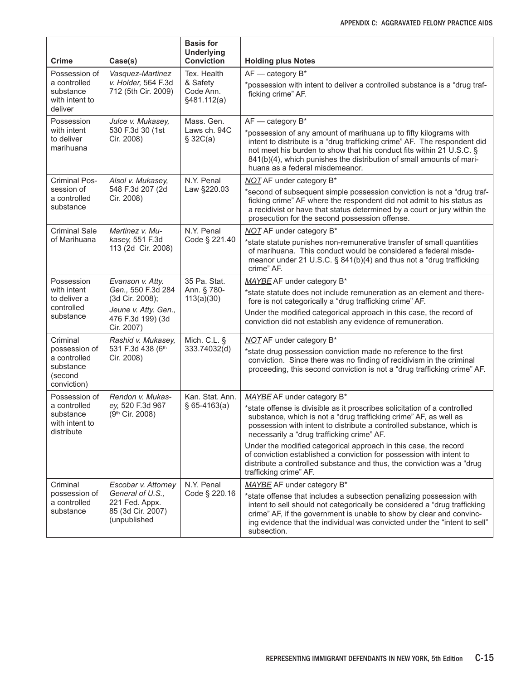| <b>Crime</b>                                                                     | Case(s)                                                                                                              | <b>Basis for</b><br><b>Underlying</b><br><b>Conviction</b> | <b>Holding plus Notes</b>                                                                                                                                                                                                                                                                                                                                                                                                                                                                                                                           |
|----------------------------------------------------------------------------------|----------------------------------------------------------------------------------------------------------------------|------------------------------------------------------------|-----------------------------------------------------------------------------------------------------------------------------------------------------------------------------------------------------------------------------------------------------------------------------------------------------------------------------------------------------------------------------------------------------------------------------------------------------------------------------------------------------------------------------------------------------|
| Possession of<br>a controlled<br>substance<br>with intent to<br>deliver          | Vasquez-Martinez<br>v. Holder, 564 F.3d<br>712 (5th Cir. 2009)                                                       | Tex. Health<br>& Safety<br>Code Ann.<br>§481.112(a)        | $AF$ - category $B^*$<br>*possession with intent to deliver a controlled substance is a "drug traf-<br>ficking crime" AF.                                                                                                                                                                                                                                                                                                                                                                                                                           |
| Possession<br>with intent<br>to deliver<br>marihuana                             | Julce v. Mukasey,<br>530 F.3d 30 (1st<br>Cir. 2008)                                                                  | Mass. Gen.<br>Laws ch. 94C<br>\$32C(a)                     | $AF - category B^*$<br>*possession of any amount of marihuana up to fifty kilograms with<br>intent to distribute is a "drug trafficking crime" AF. The respondent did<br>not meet his burden to show that his conduct fits within 21 U.S.C. §<br>841(b)(4), which punishes the distribution of small amounts of mari-<br>huana as a federal misdemeanor.                                                                                                                                                                                            |
| <b>Criminal Pos-</b><br>session of<br>a controlled<br>substance                  | Alsol v. Mukasey,<br>548 F.3d 207 (2d<br>Cir. 2008)                                                                  | N.Y. Penal<br>Law §220.03                                  | NOT AF under category B*<br>*second of subsequent simple possession conviction is not a "drug traf-<br>ficking crime" AF where the respondent did not admit to his status as<br>a recidivist or have that status determined by a court or jury within the<br>prosecution for the second possession offense.                                                                                                                                                                                                                                         |
| <b>Criminal Sale</b><br>of Marihuana                                             | Martinez v. Mu-<br>kasey, 551 F.3d<br>113 (2d Cir. 2008)                                                             | N.Y. Penal<br>Code § 221.40                                | NOT AF under category B*<br>*state statute punishes non-remunerative transfer of small quantities<br>of marihuana. This conduct would be considered a federal misde-<br>meanor under 21 U.S.C. § 841(b)(4) and thus not a "drug trafficking<br>crime" AF.                                                                                                                                                                                                                                                                                           |
| Possession<br>with intent<br>to deliver a<br>controlled<br>substance             | Evanson v. Atty.<br>Gen., 550 F.3d 284<br>(3d Cir. 2008);<br>Jeune v. Atty. Gen.,<br>476 F.3d 199) (3d<br>Cir. 2007) | 35 Pa. Stat.<br>Ann. § 780-<br>113(a)(30)                  | MAYBE AF under category B*<br>*state statute does not include remuneration as an element and there-<br>fore is not categorically a "drug trafficking crime" AF.<br>Under the modified categorical approach in this case, the record of<br>conviction did not establish any evidence of remuneration.                                                                                                                                                                                                                                                |
| Criminal<br>possession of<br>a controlled<br>substance<br>(second<br>conviction) | Rashid v. Mukasey,<br>531 F.3d 438 (6th<br>Cir. 2008)                                                                | Mich. C.L. §<br>333.74032(d)                               | <b>NOT AF under category B*</b><br>*state drug possession conviction made no reference to the first<br>conviction. Since there was no finding of recidivism in the criminal<br>proceeding, this second conviction is not a "drug trafficking crime" AF.                                                                                                                                                                                                                                                                                             |
| Possession of<br>a controlled<br>substance<br>with intent to<br>distribute       | Rendon v. Mukas-<br>ey, 520 F.3d 967<br>(9th Cir. 2008)                                                              | Kan. Stat. Ann.<br>$§ 65-4163(a)$                          | MAYBE AF under category B*<br>*state offense is divisible as it proscribes solicitation of a controlled<br>substance, which is not a "drug trafficking crime" AF, as well as<br>possession with intent to distribute a controlled substance, which is<br>necessarily a "drug trafficking crime" AF.<br>Under the modified categorical approach in this case, the record<br>of conviction established a conviction for possession with intent to<br>distribute a controlled substance and thus, the conviction was a "drug<br>trafficking crime" AF. |
| Criminal<br>possession of<br>a controlled<br>substance                           | Escobar v. Attorney<br>General of U.S.,<br>221 Fed. Appx.<br>85 (3d Cir. 2007)<br>(unpublished                       | N.Y. Penal<br>Code § 220.16                                | MAYBE AF under category B*<br>*state offense that includes a subsection penalizing possession with<br>intent to sell should not categorically be considered a "drug trafficking<br>crime" AF, if the government is unable to show by clear and convinc-<br>ing evidence that the individual was convicted under the "intent to sell"<br>subsection.                                                                                                                                                                                                 |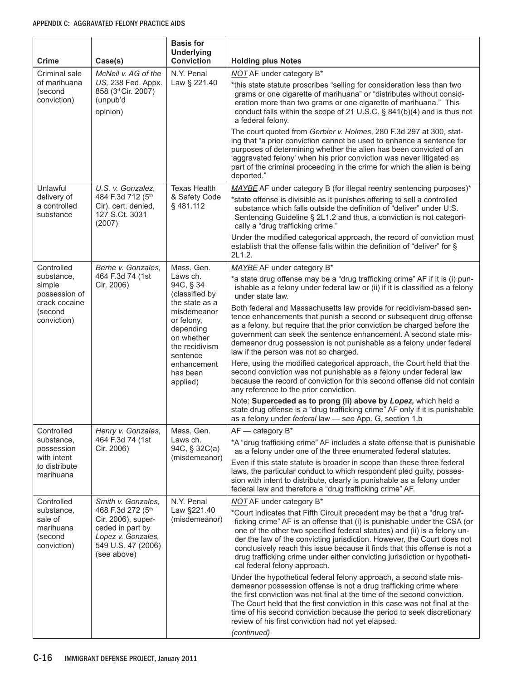| <b>Crime</b>                                                 | Case(s)                                                                                                                | <b>Basis for</b><br><b>Underlying</b><br><b>Conviction</b>                                                              | <b>Holding plus Notes</b>                                                                                                                                                                                                                                                                                                                                                                                                                                                                             |
|--------------------------------------------------------------|------------------------------------------------------------------------------------------------------------------------|-------------------------------------------------------------------------------------------------------------------------|-------------------------------------------------------------------------------------------------------------------------------------------------------------------------------------------------------------------------------------------------------------------------------------------------------------------------------------------------------------------------------------------------------------------------------------------------------------------------------------------------------|
| Criminal sale                                                | McNeil v. AG of the                                                                                                    | N.Y. Penal                                                                                                              | <b>NOT AF under category B*</b>                                                                                                                                                                                                                                                                                                                                                                                                                                                                       |
| of marihuana<br>(second<br>conviction)                       | US, 238 Fed. Appx.<br>858 (3 <sup>d</sup> Cir. 2007)<br>(unpub'd<br>opinion)                                           | Law § 221.40                                                                                                            | *this state statute proscribes "selling for consideration less than two<br>grams or one cigarette of marihuana" or "distributes without consid-<br>eration more than two grams or one cigarette of marihuana." This<br>conduct falls within the scope of 21 U.S.C. § 841(b)(4) and is thus not<br>a federal felony.                                                                                                                                                                                   |
|                                                              |                                                                                                                        |                                                                                                                         | The court quoted from Gerbier v. Holmes, 280 F.3d 297 at 300, stat-<br>ing that "a prior conviction cannot be used to enhance a sentence for<br>purposes of determining whether the alien has been convicted of an<br>'aggravated felony' when his prior conviction was never litigated as<br>part of the criminal proceeding in the crime for which the alien is being<br>deported."                                                                                                                 |
| Unlawful                                                     | U.S. v. Gonzalez,                                                                                                      | <b>Texas Health</b>                                                                                                     | MAYBE AF under category B (for illegal reentry sentencing purposes)*                                                                                                                                                                                                                                                                                                                                                                                                                                  |
| delivery of<br>a controlled<br>substance                     | 484 F.3d 712 (5th<br>Cir), cert. denied,<br>127 S.Ct. 3031<br>(2007)                                                   | & Safety Code<br>§481.112                                                                                               | *state offense is divisible as it punishes offering to sell a controlled<br>substance which falls outside the definition of "deliver" under U.S.<br>Sentencing Guideline § 2L1.2 and thus, a conviction is not categori-<br>cally a "drug trafficking crime."                                                                                                                                                                                                                                         |
|                                                              |                                                                                                                        |                                                                                                                         | Under the modified categorical approach, the record of conviction must<br>establish that the offense falls within the definition of "deliver" for §<br>2L1.2.                                                                                                                                                                                                                                                                                                                                         |
| Controlled                                                   | Berhe v. Gonzales,                                                                                                     | Mass. Gen.                                                                                                              | MAYBE AF under category B*                                                                                                                                                                                                                                                                                                                                                                                                                                                                            |
| substance,<br>simple<br>possession of                        | 464 F.3d 74 (1st<br>Laws ch.<br>Cir. 2006)<br>crack cocaine<br>(second<br>conviction)<br>sentence<br>applied)          | 94C, § 34<br>(classified by<br>the state as a<br>misdemeanor<br>or felony,<br>depending<br>on whether<br>the recidivism | *a state drug offense may be a "drug trafficking crime" AF if it is (i) pun-<br>ishable as a felony under federal law or (ii) if it is classified as a felony<br>under state law.                                                                                                                                                                                                                                                                                                                     |
|                                                              |                                                                                                                        |                                                                                                                         | Both federal and Massachusetts law provide for recidivism-based sen-<br>tence enhancements that punish a second or subsequent drug offense<br>as a felony, but require that the prior conviction be charged before the<br>government can seek the sentence enhancement. A second state mis-<br>demeanor drug possession is not punishable as a felony under federal<br>law if the person was not so charged.                                                                                          |
|                                                              |                                                                                                                        | enhancement<br>has been                                                                                                 | Here, using the modified categorical approach, the Court held that the<br>second conviction was not punishable as a felony under federal law<br>because the record of conviction for this second offense did not contain<br>any reference to the prior conviction.                                                                                                                                                                                                                                    |
|                                                              |                                                                                                                        |                                                                                                                         | Note: Superceded as to prong (ii) above by Lopez, which held a<br>state drug offense is a "drug trafficking crime" AF only if it is punishable<br>as a felony under federal law - see App. G, section 1.b                                                                                                                                                                                                                                                                                             |
| Controlled                                                   | Henry v. Gonzales,                                                                                                     | Mass. Gen.                                                                                                              | $AF$ - category $B^*$                                                                                                                                                                                                                                                                                                                                                                                                                                                                                 |
| substance,<br>possession<br>with intent                      | 464 F.3d 74 (1st<br>Cir. 2006)                                                                                         | Laws ch.<br>94C, § 32C(a)<br>(misdemeanor)                                                                              | *A "drug trafficking crime" AF includes a state offense that is punishable<br>as a felony under one of the three enumerated federal statutes.                                                                                                                                                                                                                                                                                                                                                         |
| to distribute<br>marihuana                                   |                                                                                                                        |                                                                                                                         | Even if this state statute is broader in scope than these three federal<br>laws, the particular conduct to which respondent pled guilty, posses-<br>sion with intent to distribute, clearly is punishable as a felony under<br>federal law and therefore a "drug trafficking crime" AF.                                                                                                                                                                                                               |
| Controlled                                                   | Smith v. Gonzales,                                                                                                     | N.Y. Penal                                                                                                              | <b>NOT AF under category B*</b>                                                                                                                                                                                                                                                                                                                                                                                                                                                                       |
| substance,<br>sale of<br>marihuana<br>(second<br>conviction) | 468 F.3d 272 (5th<br>Cir. 2006), super-<br>ceded in part by<br>Lopez v. Gonzales,<br>549 U.S. 47 (2006)<br>(see above) | Law §221.40<br>(misdemeanor)                                                                                            | *Court indicates that Fifth Circuit precedent may be that a "drug traf-<br>ficking crime" AF is an offense that (i) is punishable under the CSA (or<br>one of the other two specified federal statutes) and (ii) is a felony un-<br>der the law of the convicting jurisdiction. However, the Court does not<br>conclusively reach this issue because it finds that this offense is not a<br>drug trafficking crime under either convicting jurisdiction or hypotheti-<br>cal federal felony approach. |
|                                                              |                                                                                                                        |                                                                                                                         | Under the hypothetical federal felony approach, a second state mis-<br>demeanor possession offense is not a drug trafficking crime where<br>the first conviction was not final at the time of the second conviction.<br>The Court held that the first conviction in this case was not final at the<br>time of his second conviction because the period to seek discretionary<br>review of his first conviction had not yet elapsed.<br>(continued)                                                    |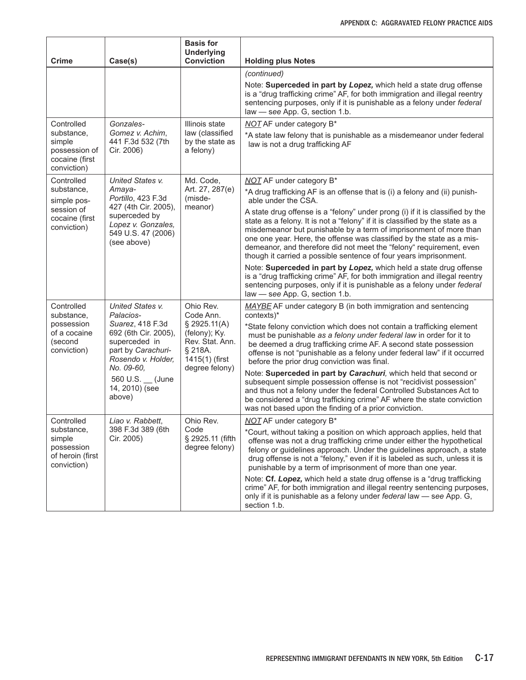| Crime                                                                  | Case(s)                                                                                               | <b>Basis for</b><br><b>Underlying</b><br><b>Conviction</b>                    | <b>Holding plus Notes</b>                                                                                                                                                                                                                                                                                                                                                                                                                                |
|------------------------------------------------------------------------|-------------------------------------------------------------------------------------------------------|-------------------------------------------------------------------------------|----------------------------------------------------------------------------------------------------------------------------------------------------------------------------------------------------------------------------------------------------------------------------------------------------------------------------------------------------------------------------------------------------------------------------------------------------------|
|                                                                        |                                                                                                       |                                                                               | (continued)                                                                                                                                                                                                                                                                                                                                                                                                                                              |
|                                                                        |                                                                                                       |                                                                               | Note: Superceded in part by Lopez, which held a state drug offense<br>is a "drug trafficking crime" AF, for both immigration and illegal reentry<br>sentencing purposes, only if it is punishable as a felony under federal<br>law - see App. G, section 1.b.                                                                                                                                                                                            |
| Controlled                                                             | Gonzales-                                                                                             | Illinois state                                                                | <b>NOT AF under category B*</b>                                                                                                                                                                                                                                                                                                                                                                                                                          |
| substance,<br>simple<br>possession of<br>cocaine (first<br>conviction) | Gomez v. Achim,<br>441 F.3d 532 (7th<br>Cir. 2006)                                                    | law (classified<br>by the state as<br>a felony)                               | *A state law felony that is punishable as a misdemeanor under federal<br>law is not a drug trafficking AF                                                                                                                                                                                                                                                                                                                                                |
| Controlled                                                             | United States v.                                                                                      | Md. Code,                                                                     | NOT AF under category B*                                                                                                                                                                                                                                                                                                                                                                                                                                 |
| substance,<br>simple pos-                                              | Amaya-<br>Portillo, 423 F.3d                                                                          | Art. 27, 287(e)<br>(misde-                                                    | *A drug trafficking AF is an offense that is (i) a felony and (ii) punish-<br>able under the CSA.                                                                                                                                                                                                                                                                                                                                                        |
| session of<br>cocaine (first<br>conviction)                            | 427 (4th Cir. 2005),<br>superceded by<br>Lopez v. Gonzales,<br>549 U.S. 47 (2006)<br>(see above)      | meanor)                                                                       | A state drug offense is a "felony" under prong (i) if it is classified by the<br>state as a felony. It is not a "felony" if it is classified by the state as a<br>misdemeanor but punishable by a term of imprisonment of more than<br>one one year. Here, the offense was classified by the state as a mis-<br>demeanor, and therefore did not meet the "felony" requirement, even<br>though it carried a possible sentence of four years imprisonment. |
|                                                                        |                                                                                                       |                                                                               | Note: Superceded in part by Lopez, which held a state drug offense<br>is a "drug trafficking crime" AF, for both immigration and illegal reentry<br>sentencing purposes, only if it is punishable as a felony under federal<br>law - see App. G, section 1.b.                                                                                                                                                                                            |
| Controlled<br>substance,                                               | United States v.<br>Palacios-                                                                         | Ohio Rev.<br>Code Ann.                                                        | MAYBE AF under category B (in both immigration and sentencing<br>contexts)*                                                                                                                                                                                                                                                                                                                                                                              |
| possession<br>of a cocaine<br>(second<br>conviction)                   | Suarez, 418 F.3d<br>692 (6th Cir. 2005),<br>superceded in<br>part by Carachuri-<br>Rosendo v. Holder, | \$2925.11(A)<br>(felony); Ky.<br>Rev. Stat. Ann.<br>§ 218A.<br>1415(1) (first | *State felony conviction which does not contain a trafficking element<br>must be punishable as a felony under federal law in order for it to<br>be deemed a drug trafficking crime AF. A second state possession<br>offense is not "punishable as a felony under federal law" if it occurred<br>before the prior drug conviction was final.                                                                                                              |
|                                                                        | No. 09-60.<br>560 U.S. (June<br>14, 2010) (see<br>above)                                              | degree felony)                                                                | Note: Superceded in part by Carachuri, which held that second or<br>subsequent simple possession offense is not "recidivist possession"<br>and thus not a felony under the federal Controlled Substances Act to<br>be considered a "drug trafficking crime" AF where the state conviction<br>was not based upon the finding of a prior conviction.                                                                                                       |
| Controlled                                                             | Liao v. Rabbett,                                                                                      | Ohio Rev.                                                                     | <b>NOT AF under category B*</b>                                                                                                                                                                                                                                                                                                                                                                                                                          |
| substance,<br>simple<br>possession<br>of heroin (first<br>conviction)  | 398 F.3d 389 (6th<br>Cir. 2005)                                                                       | Code<br>§ 2925.11 (fifth<br>degree felony)                                    | *Court, without taking a position on which approach applies, held that<br>offense was not a drug trafficking crime under either the hypothetical<br>felony or guidelines approach. Under the guidelines approach, a state<br>drug offense is not a "felony," even if it is labeled as such, unless it is<br>punishable by a term of imprisonment of more than one year.                                                                                  |
|                                                                        |                                                                                                       |                                                                               | Note: Cf. Lopez, which held a state drug offense is a "drug trafficking"<br>crime" AF, for both immigration and illegal reentry sentencing purposes,<br>only if it is punishable as a felony under federal law - see App. G,<br>section 1.b.                                                                                                                                                                                                             |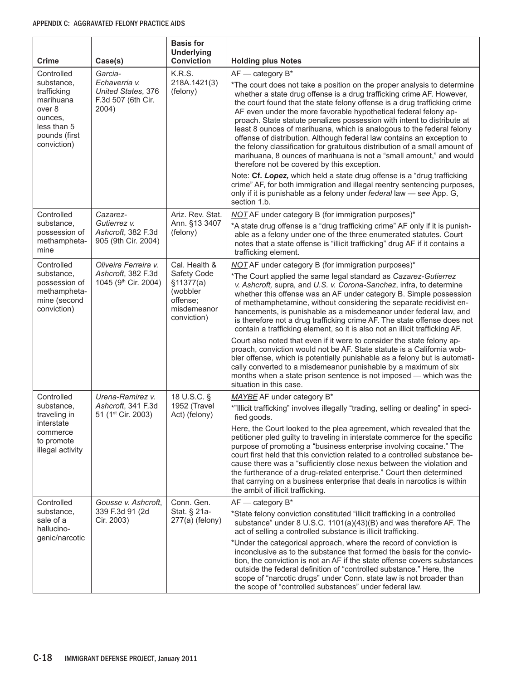| <b>Crime</b>                                                                                                             | Case(s)                                                                       | <b>Basis for</b><br><b>Underlying</b><br><b>Conviction</b>                                       | <b>Holding plus Notes</b>                                                                                                                                                                                                                                                                                                                                                                                                                                                                                                                                                                                                                                                                                                                                    |
|--------------------------------------------------------------------------------------------------------------------------|-------------------------------------------------------------------------------|--------------------------------------------------------------------------------------------------|--------------------------------------------------------------------------------------------------------------------------------------------------------------------------------------------------------------------------------------------------------------------------------------------------------------------------------------------------------------------------------------------------------------------------------------------------------------------------------------------------------------------------------------------------------------------------------------------------------------------------------------------------------------------------------------------------------------------------------------------------------------|
| Controlled<br>substance,<br>trafficking<br>marihuana<br>over 8<br>ounces,<br>less than 5<br>pounds (first<br>conviction) | Garcia-<br>Echaverria v.<br>United States, 376<br>F.3d 507 (6th Cir.<br>2004) | K.R.S.<br>218A.1421(3)<br>(felony)                                                               | $AF$ - category $B^*$<br>*The court does not take a position on the proper analysis to determine<br>whether a state drug offense is a drug trafficking crime AF. However,<br>the court found that the state felony offense is a drug trafficking crime<br>AF even under the more favorable hypothetical federal felony ap-<br>proach. State statute penalizes possession with intent to distribute at<br>least 8 ounces of marihuana, which is analogous to the federal felony<br>offense of distribution. Although federal law contains an exception to<br>the felony classification for gratuitous distribution of a small amount of<br>marihuana, 8 ounces of marihuana is not a "small amount," and would<br>therefore not be covered by this exception. |
|                                                                                                                          |                                                                               |                                                                                                  | Note: Cf. Lopez, which held a state drug offense is a "drug trafficking<br>crime" AF, for both immigration and illegal reentry sentencing purposes,<br>only if it is punishable as a felony under federal law - see App. G,<br>section 1.b.                                                                                                                                                                                                                                                                                                                                                                                                                                                                                                                  |
| Controlled<br>substance.<br>possession of<br>methampheta-<br>mine                                                        | Cazarez-<br>Gutierrez v.<br>Ashcroft, 382 F.3d<br>905 (9th Cir. 2004)         | Ariz. Rev. Stat.<br>Ann. §13 3407<br>(felony)                                                    | NOT AF under category B (for immigration purposes)*<br>*A state drug offense is a "drug trafficking crime" AF only if it is punish-<br>able as a felony under one of the three enumerated statutes. Court<br>notes that a state offense is "illicit trafficking" drug AF if it contains a<br>trafficking element.                                                                                                                                                                                                                                                                                                                                                                                                                                            |
| Controlled<br>substance,<br>possession of<br>methampheta-<br>mine (second<br>conviction)                                 | Oliveira Ferreira v.<br>Ashcroft, 382 F.3d<br>1045 (9th Cir. 2004)            | Cal. Health &<br>Safety Code<br>\$11377(a)<br>(wobbler<br>offense;<br>misdemeanor<br>conviction) | NOT AF under category B (for immigration purposes)*<br>*The Court applied the same legal standard as Cazarez-Gutierrez<br>v. Ashcroft, supra, and U.S. v. Corona-Sanchez, infra, to determine<br>whether this offense was an AF under category B. Simple possession<br>of methamphetamine, without considering the separate recidivist en-<br>hancements, is punishable as a misdemeanor under federal law, and<br>is therefore not a drug trafficking crime AF. The state offense does not<br>contain a trafficking element, so it is also not an illicit trafficking AF.                                                                                                                                                                                   |
|                                                                                                                          |                                                                               |                                                                                                  | Court also noted that even if it were to consider the state felony ap-<br>proach, conviction would not be AF. State statute is a California wob-<br>bler offense, which is potentially punishable as a felony but is automati-<br>cally converted to a misdemeanor punishable by a maximum of six<br>months when a state prison sentence is not imposed - which was the<br>situation in this case.                                                                                                                                                                                                                                                                                                                                                           |
| Controlled                                                                                                               | Urena-Ramirez v.                                                              | 18 U.S.C. §                                                                                      | MAYBE AF under category B*                                                                                                                                                                                                                                                                                                                                                                                                                                                                                                                                                                                                                                                                                                                                   |
| substance,<br>traveling in                                                                                               | Ashcroft, 341 F.3d<br>51 (1 <sup>st</sup> Cir. 2003)                          | 1952 (Travel<br>Act) (felony)                                                                    | *"Illicit trafficking" involves illegally "trading, selling or dealing" in speci-<br>fied goods.                                                                                                                                                                                                                                                                                                                                                                                                                                                                                                                                                                                                                                                             |
| interstate<br>commerce<br>to promote<br>illegal activity                                                                 |                                                                               |                                                                                                  | Here, the Court looked to the plea agreement, which revealed that the<br>petitioner pled guilty to traveling in interstate commerce for the specific<br>purpose of promoting a "business enterprise involving cocaine." The<br>court first held that this conviction related to a controlled substance be-<br>cause there was a "sufficiently close nexus between the violation and<br>the furtherance of a drug-related enterprise." Court then determined<br>that carrying on a business enterprise that deals in narcotics is within<br>the ambit of illicit trafficking.                                                                                                                                                                                 |
| Controlled                                                                                                               | Gousse v. Ashcroft,                                                           | Conn. Gen.                                                                                       | $AF$ - category $B^*$                                                                                                                                                                                                                                                                                                                                                                                                                                                                                                                                                                                                                                                                                                                                        |
| substance,<br>sale of a<br>hallucino-<br>genic/narcotic                                                                  | 339 F.3d 91 (2d<br>Cir. 2003)                                                 | Stat. § 21a-<br>$277(a)$ (felony)                                                                | *State felony conviction constituted "illicit trafficking in a controlled<br>substance" under 8 U.S.C. 1101(a)(43)(B) and was therefore AF. The<br>act of selling a controlled substance is illicit trafficking.                                                                                                                                                                                                                                                                                                                                                                                                                                                                                                                                             |
|                                                                                                                          |                                                                               |                                                                                                  | *Under the categorical approach, where the record of conviction is<br>inconclusive as to the substance that formed the basis for the convic-<br>tion, the conviction is not an AF if the state offense covers substances<br>outside the federal definition of "controlled substance." Here, the<br>scope of "narcotic drugs" under Conn. state law is not broader than<br>the scope of "controlled substances" under federal law.                                                                                                                                                                                                                                                                                                                            |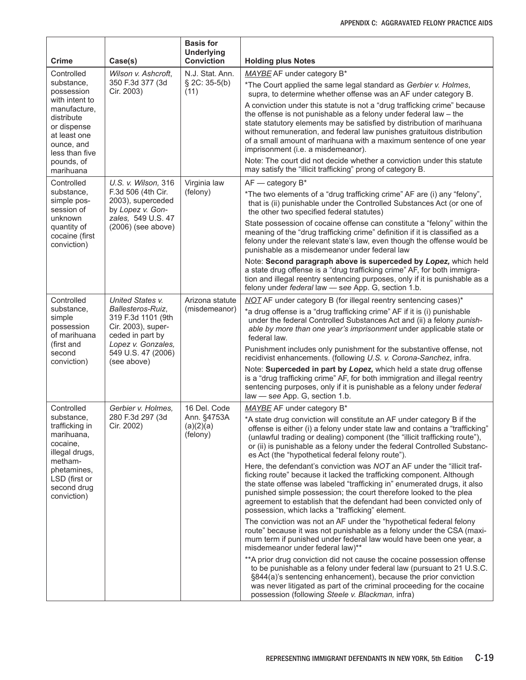| <b>Crime</b>                                                                                                                                                                                                  | Case(s)                                                                           | <b>Basis for</b><br><b>Underlying</b><br><b>Conviction</b>                                                                                                                                                                                                                                                                                                                          | <b>Holding plus Notes</b>                                                                                                                                                                                                                                                                                                                                                                                                     |
|---------------------------------------------------------------------------------------------------------------------------------------------------------------------------------------------------------------|-----------------------------------------------------------------------------------|-------------------------------------------------------------------------------------------------------------------------------------------------------------------------------------------------------------------------------------------------------------------------------------------------------------------------------------------------------------------------------------|-------------------------------------------------------------------------------------------------------------------------------------------------------------------------------------------------------------------------------------------------------------------------------------------------------------------------------------------------------------------------------------------------------------------------------|
| Controlled                                                                                                                                                                                                    | Wilson v. Ashcroft,                                                               | N.J. Stat. Ann.<br>$\S$ 2C: 35-5(b)<br>(11)                                                                                                                                                                                                                                                                                                                                         | MAYBE AF under category B*                                                                                                                                                                                                                                                                                                                                                                                                    |
| substance,<br>possession<br>with intent to                                                                                                                                                                    | 350 F.3d 377 (3d<br>Cir. 2003)                                                    |                                                                                                                                                                                                                                                                                                                                                                                     | *The Court applied the same legal standard as Gerbier v. Holmes,<br>supra, to determine whether offense was an AF under category B.                                                                                                                                                                                                                                                                                           |
| manufacture,<br>distribute<br>or dispense<br>at least one<br>ounce, and<br>less than five                                                                                                                     |                                                                                   |                                                                                                                                                                                                                                                                                                                                                                                     | A conviction under this statute is not a "drug trafficking crime" because<br>the offense is not punishable as a felony under federal law $-$ the<br>state statutory elements may be satisfied by distribution of marihuana<br>without remuneration, and federal law punishes gratuitous distribution<br>of a small amount of marihuana with a maximum sentence of one year<br>imprisonment (i.e. a misdemeanor).              |
| pounds, of<br>marihuana                                                                                                                                                                                       |                                                                                   |                                                                                                                                                                                                                                                                                                                                                                                     | Note: The court did not decide whether a conviction under this statute<br>may satisfy the "illicit trafficking" prong of category B.                                                                                                                                                                                                                                                                                          |
| Controlled                                                                                                                                                                                                    | U.S. v. Wilson, 316                                                               | Virginia law                                                                                                                                                                                                                                                                                                                                                                        | $AF$ - category $B^*$                                                                                                                                                                                                                                                                                                                                                                                                         |
| substance,<br>simple pos-<br>session of                                                                                                                                                                       | F.3d 506 (4th Cir.<br>2003), superceded<br>by Lopez v. Gon-<br>zales, 549 U.S. 47 | (felony)                                                                                                                                                                                                                                                                                                                                                                            | *The two elements of a "drug trafficking crime" AF are (i) any "felony",<br>that is (ii) punishable under the Controlled Substances Act (or one of<br>the other two specified federal statutes)                                                                                                                                                                                                                               |
| quantity of<br>cocaine (first<br>conviction)                                                                                                                                                                  | unknown<br>$(2006)$ (see above)                                                   |                                                                                                                                                                                                                                                                                                                                                                                     | State possession of cocaine offense can constitute a "felony" within the<br>meaning of the "drug trafficking crime" definition if it is classified as a<br>felony under the relevant state's law, even though the offense would be<br>punishable as a misdemeanor under federal law                                                                                                                                           |
|                                                                                                                                                                                                               |                                                                                   |                                                                                                                                                                                                                                                                                                                                                                                     | Note: Second paragraph above is superceded by Lopez, which held<br>a state drug offense is a "drug trafficking crime" AF, for both immigra-<br>tion and illegal reentry sentencing purposes, only if it is punishable as a<br>felony under federal law - see App. G, section 1.b.                                                                                                                                             |
| Controlled<br>United States v.<br>substance,<br>Ballesteros-Ruiz,<br>319 F.3d 1101 (9th<br>simple<br>Cir. 2003), super-<br>possession<br>of marihuana<br>ceded in part by<br>Lopez v. Gonzales,<br>(first and | Arizona statute<br>(misdemeanor)                                                  | NOT AF under category B (for illegal reentry sentencing cases)*<br>*a drug offense is a "drug trafficking crime" AF if it is (i) punishable<br>under the federal Controlled Substances Act and (ii) a felony punish-<br>able by more than one year's imprisonment under applicable state or<br>federal law.<br>Punishment includes only punishment for the substantive offense, not |                                                                                                                                                                                                                                                                                                                                                                                                                               |
| second<br>conviction)                                                                                                                                                                                         | 549 U.S. 47 (2006)<br>(see above)                                                 |                                                                                                                                                                                                                                                                                                                                                                                     | recidivist enhancements. (following U.S. v. Corona-Sanchez, infra.                                                                                                                                                                                                                                                                                                                                                            |
|                                                                                                                                                                                                               |                                                                                   |                                                                                                                                                                                                                                                                                                                                                                                     | Note: Superceded in part by Lopez, which held a state drug offense<br>is a "drug trafficking crime" AF, for both immigration and illegal reentry<br>sentencing purposes, only if it is punishable as a felony under federal<br>law - see App. G, section 1.b.                                                                                                                                                                 |
| Controlled                                                                                                                                                                                                    | Gerbier v. Holmes,                                                                | 16 Del. Code<br>280 F.3d 297 (3d<br>Ann. §4753A<br>(a)(2)(a)<br>(felony)                                                                                                                                                                                                                                                                                                            | MAYBE AF under category B*                                                                                                                                                                                                                                                                                                                                                                                                    |
| substance,<br>trafficking in<br>Cir. 2002)<br>marihuana,<br>cocaine,<br>illegal drugs,<br>metham-<br>phetamines,<br>LSD (first or<br>second drug<br>conviction)                                               |                                                                                   |                                                                                                                                                                                                                                                                                                                                                                                     | *A state drug conviction will constitute an AF under category B if the<br>offense is either (i) a felony under state law and contains a "trafficking"<br>(unlawful trading or dealing) component (the "illicit trafficking route"),<br>or (ii) is punishable as a felony under the federal Controlled Substanc-<br>es Act (the "hypothetical federal felony route").                                                          |
|                                                                                                                                                                                                               |                                                                                   |                                                                                                                                                                                                                                                                                                                                                                                     | Here, the defendant's conviction was NOT an AF under the "illicit traf-<br>ficking route" because it lacked the trafficking component. Although<br>the state offense was labeled "trafficking in" enumerated drugs, it also<br>punished simple possession; the court therefore looked to the plea<br>agreement to establish that the defendant had been convicted only of<br>possession, which lacks a "trafficking" element. |
|                                                                                                                                                                                                               |                                                                                   |                                                                                                                                                                                                                                                                                                                                                                                     | The conviction was not an AF under the "hypothetical federal felony<br>route" because it was not punishable as a felony under the CSA (maxi-<br>mum term if punished under federal law would have been one year, a<br>misdemeanor under federal law)**                                                                                                                                                                        |
|                                                                                                                                                                                                               |                                                                                   |                                                                                                                                                                                                                                                                                                                                                                                     | ** A prior drug conviction did not cause the cocaine possession offense<br>to be punishable as a felony under federal law (pursuant to 21 U.S.C.<br>§844(a)'s sentencing enhancement), because the prior conviction<br>was never litigated as part of the criminal proceeding for the cocaine<br>possession (following Steele v. Blackman, infra)                                                                             |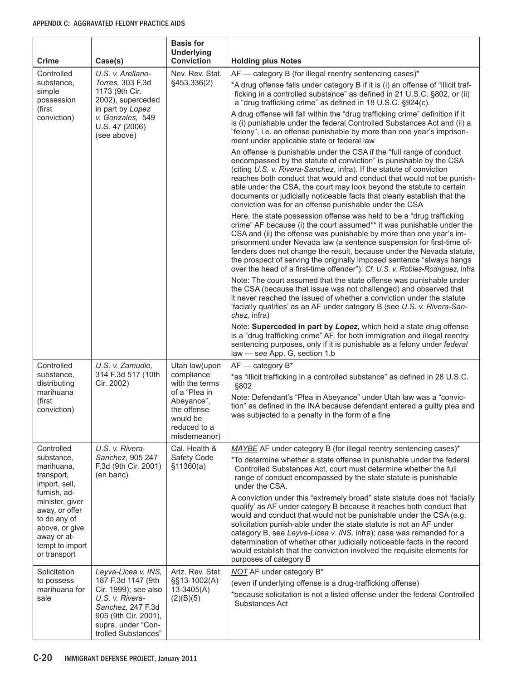| <b>Crime</b>                                                                                                                          | Case(s)                                                                                                                                                                        | <b>Basis for</b><br><b>Underlying</b><br><b>Conviction</b>            | <b>Holding plus Notes</b>                                                                                                                                                                                                                                                                                                                                                                                                                                                                                                                               |
|---------------------------------------------------------------------------------------------------------------------------------------|--------------------------------------------------------------------------------------------------------------------------------------------------------------------------------|-----------------------------------------------------------------------|---------------------------------------------------------------------------------------------------------------------------------------------------------------------------------------------------------------------------------------------------------------------------------------------------------------------------------------------------------------------------------------------------------------------------------------------------------------------------------------------------------------------------------------------------------|
| Controlled                                                                                                                            | U.S. v. Arellano-                                                                                                                                                              | Nev. Rev. Stat.                                                       | AF - category B (for illegal reentry sentencing cases)*                                                                                                                                                                                                                                                                                                                                                                                                                                                                                                 |
| substance,<br>simple<br>possession                                                                                                    | Torres, 303 F.3d<br>1173 (9th Cir.<br>2002), superceded                                                                                                                        | §453.336(2)                                                           | *A drug offense falls under category B if it is (i) an offense of "illicit traf-<br>ficking in a controlled substance" as defined in 21 U.S.C. §802, or (ii)<br>a "drug trafficking crime" as defined in 18 U.S.C. §924(c).                                                                                                                                                                                                                                                                                                                             |
| (first<br>conviction)                                                                                                                 | in part by Lopez<br>v. Gonzales, 549<br>U.S. 47 (2006)<br>(see above)                                                                                                          |                                                                       | A drug offense will fall within the "drug trafficking crime" definition if it<br>is (i) punishable under the federal Controlled Substances Act and (ii) a<br>"felony", i.e. an offense punishable by more than one year's imprison-<br>ment under applicable state or federal law                                                                                                                                                                                                                                                                       |
|                                                                                                                                       |                                                                                                                                                                                |                                                                       | An offense is punishable under the CSA if the "full range of conduct<br>encompassed by the statute of conviction" is punishable by the CSA<br>(citing U.S. v. Rivera-Sanchez, infra). If the statute of conviction<br>reaches both conduct that would and conduct that would not be punish-<br>able under the CSA, the court may look beyond the statute to certain<br>documents or judicially noticeable facts that clearly establish that the<br>conviction was for an offense punishable under the CSA                                               |
|                                                                                                                                       |                                                                                                                                                                                |                                                                       | Here, the state possession offense was held to be a "drug trafficking"<br>crime" AF because (i) the court assumed** it was punishable under the<br>CSA and (ii) the offense was punishable by more than one year's im-<br>prisonment under Nevada law (a sentence suspension for first-time of-<br>fenders does not change the result, because under the Nevada statute,<br>the prospect of serving the originally imposed sentence "always hangs"<br>over the head of a first-time offender"). Cf. U.S. v. Robles-Rodriguez, infra                     |
|                                                                                                                                       |                                                                                                                                                                                |                                                                       | Note: The court assumed that the state offense was punishable under<br>the CSA (because that issue was not challenged) and observed that<br>it never reached the issued of whether a conviction under the statute<br>'facially qualifies' as an AF under category B (see U.S. v. Rivera-San-<br>chez, infra)                                                                                                                                                                                                                                            |
|                                                                                                                                       |                                                                                                                                                                                |                                                                       | Note: Superceded in part by Lopez, which held a state drug offense<br>is a "drug trafficking crime" AF, for both immigration and illegal reentry<br>sentencing purposes, only if it is punishable as a felony under federal<br>law - see App. G, section 1.b                                                                                                                                                                                                                                                                                            |
| Controlled                                                                                                                            | U.S. v. Zamudio,                                                                                                                                                               | Utah law(upon                                                         | $AF$ - category $B^*$                                                                                                                                                                                                                                                                                                                                                                                                                                                                                                                                   |
| substance,<br>distributing<br>marihuana                                                                                               | 314 F.3d 517 (10th<br>compliance<br>Cir. 2002)<br>with the terms                                                                                                               | of a "Plea in                                                         | *as "illicit trafficking in a controlled substance" as defined in 28 U.S.C.<br>§802                                                                                                                                                                                                                                                                                                                                                                                                                                                                     |
| (first<br>conviction)                                                                                                                 |                                                                                                                                                                                | Abeyance",<br>the offense<br>would be<br>reduced to a<br>misdemeanor) | Note: Defendant's "Plea in Abeyance" under Utah law was a "convic-<br>tion" as defined in the INA because defendant entered a guilty plea and<br>was subjected to a penalty in the form of a fine                                                                                                                                                                                                                                                                                                                                                       |
| Controlled                                                                                                                            | U.S. v. Rivera-                                                                                                                                                                | Cal. Health &                                                         | MAYBE AF under category B (for illegal reentry sentencing cases)*                                                                                                                                                                                                                                                                                                                                                                                                                                                                                       |
| substance,<br>marihuana,<br>transport,<br>import, sell,                                                                               | Sanchez, 905 247<br>F.3d (9th Cir. 2001)<br>(en banc)                                                                                                                          | Safety Code<br>\$11360(a)                                             | *To determine whether a state offense in punishable under the federal<br>Controlled Substances Act, court must determine whether the full<br>range of conduct encompassed by the state statute is punishable<br>under the CSA.                                                                                                                                                                                                                                                                                                                          |
| furnish, ad-<br>minister, giver<br>away, or offer<br>to do any of<br>above, or give<br>away or at-<br>tempt to import<br>or transport |                                                                                                                                                                                |                                                                       | A conviction under this "extremely broad" state statute does not 'facially<br>qualify' as AF under category B because it reaches both conduct that<br>would and conduct that would not be punishable under the CSA (e.g.<br>solicitation punish-able under the state statute is not an AF under<br>category B, see Leyva-Licea v. INS, infra); case was remanded for a<br>determination of whether other judicially noticeable facts in the record<br>would establish that the conviction involved the requisite elements for<br>purposes of category B |
| Solicitation<br>to possess<br>marihuana for<br>sale                                                                                   | Leyva-Licea v. INS,<br>187 F.3d 1147 (9th<br>Cir. 1999); see also<br>U.S. v. Rivera-<br>Sanchez, 247 F.3d<br>905 (9th Cir. 2001),<br>supra, under "Con-<br>trolled Substances" | Ariz. Rev. Stat.<br>§§13-1002(A)<br>$13 - 3405(A)$<br>(2)(B)(5)       | <b>NOT</b> AF under category B*<br>(even if underlying offense is a drug-trafficking offense)<br>*because solicitation is not a listed offense under the federal Controlled<br>Substances Act                                                                                                                                                                                                                                                                                                                                                           |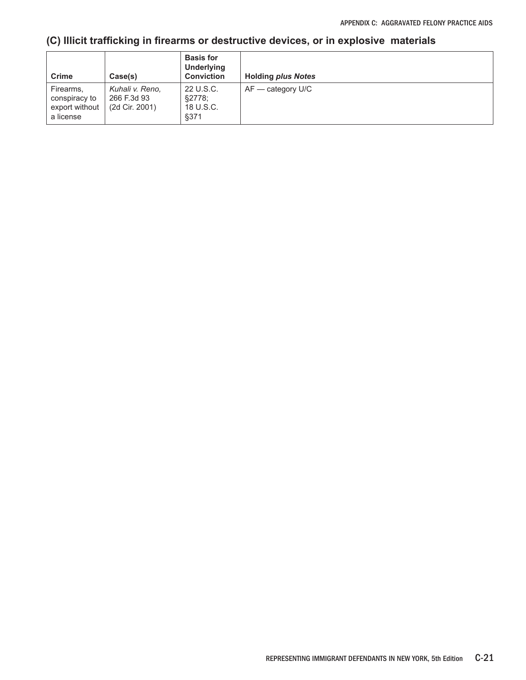## **(C) Illicit trafficking in firearms or destructive devices, or in explosive materials**

| <b>Crime</b>                                              | Case(s)                                          | <b>Basis for</b><br><b>Underlying</b><br><b>Conviction</b> | <b>Holding plus Notes</b> |
|-----------------------------------------------------------|--------------------------------------------------|------------------------------------------------------------|---------------------------|
| Firearms,<br>conspiracy to<br>export without<br>a license | Kuhali v. Reno.<br>266 F.3d 93<br>(2d Cir. 2001) | 22 U.S.C.<br>§2778:<br>18 U.S.C.<br>§371                   | $AF -$ category U/C       |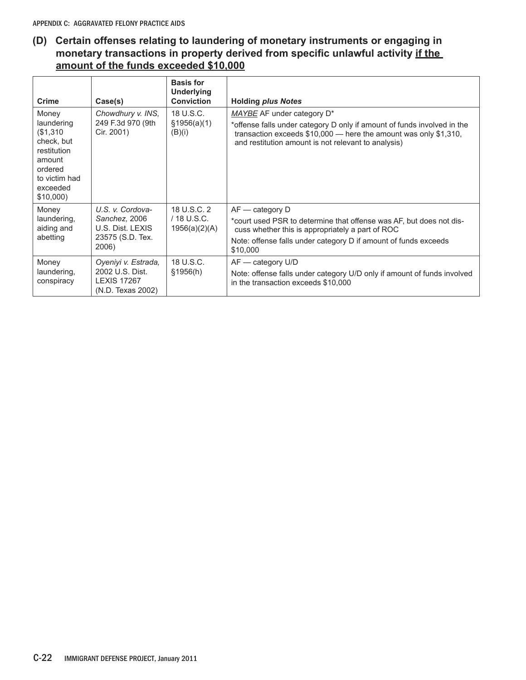### **(D) Certain offenses relating to laundering of monetary instruments or engaging in monetary transactions in property derived from specific unlawful activity if the amount of the funds exceeded \$10,000**

| <b>Crime</b>                                                                                                               | Case(s)                                                                            | <b>Basis for</b><br><b>Underlying</b><br><b>Conviction</b> | <b>Holding plus Notes</b>                                                                                                                                                                                                           |
|----------------------------------------------------------------------------------------------------------------------------|------------------------------------------------------------------------------------|------------------------------------------------------------|-------------------------------------------------------------------------------------------------------------------------------------------------------------------------------------------------------------------------------------|
| Money<br>laundering<br>(\$1,310<br>check, but<br>restitution<br>amount<br>ordered<br>to victim had<br>exceeded<br>\$10,000 | Chowdhury v. INS,<br>249 F.3d 970 (9th<br>Cir. 2001)                               | 18 U.S.C.<br>\$1956(a)(1)<br>(B)(i)                        | MAYBE AF under category D*<br>*offense falls under category D only if amount of funds involved in the<br>transaction exceeds $$10,000$ — here the amount was only $$1,310$ ,<br>and restitution amount is not relevant to analysis) |
| Money<br>laundering,<br>aiding and<br>abetting                                                                             | U.S. v. Cordova-<br>Sanchez, 2006<br>U.S. Dist. LEXIS<br>23575 (S.D. Tex.<br>2006) | 18 U.S.C. 2<br>/ 18 U.S.C.<br>1956(a)(2)(A)                | $AF -$ category $D$<br>*court used PSR to determine that offense was AF, but does not dis-<br>cuss whether this is appropriately a part of ROC<br>Note: offense falls under category D if amount of funds exceeds<br>\$10,000       |
| Money<br>laundering,<br>conspiracy                                                                                         | Oyeniyi v. Estrada,<br>2002 U.S. Dist.<br><b>LEXIS 17267</b><br>(N.D. Texas 2002)  | 18 U.S.C.<br>\$1956(h)                                     | $AF - category$ U/D<br>Note: offense falls under category U/D only if amount of funds involved<br>in the transaction exceeds \$10,000                                                                                               |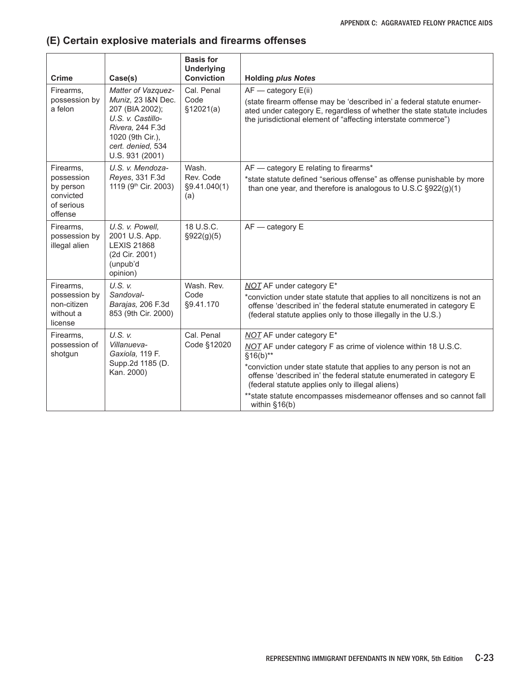## **(E) Certain explosive materials and firearms offenses**

| <b>Crime</b>                                                               | Case(s)                                                                                                                                                          | <b>Basis for</b><br><b>Underlying</b><br><b>Conviction</b> | <b>Holding plus Notes</b>                                                                                                                                                                                                                                                                                                                                                                             |
|----------------------------------------------------------------------------|------------------------------------------------------------------------------------------------------------------------------------------------------------------|------------------------------------------------------------|-------------------------------------------------------------------------------------------------------------------------------------------------------------------------------------------------------------------------------------------------------------------------------------------------------------------------------------------------------------------------------------------------------|
| Firearms.<br>possession by<br>a felon                                      | Matter of Vazquez-<br>Muniz, 23 I&N Dec.<br>207 (BIA 2002);<br>U.S. v. Castillo-<br>Rivera, 244 F.3d<br>1020 (9th Cir.),<br>cert. denied. 534<br>U.S. 931 (2001) | Cal. Penal<br>Code<br>\$12021(a)                           | $AF - category E(ii)$<br>(state firearm offense may be 'described in' a federal statute enumer-<br>ated under category E, regardless of whether the state statute includes<br>the jurisdictional element of "affecting interstate commerce")                                                                                                                                                          |
| Firearms,<br>possession<br>by person<br>convicted<br>of serious<br>offense | U.S. v. Mendoza-<br>Reyes, 331 F.3d<br>1119 (9 <sup>th</sup> Cir. 2003)                                                                                          | Wash.<br>Rev. Code<br>§9.41.040(1)<br>(a)                  | AF - category E relating to firearms*<br>*state statute defined "serious offense" as offense punishable by more<br>than one year, and therefore is analogous to $U.S.C$ $\S 922(g)(1)$                                                                                                                                                                                                                |
| Firearms,<br>possession by<br>illegal alien                                | U.S. v. Powell.<br>2001 U.S. App.<br><b>LEXIS 21868</b><br>(2d Cir. 2001)<br>(unpub'd<br>opinion)                                                                | 18 U.S.C.<br>§922(g)(5)                                    | $AF - category E$                                                                                                                                                                                                                                                                                                                                                                                     |
| Firearms,<br>possession by<br>non-citizen<br>without a<br>license          | $U.S.$ $V.$<br>Sandoval-<br>Barajas, 206 F.3d<br>853 (9th Cir. 2000)                                                                                             | Wash, Rev.<br>Code<br>§9.41.170                            | <b>NOT AF under category E*</b><br>*conviction under state statute that applies to all noncitizens is not an<br>offense 'described in' the federal statute enumerated in category E<br>(federal statute applies only to those illegally in the U.S.)                                                                                                                                                  |
| Firearms,<br>possession of<br>shotgun                                      | $U.S.$ $V.$<br>Villanueva-<br>Gaxiola, 119 F.<br>Supp.2d 1185 (D.<br>Kan. 2000)                                                                                  | Cal. Penal<br>Code §12020                                  | NOT AF under category E*<br>NOT AF under category F as crime of violence within 18 U.S.C.<br>$§16(b)**$<br>*conviction under state statute that applies to any person is not an<br>offense 'described in' the federal statute enumerated in category E<br>(federal statute applies only to illegal aliens)<br>** state statute encompasses misdemeanor offenses and so cannot fall<br>within $§16(b)$ |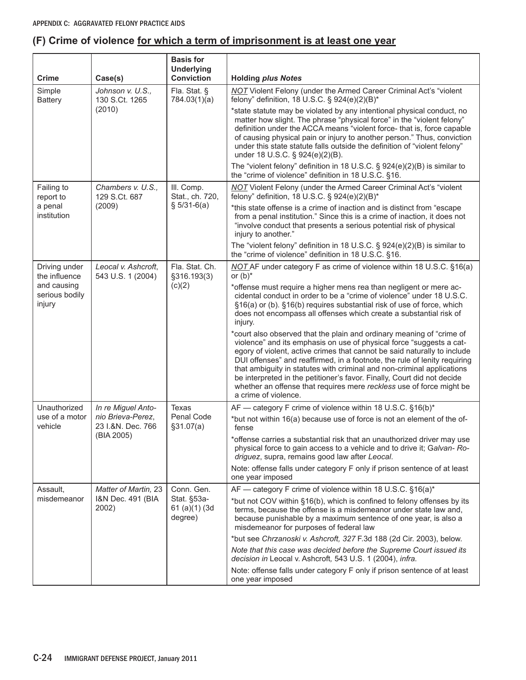## **(F) Crime of violence for which a term of imprisonment is at least one year**

| <b>Crime</b>                   | Case(s)                                                                             | <b>Basis for</b><br><b>Underlying</b><br><b>Conviction</b> | <b>Holding plus Notes</b>                                                                                                                                                                                                                                                                                                                                                                                                                                                                                                                                   |
|--------------------------------|-------------------------------------------------------------------------------------|------------------------------------------------------------|-------------------------------------------------------------------------------------------------------------------------------------------------------------------------------------------------------------------------------------------------------------------------------------------------------------------------------------------------------------------------------------------------------------------------------------------------------------------------------------------------------------------------------------------------------------|
| Simple<br><b>Battery</b>       | Johnson v. U.S.,<br>130 S.Ct. 1265                                                  | Fla. Stat. §<br>784.03(1)(a)                               | <b>NOT</b> Violent Felony (under the Armed Career Criminal Act's "violent<br>felony" definition, 18 U.S.C. § 924(e)(2)(B)*                                                                                                                                                                                                                                                                                                                                                                                                                                  |
|                                | (2010)                                                                              |                                                            | *state statute may be violated by any intentional physical conduct, no<br>matter how slight. The phrase "physical force" in the "violent felony"<br>definition under the ACCA means "violent force- that is, force capable<br>of causing physical pain or injury to another person." Thus, conviction<br>under this state statute falls outside the definition of "violent felony"<br>under 18 U.S.C. § 924(e)(2)(B).                                                                                                                                       |
|                                |                                                                                     |                                                            | The "violent felony" definition in 18 U.S.C. § 924(e)(2)(B) is similar to<br>the "crime of violence" definition in 18 U.S.C. §16.                                                                                                                                                                                                                                                                                                                                                                                                                           |
| Failing to<br>report to        | Chambers v. U.S.,<br>129 S.Ct. 687                                                  | III. Comp.<br>Stat., ch. 720,                              | <b>NOT</b> Violent Felony (under the Armed Career Criminal Act's "violent<br>felony" definition, 18 U.S.C. § 924(e)(2)(B)*                                                                                                                                                                                                                                                                                                                                                                                                                                  |
| a penal<br>institution         | (2009)                                                                              | $$5/31-6(a)$                                               | *this state offense is a crime of inaction and is distinct from "escape<br>from a penal institution." Since this is a crime of inaction, it does not<br>"involve conduct that presents a serious potential risk of physical<br>injury to another."                                                                                                                                                                                                                                                                                                          |
|                                |                                                                                     |                                                            | The "violent felony" definition in 18 U.S.C. $\S$ 924(e)(2)(B) is similar to<br>the "crime of violence" definition in 18 U.S.C. §16.                                                                                                                                                                                                                                                                                                                                                                                                                        |
| Driving under<br>the influence | Leocal v. Ashcroft,<br>543 U.S. 1 (2004)<br>and causing<br>serious bodily<br>injury | Fla. Stat. Ch.<br>§316.193(3)<br>(c)(2)                    | NOT AF under category F as crime of violence within 18 U.S.C. §16(a)<br>or $(b)^*$                                                                                                                                                                                                                                                                                                                                                                                                                                                                          |
|                                |                                                                                     |                                                            | *offense must require a higher mens rea than negligent or mere ac-<br>cidental conduct in order to be a "crime of violence" under 18 U.S.C.<br>§16(a) or (b). §16(b) requires substantial risk of use of force, which<br>does not encompass all offenses which create a substantial risk of<br>injury.                                                                                                                                                                                                                                                      |
|                                |                                                                                     |                                                            | *court also observed that the plain and ordinary meaning of "crime of<br>violence" and its emphasis on use of physical force "suggests a cat-<br>egory of violent, active crimes that cannot be said naturally to include<br>DUI offenses" and reaffirmed, in a footnote, the rule of lenity requiring<br>that ambiguity in statutes with criminal and non-criminal applications<br>be interpreted in the petitioner's favor. Finally, Court did not decide<br>whether an offense that requires mere reckless use of force might be<br>a crime of violence. |
| Unauthorized<br>use of a motor | In re Miguel Anto-<br>nio Brieva-Perez,                                             | Texas<br>Penal Code<br>\$31.07(a)                          | AF - category F crime of violence within 18 U.S.C. §16(b)*                                                                                                                                                                                                                                                                                                                                                                                                                                                                                                  |
| vehicle                        | 23 I.&N. Dec. 766                                                                   |                                                            | *but not within 16(a) because use of force is not an element of the of-<br>fense                                                                                                                                                                                                                                                                                                                                                                                                                                                                            |
|                                | (BIA 2005)                                                                          |                                                            | *offense carries a substantial risk that an unauthorized driver may use<br>physical force to gain access to a vehicle and to drive it; Galvan-Ro-<br>driguez, supra, remains good law after Leocal.                                                                                                                                                                                                                                                                                                                                                         |
|                                |                                                                                     |                                                            | Note: offense falls under category F only if prison sentence of at least<br>one year imposed                                                                                                                                                                                                                                                                                                                                                                                                                                                                |
| Assault,<br>misdemeanor        | Matter of Martin, 23<br>I&N Dec. 491 (BIA<br>2002)                                  | Conn. Gen.<br>Stat. §53a-<br>61 (a)(1) (3d)<br>degree)     | AF — category F crime of violence within 18 U.S.C. §16(a)*<br>*but not COV within §16(b), which is confined to felony offenses by its<br>terms, because the offense is a misdemeanor under state law and,<br>because punishable by a maximum sentence of one year, is also a<br>misdemeanor for purposes of federal law                                                                                                                                                                                                                                     |
|                                |                                                                                     |                                                            | *but see Chrzanoski v. Ashcroft, 327 F.3d 188 (2d Cir. 2003), below.<br>Note that this case was decided before the Supreme Court issued its                                                                                                                                                                                                                                                                                                                                                                                                                 |
|                                |                                                                                     |                                                            | decision in Leocal v. Ashcroft, 543 U.S. 1 (2004), infra.<br>Note: offense falls under category F only if prison sentence of at least<br>one year imposed                                                                                                                                                                                                                                                                                                                                                                                                   |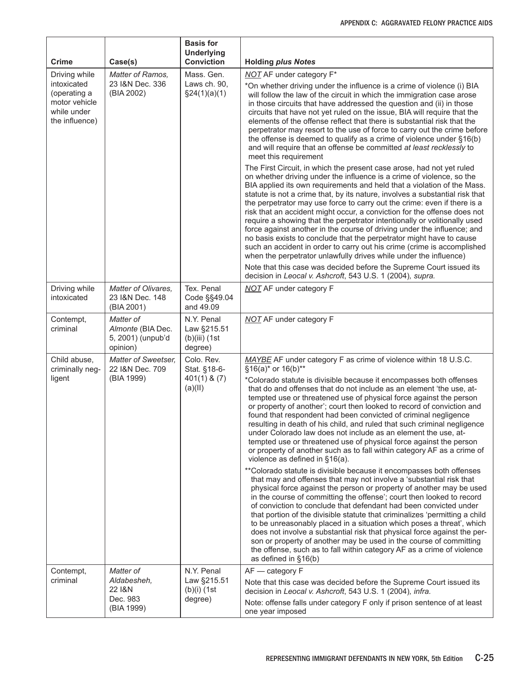| Crime                                                                                          | Case(s)                                                         | <b>Basis for</b><br><b>Underlying</b><br><b>Conviction</b> | <b>Holding plus Notes</b>                                                                                                                                                                                                                                                                                                                                                                                                                                                                                                                                                                                                                                                                                                                                                                                                                                                                                                                                                                                                                                                                                                                                                                                                                                                                                                                                                                                                                                                                                                                                                  |
|------------------------------------------------------------------------------------------------|-----------------------------------------------------------------|------------------------------------------------------------|----------------------------------------------------------------------------------------------------------------------------------------------------------------------------------------------------------------------------------------------------------------------------------------------------------------------------------------------------------------------------------------------------------------------------------------------------------------------------------------------------------------------------------------------------------------------------------------------------------------------------------------------------------------------------------------------------------------------------------------------------------------------------------------------------------------------------------------------------------------------------------------------------------------------------------------------------------------------------------------------------------------------------------------------------------------------------------------------------------------------------------------------------------------------------------------------------------------------------------------------------------------------------------------------------------------------------------------------------------------------------------------------------------------------------------------------------------------------------------------------------------------------------------------------------------------------------|
| Driving while<br>intoxicated<br>(operating a<br>motor vehicle<br>while under<br>the influence) | Matter of Ramos,<br>23 I&N Dec. 336<br>(BIA 2002)               | Mass. Gen.<br>Laws ch. 90,<br>\$24(1)(a)(1)                | <b>NOT</b> AF under category F*<br>*On whether driving under the influence is a crime of violence (i) BIA<br>will follow the law of the circuit in which the immigration case arose<br>in those circuits that have addressed the question and (ii) in those<br>circuits that have not yet ruled on the issue, BIA will require that the<br>elements of the offense reflect that there is substantial risk that the<br>perpetrator may resort to the use of force to carry out the crime before<br>the offense is deemed to qualify as a crime of violence under §16(b)<br>and will require that an offense be committed at least recklessly to<br>meet this requirement                                                                                                                                                                                                                                                                                                                                                                                                                                                                                                                                                                                                                                                                                                                                                                                                                                                                                                    |
|                                                                                                |                                                                 |                                                            | The First Circuit, in which the present case arose, had not yet ruled<br>on whether driving under the influence is a crime of violence, so the<br>BIA applied its own requirements and held that a violation of the Mass.<br>statute is not a crime that, by its nature, involves a substantial risk that<br>the perpetrator may use force to carry out the crime: even if there is a<br>risk that an accident might occur, a conviction for the offense does not<br>require a showing that the perpetrator intentionally or volitionally used<br>force against another in the course of driving under the influence; and<br>no basis exists to conclude that the perpetrator might have to cause<br>such an accident in order to carry out his crime (crime is accomplished<br>when the perpetrator unlawfully drives while under the influence)                                                                                                                                                                                                                                                                                                                                                                                                                                                                                                                                                                                                                                                                                                                          |
| Driving while                                                                                  | Matter of Olivares,                                             | Tex. Penal                                                 | Note that this case was decided before the Supreme Court issued its<br>decision in Leocal v. Ashcroft, 543 U.S. 1 (2004), supra.<br><b>NOT AF under category F</b>                                                                                                                                                                                                                                                                                                                                                                                                                                                                                                                                                                                                                                                                                                                                                                                                                                                                                                                                                                                                                                                                                                                                                                                                                                                                                                                                                                                                         |
| intoxicated                                                                                    | 23 I&N Dec. 148<br>(BIA 2001)                                   | Code §§49.04<br>and 49.09                                  |                                                                                                                                                                                                                                                                                                                                                                                                                                                                                                                                                                                                                                                                                                                                                                                                                                                                                                                                                                                                                                                                                                                                                                                                                                                                                                                                                                                                                                                                                                                                                                            |
| Contempt,<br>criminal                                                                          | Matter of<br>Almonte (BIA Dec.<br>5, 2001) (unpub'd<br>opinion) | N.Y. Penal<br>Law §215.51<br>$(b)(iii)$ (1st<br>degree)    | <b>NOT</b> AF under category F                                                                                                                                                                                                                                                                                                                                                                                                                                                                                                                                                                                                                                                                                                                                                                                                                                                                                                                                                                                                                                                                                                                                                                                                                                                                                                                                                                                                                                                                                                                                             |
| Child abuse,<br>criminally neg-<br>ligent                                                      | Matter of Sweetser,<br>22 I&N Dec. 709<br>(BIA 1999)            | Colo. Rev.<br>Stat. §18-6-<br>$401(1)$ & $(7)$<br>(a)(II)  | MAYBE AF under category F as crime of violence within 18 U.S.C.<br>§16(a)* or 16(b)**<br>*Colorado statute is divisible because it encompasses both offenses<br>that do and offenses that do not include as an element 'the use, at-<br>tempted use or threatened use of physical force against the person<br>or property of another'; court then looked to record of conviction and<br>found that respondent had been convicted of criminal negligence<br>resulting in death of his child, and ruled that such criminal negligence<br>under Colorado law does not include as an element the use, at-<br>tempted use or threatened use of physical force against the person<br>or property of another such as to fall within category AF as a crime of<br>violence as defined in §16(a).<br>** Colorado statute is divisible because it encompasses both offenses<br>that may and offenses that may not involve a 'substantial risk that<br>physical force against the person or property of another may be used<br>in the course of committing the offense'; court then looked to record<br>of conviction to conclude that defendant had been convicted under<br>that portion of the divisible statute that criminalizes 'permitting a child<br>to be unreasonably placed in a situation which poses a threat', which<br>does not involve a substantial risk that physical force against the per-<br>son or property of another may be used in the course of committing<br>the offense, such as to fall within category AF as a crime of violence<br>as defined in §16(b) |
| Contempt,<br>criminal                                                                          | Matter of<br>Aldabesheh,<br>22 I&N<br>Dec. 983<br>(BIA 1999)    | N.Y. Penal<br>Law §215.51<br>$(b)(i)$ (1st<br>degree)      | AF - category F<br>Note that this case was decided before the Supreme Court issued its<br>decision in Leocal v. Ashcroft, 543 U.S. 1 (2004), infra.<br>Note: offense falls under category F only if prison sentence of at least<br>one year imposed                                                                                                                                                                                                                                                                                                                                                                                                                                                                                                                                                                                                                                                                                                                                                                                                                                                                                                                                                                                                                                                                                                                                                                                                                                                                                                                        |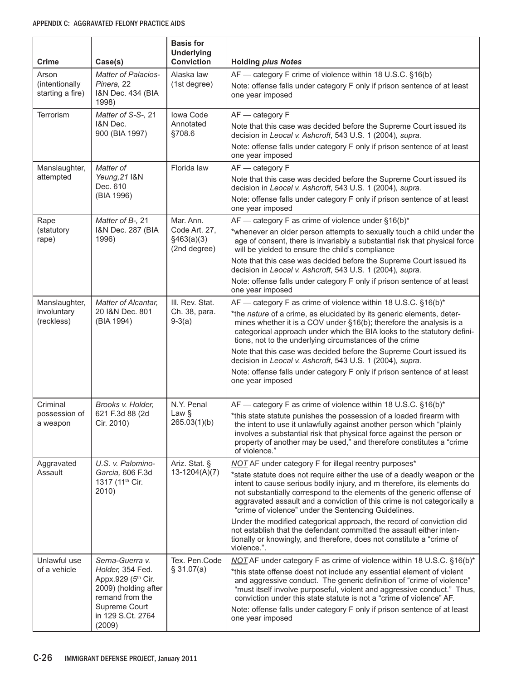| <b>Crime</b>                                 | Case(s)                                                                                                                                              | <b>Basis for</b><br><b>Underlying</b><br><b>Conviction</b> | <b>Holding plus Notes</b>                                                                                                                                                                                                                                                                                                                                                                                                                                                                                                                                                                                                                                           |
|----------------------------------------------|------------------------------------------------------------------------------------------------------------------------------------------------------|------------------------------------------------------------|---------------------------------------------------------------------------------------------------------------------------------------------------------------------------------------------------------------------------------------------------------------------------------------------------------------------------------------------------------------------------------------------------------------------------------------------------------------------------------------------------------------------------------------------------------------------------------------------------------------------------------------------------------------------|
| Arson<br>(intentionally)<br>starting a fire) | <b>Matter of Palacios-</b><br>Pinera, 22<br>I&N Dec. 434 (BIA<br>1998)                                                                               | Alaska law<br>(1st degree)                                 | AF — category F crime of violence within 18 U.S.C. §16(b)<br>Note: offense falls under category F only if prison sentence of at least<br>one year imposed                                                                                                                                                                                                                                                                                                                                                                                                                                                                                                           |
| Terrorism                                    | Matter of S-S-, 21<br>I&N Dec.<br>900 (BIA 1997)                                                                                                     | Iowa Code<br>Annotated<br>§708.6                           | AF - category F<br>Note that this case was decided before the Supreme Court issued its<br>decision in Leocal v. Ashcroft, 543 U.S. 1 (2004), supra.<br>Note: offense falls under category F only if prison sentence of at least<br>one year imposed                                                                                                                                                                                                                                                                                                                                                                                                                 |
| Manslaughter,<br>attempted                   | Matter of<br>Yeung, 21 I&N<br>Dec. 610<br>(BIA 1996)                                                                                                 | Florida law                                                | AF - category F<br>Note that this case was decided before the Supreme Court issued its<br>decision in Leocal v. Ashcroft, 543 U.S. 1 (2004), supra.<br>Note: offense falls under category F only if prison sentence of at least<br>one year imposed                                                                                                                                                                                                                                                                                                                                                                                                                 |
| Rape<br>(statutory<br>rape)                  | Matter of B-, 21<br>I&N Dec. 287 (BIA<br>1996)                                                                                                       | Mar. Ann.<br>Code Art. 27,<br>§463(a)(3)<br>(2nd degree)   | AF - category F as crime of violence under §16(b)*<br>*whenever an older person attempts to sexually touch a child under the<br>age of consent, there is invariably a substantial risk that physical force<br>will be yielded to ensure the child's compliance<br>Note that this case was decided before the Supreme Court issued its<br>decision in Leocal v. Ashcroft, 543 U.S. 1 (2004), supra.                                                                                                                                                                                                                                                                  |
| Manslaughter,<br>involuntary<br>(reckless)   | Matter of Alcantar,<br>20 I&N Dec. 801<br>(BIA 1994)                                                                                                 | III. Rev. Stat.<br>Ch. 38, para.<br>$9-3(a)$               | Note: offense falls under category F only if prison sentence of at least<br>one year imposed<br>AF - category F as crime of violence within 18 U.S.C. §16(b)*<br>*the nature of a crime, as elucidated by its generic elements, deter-<br>mines whether it is a COV under §16(b); therefore the analysis is a<br>categorical approach under which the BIA looks to the statutory defini-<br>tions, not to the underlying circumstances of the crime<br>Note that this case was decided before the Supreme Court issued its<br>decision in Leocal v. Ashcroft, 543 U.S. 1 (2004), supra.                                                                             |
|                                              |                                                                                                                                                      |                                                            | Note: offense falls under category F only if prison sentence of at least<br>one year imposed                                                                                                                                                                                                                                                                                                                                                                                                                                                                                                                                                                        |
| Criminal<br>possession of<br>a weapon        | Brooks v. Holder,<br>621 F.3d 88 (2d<br>Cir. 2010)                                                                                                   | N.Y. Penal<br>Law $\S$<br>265.03(1)(b)                     | AF - category F as crime of violence within 18 U.S.C. §16(b)*<br>*this state statute punishes the possession of a loaded firearm with<br>the intent to use it unlawfully against another person which "plainly<br>involves a substantial risk that physical force against the person or<br>property of another may be used," and therefore constitutes a "crime<br>of violence."                                                                                                                                                                                                                                                                                    |
| Aggravated<br>Assault                        | U.S. v. Palomino-<br>Garcia, 606 F.3d<br>1317 (11 <sup>th</sup> Cir.<br>2010)                                                                        | Ariz. Stat. §<br>$13-1204(A)(7)$                           | NOT AF under category F for illegal reentry purposes*<br>*state statute does not require either the use of a deadly weapon or the<br>intent to cause serious bodily injury, and m therefore, its elements do<br>not substantially correspond to the elements of the generic offense of<br>aggravated assault and a conviction of this crime is not categorically a<br>"crime of violence" under the Sentencing Guidelines.<br>Under the modified categorical approach, the record of conviction did<br>not establish that the defendant committed the assault either inten-<br>tionally or knowingly, and therefore, does not constitute a "crime of<br>violence.". |
| Unlawful use<br>of a vehicle                 | Serna-Guerra v.<br>Holder, 354 Fed.<br>Appx.929 (5th Cir.<br>2009) (holding after<br>remand from the<br>Supreme Court<br>in 129 S.Ct. 2764<br>(2009) | Tex. Pen.Code<br>\$31.07(a)                                | NOT AF under category F as crime of violence within 18 U.S.C. §16(b)*<br>*this state offense doest not include any essential element of violent<br>and aggressive conduct. The generic definition of "crime of violence"<br>"must itself involve purposeful, violent and aggressive conduct." Thus,<br>conviction under this state statute is not a "crime of violence" AF.<br>Note: offense falls under category F only if prison sentence of at least<br>one year imposed                                                                                                                                                                                         |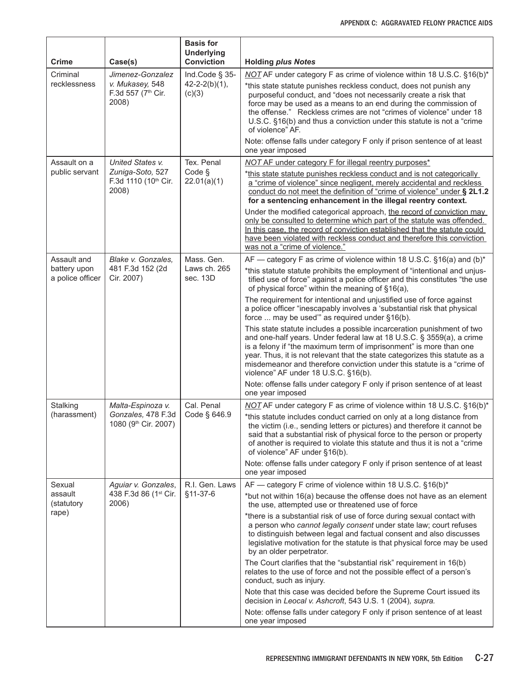| <b>Crime</b>                     | Case(s)                                        | <b>Basis for</b><br><b>Underlying</b><br><b>Conviction</b> | <b>Holding plus Notes</b>                                                                                                                                                                                                                                                                                                                                                                                                                                  |
|----------------------------------|------------------------------------------------|------------------------------------------------------------|------------------------------------------------------------------------------------------------------------------------------------------------------------------------------------------------------------------------------------------------------------------------------------------------------------------------------------------------------------------------------------------------------------------------------------------------------------|
| Criminal                         | Jimenez-Gonzalez                               | Ind.Code § 35-                                             | NOT AF under category F as crime of violence within 18 U.S.C. §16(b)*                                                                                                                                                                                                                                                                                                                                                                                      |
| recklessness                     | v. Mukasey, 548<br>F.3d 557 (7th Cir.<br>2008) | $42 - 2 - 2(b)(1)$ ,<br>(c)(3)                             | *this state statute punishes reckless conduct, does not punish any<br>purposeful conduct, and "does not necessarily create a risk that<br>force may be used as a means to an end during the commission of<br>the offense." Reckless crimes are not "crimes of violence" under 18<br>U.S.C. §16(b) and thus a conviction under this statute is not a "crime<br>of violence" AF.<br>Note: offense falls under category F only if prison sentence of at least |
|                                  |                                                |                                                            | one year imposed                                                                                                                                                                                                                                                                                                                                                                                                                                           |
| Assault on a<br>public servant   | United States v.<br>Zuniga-Soto, 527           | Tex. Penal<br>Code §                                       | NOT AF under category F for illegal reentry purposes*                                                                                                                                                                                                                                                                                                                                                                                                      |
|                                  | F.3d 1110 (10th Cir.<br>2008)                  | 22.01(a)(1)                                                | *this state statute punishes reckless conduct and is not categorically<br>a "crime of violence" since negligent, merely accidental and reckless<br>conduct do not meet the definition of "crime of violence" under § 2L1.2<br>for a sentencing enhancement in the illegal reentry context.                                                                                                                                                                 |
|                                  |                                                |                                                            | Under the modified categorical approach, the record of conviction may<br>only be consulted to determine which part of the statute was offended.<br>In this case, the record of conviction established that the statute could<br>have been violated with reckless conduct and therefore this conviction<br>was not a "crime of violence."                                                                                                                   |
| Assault and                      | Blake v. Gonzales,                             | Mass. Gen.                                                 | AF — category F as crime of violence within 18 U.S.C. §16(a) and (b)*                                                                                                                                                                                                                                                                                                                                                                                      |
| battery upon<br>a police officer | 481 F.3d 152 (2d<br>Cir. 2007)                 | Laws ch. 265<br>sec. 13D                                   | *this statute statute prohibits the employment of "intentional and unjus-<br>tified use of force" against a police officer and this constitutes "the use<br>of physical force" within the meaning of §16(a),                                                                                                                                                                                                                                               |
|                                  |                                                |                                                            | The requirement for intentional and unjustified use of force against<br>a police officer "inescapably involves a 'substantial risk that physical<br>force  may be used" as required under §16(b).                                                                                                                                                                                                                                                          |
|                                  |                                                |                                                            | This state statute includes a possible incarceration punishment of two<br>and one-half years. Under federal law at 18 U.S.C. § 3559(a), a crime<br>is a felony if "the maximum term of imprisonment" is more than one<br>year. Thus, it is not relevant that the state categorizes this statute as a<br>misdemeanor and therefore conviction under this statute is a "crime of<br>violence" AF under 18 U.S.C. §16(b).                                     |
|                                  |                                                |                                                            | Note: offense falls under category F only if prison sentence of at least<br>one year imposed                                                                                                                                                                                                                                                                                                                                                               |
| Stalking<br>(harassment)         | Malta-Espinoza v.                              | Cal. Penal<br>Code § 646.9                                 | NOT AF under category F as crime of violence within 18 U.S.C. §16(b)*                                                                                                                                                                                                                                                                                                                                                                                      |
|                                  | Gonzales, 478 F.3d<br>1080 (9th Cir. 2007)     |                                                            | *this statute includes conduct carried on only at a long distance from<br>the victim (i.e., sending letters or pictures) and therefore it cannot be<br>said that a substantial risk of physical force to the person or property<br>of another is required to violate this statute and thus it is not a "crime"<br>of violence" AF under §16(b).                                                                                                            |
|                                  |                                                |                                                            | Note: offense falls under category F only if prison sentence of at least<br>one year imposed                                                                                                                                                                                                                                                                                                                                                               |
| Sexual                           | Aguiar v. Gonzales,                            | R.I. Gen. Laws                                             | AF — category F crime of violence within 18 U.S.C. §16(b)*                                                                                                                                                                                                                                                                                                                                                                                                 |
| assault<br>(statutory<br>rape)   | 438 F.3d 86 (1st Cir.<br>2006)                 | §11-37-6                                                   | *but not within 16(a) because the offense does not have as an element<br>the use, attempted use or threatened use of force                                                                                                                                                                                                                                                                                                                                 |
|                                  |                                                |                                                            | *there is a substantial risk of use of force during sexual contact with<br>a person who cannot legally consent under state law; court refuses<br>to distinguish between legal and factual consent and also discusses<br>legislative motivation for the statute is that physical force may be used<br>by an older perpetrator.                                                                                                                              |
|                                  |                                                |                                                            | The Court clarifies that the "substantial risk" requirement in 16(b)<br>relates to the use of force and not the possible effect of a person's<br>conduct, such as injury.                                                                                                                                                                                                                                                                                  |
|                                  |                                                |                                                            | Note that this case was decided before the Supreme Court issued its<br>decision in Leocal v. Ashcroft, 543 U.S. 1 (2004), supra.                                                                                                                                                                                                                                                                                                                           |
|                                  |                                                |                                                            | Note: offense falls under category F only if prison sentence of at least<br>one year imposed                                                                                                                                                                                                                                                                                                                                                               |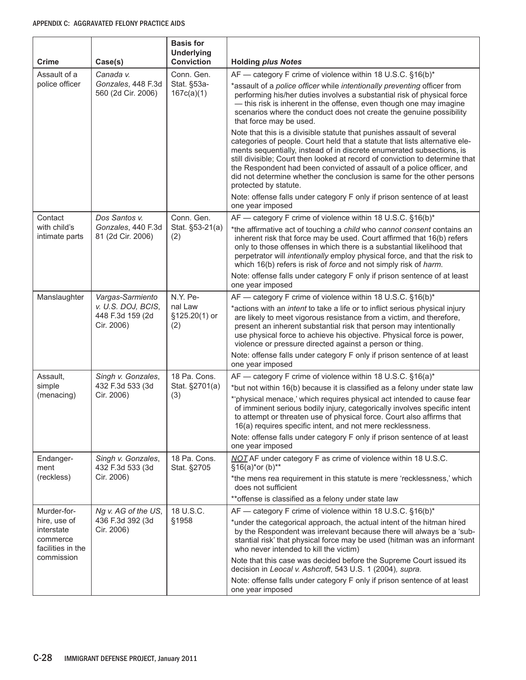| <b>Crime</b>                                                | Case(s)                                              | <b>Basis for</b><br><b>Underlying</b><br><b>Conviction</b> | <b>Holding plus Notes</b>                                                                                                                                                                                                                                                                                                                                                                                                                                                                  |
|-------------------------------------------------------------|------------------------------------------------------|------------------------------------------------------------|--------------------------------------------------------------------------------------------------------------------------------------------------------------------------------------------------------------------------------------------------------------------------------------------------------------------------------------------------------------------------------------------------------------------------------------------------------------------------------------------|
| Assault of a                                                | Canada v.                                            | Conn. Gen.                                                 | AF — category F crime of violence within 18 U.S.C. §16(b)*                                                                                                                                                                                                                                                                                                                                                                                                                                 |
| police officer                                              | Gonzales, 448 F.3d<br>560 (2d Cir. 2006)             | Stat. §53a-<br>167c(a)(1)                                  | *assault of a police officer while intentionally preventing officer from<br>performing his/her duties involves a substantial risk of physical force<br>- this risk is inherent in the offense, even though one may imagine<br>scenarios where the conduct does not create the genuine possibility<br>that force may be used.                                                                                                                                                               |
|                                                             |                                                      |                                                            | Note that this is a divisible statute that punishes assault of several<br>categories of people. Court held that a statute that lists alternative ele-<br>ments sequentially, instead of in discrete enumerated subsections, is<br>still divisible; Court then looked at record of conviction to determine that<br>the Respondent had been convicted of assault of a police officer, and<br>did not determine whether the conclusion is same for the other persons<br>protected by statute. |
|                                                             |                                                      |                                                            | Note: offense falls under category F only if prison sentence of at least<br>one year imposed                                                                                                                                                                                                                                                                                                                                                                                               |
| Contact                                                     | Dos Santos v.                                        | Conn. Gen.                                                 | AF - category F crime of violence within 18 U.S.C. §16(b)*                                                                                                                                                                                                                                                                                                                                                                                                                                 |
| with child's<br>intimate parts                              | Gonzales, 440 F.3d<br>81 (2d Cir. 2006)              | Stat. §53-21(a)<br>(2)                                     | *the affirmative act of touching a child who cannot consent contains an<br>inherent risk that force may be used. Court affirmed that 16(b) refers<br>only to those offenses in which there is a substantial likelihood that<br>perpetrator will intentionally employ physical force, and that the risk to<br>which 16(b) refers is risk of force and not simply risk of harm.                                                                                                              |
|                                                             |                                                      |                                                            | Note: offense falls under category F only if prison sentence of at least<br>one year imposed                                                                                                                                                                                                                                                                                                                                                                                               |
| Manslaughter                                                | Vargas-Sarmiento                                     | N.Y. Pe-                                                   | AF - category F crime of violence within 18 U.S.C. §16(b)*                                                                                                                                                                                                                                                                                                                                                                                                                                 |
|                                                             | v. U.S. DOJ, BCIS,<br>448 F.3d 159 (2d<br>Cir. 2006) | nal Law<br>§125.20(1) or<br>(2)                            | *actions with an intent to take a life or to inflict serious physical injury<br>are likely to meet vigorous resistance from a victim, and therefore,<br>present an inherent substantial risk that person may intentionally<br>use physical force to achieve his objective. Physical force is power,<br>violence or pressure directed against a person or thing.                                                                                                                            |
|                                                             |                                                      |                                                            | Note: offense falls under category F only if prison sentence of at least<br>one year imposed                                                                                                                                                                                                                                                                                                                                                                                               |
| Assault,                                                    | Singh v. Gonzales,                                   | 18 Pa. Cons.<br>Stat. §2701(a)<br>(3)                      | AF - category F crime of violence within 18 U.S.C. §16(a)*                                                                                                                                                                                                                                                                                                                                                                                                                                 |
| simple<br>(menacing)                                        | 432 F.3d 533 (3d                                     |                                                            | *but not within 16(b) because it is classified as a felony under state law                                                                                                                                                                                                                                                                                                                                                                                                                 |
|                                                             | Cir. 2006)                                           |                                                            | *'physical menace,' which requires physical act intended to cause fear<br>of imminent serious bodily injury, categorically involves specific intent<br>to attempt or threaten use of physical force. Court also affirms that<br>16(a) requires specific intent, and not mere recklessness.                                                                                                                                                                                                 |
|                                                             |                                                      |                                                            | Note: offense falls under category F only if prison sentence of at least<br>one year imposed                                                                                                                                                                                                                                                                                                                                                                                               |
| Endanger-<br>ment                                           | Singh v. Gonzales,<br>432 F.3d 533 (3d               | 18 Pa. Cons.<br>Stat. §2705                                | NOT AF under category F as crime of violence within 18 U.S.C.<br>§16(a)*or (b)**                                                                                                                                                                                                                                                                                                                                                                                                           |
| (reckless)                                                  | Cir. 2006)                                           |                                                            | *the mens rea requirement in this statute is mere 'recklessness,' which<br>does not sufficient                                                                                                                                                                                                                                                                                                                                                                                             |
|                                                             |                                                      |                                                            | ** offense is classified as a felony under state law                                                                                                                                                                                                                                                                                                                                                                                                                                       |
| Murder-for-                                                 | Ng v. AG of the US,                                  | 18 U.S.C.                                                  | AF — category F crime of violence within 18 U.S.C. §16(b)*                                                                                                                                                                                                                                                                                                                                                                                                                                 |
| hire, use of<br>interstate<br>commerce<br>facilities in the | 436 F.3d 392 (3d<br>Cir. 2006)                       | §1958                                                      | *under the categorical approach, the actual intent of the hitman hired<br>by the Respondent was irrelevant because there will always be a 'sub-<br>stantial risk' that physical force may be used (hitman was an informant<br>who never intended to kill the victim)                                                                                                                                                                                                                       |
| commission                                                  |                                                      |                                                            | Note that this case was decided before the Supreme Court issued its<br>decision in Leocal v. Ashcroft, 543 U.S. 1 (2004), supra.                                                                                                                                                                                                                                                                                                                                                           |
|                                                             |                                                      |                                                            | Note: offense falls under category F only if prison sentence of at least<br>one year imposed                                                                                                                                                                                                                                                                                                                                                                                               |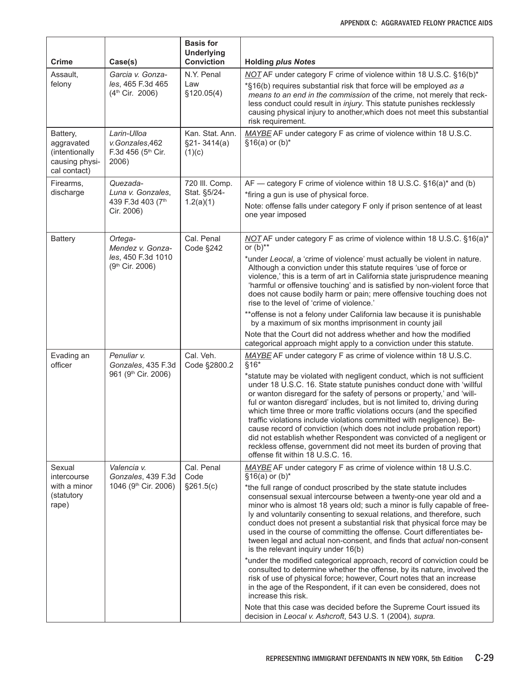| <b>Crime</b>                                                               | Case(s)                                                      | <b>Basis for</b><br><b>Underlying</b><br><b>Conviction</b> | <b>Holding plus Notes</b>                                                                                                                                                                                                                                                                                                                                                                                                                                                                                                                                                                                                                 |
|----------------------------------------------------------------------------|--------------------------------------------------------------|------------------------------------------------------------|-------------------------------------------------------------------------------------------------------------------------------------------------------------------------------------------------------------------------------------------------------------------------------------------------------------------------------------------------------------------------------------------------------------------------------------------------------------------------------------------------------------------------------------------------------------------------------------------------------------------------------------------|
| Assault,                                                                   | Garcia v. Gonza-                                             | N.Y. Penal                                                 | NOT AF under category F crime of violence within 18 U.S.C. §16(b)*                                                                                                                                                                                                                                                                                                                                                                                                                                                                                                                                                                        |
| felony                                                                     | les, 465 F.3d 465<br>(4 <sup>th</sup> Cir. 2006)             | Law<br>§120.05(4)                                          | *§16(b) requires substantial risk that force will be employed as a<br>means to an end in the commission of the crime, not merely that reck-<br>less conduct could result in injury. This statute punishes recklessly<br>causing physical injury to another, which does not meet this substantial<br>risk requirement.                                                                                                                                                                                                                                                                                                                     |
| Battery,<br>aggravated<br>(intentionally<br>causing physi-<br>cal contact) | Larin-Ulloa<br>v.Gonzales,462<br>F.3d 456 (5th Cir.<br>2006) | Kan. Stat. Ann.<br>$§21 - 3414(a)$<br>(1)(c)               | MAYBE AF under category F as crime of violence within 18 U.S.C.<br>$§16(a)$ or (b)*                                                                                                                                                                                                                                                                                                                                                                                                                                                                                                                                                       |
| Firearms,                                                                  | Quezada-                                                     | 720 III. Comp.                                             | AF — category F crime of violence within 18 U.S.C. §16(a)* and (b)                                                                                                                                                                                                                                                                                                                                                                                                                                                                                                                                                                        |
| discharge                                                                  | Luna v. Gonzales,<br>439 F.3d 403 (7th                       | Stat. §5/24-<br>1.2(a)(1)                                  | *firing a gun is use of physical force.                                                                                                                                                                                                                                                                                                                                                                                                                                                                                                                                                                                                   |
|                                                                            | Cir. 2006)                                                   |                                                            | Note: offense falls under category F only if prison sentence of at least<br>one year imposed                                                                                                                                                                                                                                                                                                                                                                                                                                                                                                                                              |
| <b>Battery</b>                                                             | Ortega-<br>Mendez v. Gonza-                                  | Cal. Penal<br>Code §242                                    | NOT AF under category F as crime of violence within 18 U.S.C. §16(a)*<br>or $(b)$ **                                                                                                                                                                                                                                                                                                                                                                                                                                                                                                                                                      |
|                                                                            | les, 450 F.3d 1010<br>(9 <sup>th</sup> Cir. 2006)            |                                                            | *under Leocal, a 'crime of violence' must actually be violent in nature.<br>Although a conviction under this statute requires 'use of force or<br>violence,' this is a term of art in California state jurisprudence meaning<br>'harmful or offensive touching' and is satisfied by non-violent force that<br>does not cause bodily harm or pain; mere offensive touching does not<br>rise to the level of 'crime of violence.'                                                                                                                                                                                                           |
|                                                                            |                                                              |                                                            | ** offense is not a felony under California law because it is punishable<br>by a maximum of six months imprisonment in county jail                                                                                                                                                                                                                                                                                                                                                                                                                                                                                                        |
|                                                                            |                                                              |                                                            | Note that the Court did not address whether and how the modified<br>categorical approach might apply to a conviction under this statute.                                                                                                                                                                                                                                                                                                                                                                                                                                                                                                  |
| Evading an<br>officer                                                      | Penuliar v.<br>Gonzales, 435 F.3d<br>961 (9th Cir. 2006)     | Cal. Veh.<br>Code §2800.2                                  | MAYBE AF under category F as crime of violence within 18 U.S.C.<br>$§16*$<br>*statute may be violated with negligent conduct, which is not sufficient                                                                                                                                                                                                                                                                                                                                                                                                                                                                                     |
|                                                                            |                                                              |                                                            | under 18 U.S.C. 16. State statute punishes conduct done with 'willful<br>or wanton disregard for the safety of persons or property,' and 'will-<br>ful or wanton disregard' includes, but is not limited to, driving during<br>which time three or more traffic violations occurs (and the specified<br>traffic violations include violations committed with negligence). Be-<br>cause record of conviction (which does not include probation report)<br>did not establish whether Respondent was convicted of a negligent or<br>reckless offense, government did not meet its burden of proving that<br>offense fit within 18 U.S.C. 16. |
| Sexual<br>intercourse                                                      | Valencia v.<br>Gonzales, 439 F.3d                            | Cal. Penal<br>Code                                         | MAYBE AF under category F as crime of violence within 18 U.S.C.<br>$§16(a)$ or (b)*                                                                                                                                                                                                                                                                                                                                                                                                                                                                                                                                                       |
| with a minor<br>(statutory<br>rape)                                        | 1046 (9 <sup>th</sup> Cir. 2006)                             | §261.5(c)                                                  | *the full range of conduct proscribed by the state statute includes<br>consensual sexual intercourse between a twenty-one year old and a<br>minor who is almost 18 years old; such a minor is fully capable of free-<br>ly and voluntarily consenting to sexual relations, and therefore, such<br>conduct does not present a substantial risk that physical force may be<br>used in the course of committing the offense. Court differentiates be-<br>tween legal and actual non-consent, and finds that actual non-consent<br>is the relevant inquiry under 16(b)                                                                        |
|                                                                            |                                                              |                                                            | *under the modified categorical approach, record of conviction could be<br>consulted to determine whether the offense, by its nature, involved the<br>risk of use of physical force; however, Court notes that an increase<br>in the age of the Respondent, if it can even be considered, does not<br>increase this risk.                                                                                                                                                                                                                                                                                                                 |
|                                                                            |                                                              |                                                            | Note that this case was decided before the Supreme Court issued its<br>decision in Leocal v. Ashcroft, 543 U.S. 1 (2004), supra.                                                                                                                                                                                                                                                                                                                                                                                                                                                                                                          |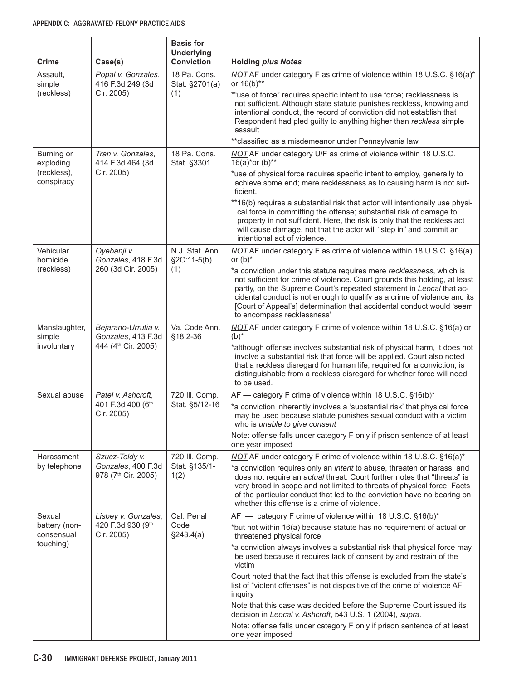| <b>Crime</b>                             | Case(s)                                               | <b>Basis for</b><br><b>Underlying</b><br><b>Conviction</b> | <b>Holding plus Notes</b>                                                                                                                                                                                                                                                                                                                                                                                      |
|------------------------------------------|-------------------------------------------------------|------------------------------------------------------------|----------------------------------------------------------------------------------------------------------------------------------------------------------------------------------------------------------------------------------------------------------------------------------------------------------------------------------------------------------------------------------------------------------------|
| Assault,<br>simple                       | Popal v. Gonzales,<br>416 F.3d 249 (3d                | 18 Pa. Cons.<br>Stat. §2701(a)                             | NOT AF under category F as crime of violence within 18 U.S.C. §16(a)*<br>or 16(b)**                                                                                                                                                                                                                                                                                                                            |
| (reckless)                               | Cir. 2005)                                            | (1)                                                        | *"use of force" requires specific intent to use force; recklessness is<br>not sufficient. Although state statute punishes reckless, knowing and<br>intentional conduct, the record of conviction did not establish that<br>Respondent had pled guilty to anything higher than reckless simple<br>assault<br>** classified as a misdemeanor under Pennsylvania law                                              |
| Burning or                               | Tran v. Gonzales,                                     | 18 Pa. Cons.                                               | NOT AF under category U/F as crime of violence within 18 U.S.C.                                                                                                                                                                                                                                                                                                                                                |
| exploding<br>(reckless),<br>conspiracy   | 414 F.3d 464 (3d<br>Cir. 2005)                        | Stat. §3301                                                | $16(a)*$ or (b)**<br>*use of physical force requires specific intent to employ, generally to<br>achieve some end; mere recklessness as to causing harm is not suf-<br>ficient.                                                                                                                                                                                                                                 |
|                                          |                                                       |                                                            | **16(b) requires a substantial risk that actor will intentionally use physi-<br>cal force in committing the offense; substantial risk of damage to<br>property in not sufficient. Here, the risk is only that the reckless act<br>will cause damage, not that the actor will "step in" and commit an<br>intentional act of violence.                                                                           |
| Vehicular<br>homicide                    | Oyebanji v.<br>Gonzales, 418 F.3d                     | N.J. Stat. Ann.<br>$\S2C:11-5(b)$                          | NOT AF under category F as crime of violence within 18 U.S.C. §16(a)<br>or $(b)^*$                                                                                                                                                                                                                                                                                                                             |
| (reckless)                               | 260 (3d Cir. 2005)                                    | (1)                                                        | *a conviction under this statute requires mere recklessness, which is<br>not sufficient for crime of violence. Court grounds this holding, at least<br>partly, on the Supreme Court's repeated statement in Leocal that ac-<br>cidental conduct is not enough to qualify as a crime of violence and its<br>[Court of Appeal's] determination that accidental conduct would 'seem<br>to encompass recklessness' |
| Manslaughter,<br>simple                  | Bejarano-Urrutia v.<br>Gonzales, 413 F.3d             | Va. Code Ann.<br>§18.2-36                                  | NOT AF under category F crime of violence within 18 U.S.C. §16(a) or<br>$(b)^*$                                                                                                                                                                                                                                                                                                                                |
| involuntary                              | 444 (4 <sup>th</sup> Cir. 2005)                       |                                                            | *although offense involves substantial risk of physical harm, it does not<br>involve a substantial risk that force will be applied. Court also noted<br>that a reckless disregard for human life, required for a conviction, is<br>distinguishable from a reckless disregard for whether force will need<br>to be used.                                                                                        |
| Sexual abuse                             | Patel v. Ashcroft,                                    | 720 III. Comp.                                             | AF - category F crime of violence within 18 U.S.C. §16(b)*                                                                                                                                                                                                                                                                                                                                                     |
|                                          | 401 F.3d 400 (6th<br>Cir. 2005)                       | Stat. §5/12-16                                             | *a conviction inherently involves a 'substantial risk' that physical force<br>may be used because statute punishes sexual conduct with a victim<br>who is <i>unable to give consent</i>                                                                                                                                                                                                                        |
|                                          |                                                       |                                                            | Note: offense falls under category F only if prison sentence of at least<br>one year imposed                                                                                                                                                                                                                                                                                                                   |
| Harassment                               | Szucz-Toldy v.                                        | 720 III. Comp.                                             | NOT AF under category F crime of violence within 18 U.S.C. §16(a)*                                                                                                                                                                                                                                                                                                                                             |
| by telephone                             | Gonzales, 400 F.3d<br>978 (7 <sup>th</sup> Cir. 2005) | Stat. §135/1-<br>1(2)                                      | *a conviction requires only an intent to abuse, threaten or harass, and<br>does not require an actual threat. Court further notes that "threats" is<br>very broad in scope and not limited to threats of physical force. Facts<br>of the particular conduct that led to the conviction have no bearing on<br>whether this offense is a crime of violence.                                                      |
| Sexual                                   | Lisbey v. Gonzales,                                   | Cal. Penal                                                 | AF - category F crime of violence within 18 U.S.C. §16(b)*                                                                                                                                                                                                                                                                                                                                                     |
| battery (non-<br>consensual<br>touching) | 420 F.3d 930 (9th<br>Cir. 2005)                       | Code<br>§243.4(a)                                          | *but not within 16(a) because statute has no requirement of actual or<br>threatened physical force                                                                                                                                                                                                                                                                                                             |
|                                          |                                                       |                                                            | *a conviction always involves a substantial risk that physical force may<br>be used because it requires lack of consent by and restrain of the<br>victim                                                                                                                                                                                                                                                       |
|                                          |                                                       |                                                            | Court noted that the fact that this offense is excluded from the state's<br>list of "violent offenses" is not dispositive of the crime of violence AF<br>inquiry                                                                                                                                                                                                                                               |
|                                          |                                                       |                                                            | Note that this case was decided before the Supreme Court issued its<br>decision in Leocal v. Ashcroft, 543 U.S. 1 (2004), supra.                                                                                                                                                                                                                                                                               |
|                                          |                                                       |                                                            | Note: offense falls under category F only if prison sentence of at least<br>one year imposed                                                                                                                                                                                                                                                                                                                   |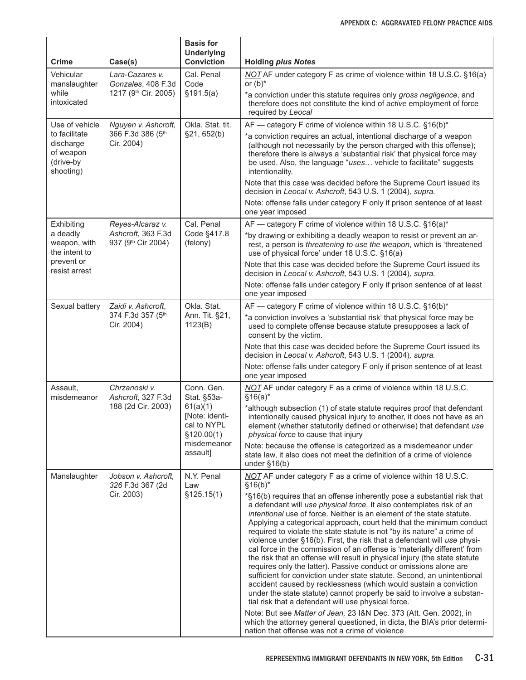| <b>Crime</b>                                                      | Case(s)                                               | <b>Basis for</b><br><b>Underlying</b><br><b>Conviction</b>                                                       | <b>Holding plus Notes</b>                                                                                                                                                                                                                                                                                                                                                                                                                                                                                                                                                                                                                                                                                                                                                                                                                                                                                                                                                                                                                     |
|-------------------------------------------------------------------|-------------------------------------------------------|------------------------------------------------------------------------------------------------------------------|-----------------------------------------------------------------------------------------------------------------------------------------------------------------------------------------------------------------------------------------------------------------------------------------------------------------------------------------------------------------------------------------------------------------------------------------------------------------------------------------------------------------------------------------------------------------------------------------------------------------------------------------------------------------------------------------------------------------------------------------------------------------------------------------------------------------------------------------------------------------------------------------------------------------------------------------------------------------------------------------------------------------------------------------------|
| Vehicular<br>manslaughter                                         | Lara-Cazares v.<br>Gonzales, 408 F.3d                 | Cal. Penal<br>Code                                                                                               | NOT AF under category F as crime of violence within 18 U.S.C. §16(a)<br>or $(b)^*$                                                                                                                                                                                                                                                                                                                                                                                                                                                                                                                                                                                                                                                                                                                                                                                                                                                                                                                                                            |
| while<br>intoxicated                                              | 1217 (9 <sup>th</sup> Cir. 2005)                      | \$191.5(a)                                                                                                       | *a conviction under this statute requires only gross negligence, and<br>therefore does not constitute the kind of active employment of force<br>required by Leocal                                                                                                                                                                                                                                                                                                                                                                                                                                                                                                                                                                                                                                                                                                                                                                                                                                                                            |
| Use of vehicle                                                    | Nguyen v. Ashcroft,                                   | Okla. Stat. tit.                                                                                                 | AF - category F crime of violence within 18 U.S.C. §16(b)*                                                                                                                                                                                                                                                                                                                                                                                                                                                                                                                                                                                                                                                                                                                                                                                                                                                                                                                                                                                    |
| to facilitate<br>discharge<br>of weapon<br>(drive-by<br>shooting) | 366 F.3d 386 (5th<br>Cir. 2004)                       | §21, 652(b)                                                                                                      | *a conviction requires an actual, intentional discharge of a weapon<br>(although not necessarily by the person charged with this offense);<br>therefore there is always a 'substantial risk' that physical force may<br>be used. Also, the language "uses vehicle to facilitate" suggests<br>intentionality.                                                                                                                                                                                                                                                                                                                                                                                                                                                                                                                                                                                                                                                                                                                                  |
|                                                                   |                                                       |                                                                                                                  | Note that this case was decided before the Supreme Court issued its<br>decision in Leocal v. Ashcroft, 543 U.S. 1 (2004), supra.                                                                                                                                                                                                                                                                                                                                                                                                                                                                                                                                                                                                                                                                                                                                                                                                                                                                                                              |
|                                                                   |                                                       |                                                                                                                  | Note: offense falls under category F only if prison sentence of at least<br>one year imposed                                                                                                                                                                                                                                                                                                                                                                                                                                                                                                                                                                                                                                                                                                                                                                                                                                                                                                                                                  |
| Exhibiting                                                        | Reyes-Alcaraz v.                                      | Cal. Penal                                                                                                       | AF — category F crime of violence within 18 U.S.C. §16(a)*                                                                                                                                                                                                                                                                                                                                                                                                                                                                                                                                                                                                                                                                                                                                                                                                                                                                                                                                                                                    |
| a deadly<br>weapon, with<br>the intent to                         | Ashcroft, 363 F.3d<br>937 (9th Cir 2004)              | Code §417.8<br>(felony)                                                                                          | *by drawing or exhibiting a deadly weapon to resist or prevent an ar-<br>rest, a person is threatening to use the weapon, which is 'threatened<br>use of physical force' under 18 U.S.C. §16(a)                                                                                                                                                                                                                                                                                                                                                                                                                                                                                                                                                                                                                                                                                                                                                                                                                                               |
| prevent or<br>resist arrest                                       |                                                       |                                                                                                                  | Note that this case was decided before the Supreme Court issued its<br>decision in Leocal v. Ashcroft, 543 U.S. 1 (2004), supra.                                                                                                                                                                                                                                                                                                                                                                                                                                                                                                                                                                                                                                                                                                                                                                                                                                                                                                              |
|                                                                   |                                                       |                                                                                                                  | Note: offense falls under category F only if prison sentence of at least<br>one year imposed                                                                                                                                                                                                                                                                                                                                                                                                                                                                                                                                                                                                                                                                                                                                                                                                                                                                                                                                                  |
| Sexual battery                                                    | Zaidi v. Ashcroft,<br>374 F.3d 357 (5th<br>Cir. 2004) | Okla. Stat.<br>Ann. Tit. §21,<br>1123(B)                                                                         | AF - category F crime of violence within 18 U.S.C. §16(b)*<br>*a conviction involves a 'substantial risk' that physical force may be<br>used to complete offense because statute presupposes a lack of<br>consent by the victim.                                                                                                                                                                                                                                                                                                                                                                                                                                                                                                                                                                                                                                                                                                                                                                                                              |
|                                                                   |                                                       |                                                                                                                  | Note that this case was decided before the Supreme Court issued its<br>decision in Leocal v. Ashcroft, 543 U.S. 1 (2004), supra.                                                                                                                                                                                                                                                                                                                                                                                                                                                                                                                                                                                                                                                                                                                                                                                                                                                                                                              |
|                                                                   |                                                       |                                                                                                                  | Note: offense falls under category F only if prison sentence of at least<br>one year imposed                                                                                                                                                                                                                                                                                                                                                                                                                                                                                                                                                                                                                                                                                                                                                                                                                                                                                                                                                  |
| Assault,<br>misdemeanor                                           | Chrzanoski v.<br>Ashcroft, 327 F.3d                   | Conn. Gen.<br>Stat. §53a-<br>61(a)(1)<br>[Note: identi-<br>cal to NYPL<br>\$120.00(1)<br>misdemeanor<br>assault] | NOT AF under category F as a crime of violence within 18 U.S.C.<br>$§16(a)*$                                                                                                                                                                                                                                                                                                                                                                                                                                                                                                                                                                                                                                                                                                                                                                                                                                                                                                                                                                  |
|                                                                   | 188 (2d Cir. 2003)                                    |                                                                                                                  | *although subsection (1) of state statute requires proof that defendant<br>intentionally caused physical injury to another, it does not have as an<br>element (whether statutorily defined or otherwise) that defendant use<br>physical force to cause that injury                                                                                                                                                                                                                                                                                                                                                                                                                                                                                                                                                                                                                                                                                                                                                                            |
|                                                                   |                                                       |                                                                                                                  | Note: because the offense is categorized as a misdemeanor under<br>state law, it also does not meet the definition of a crime of violence<br>under $§16(b)$                                                                                                                                                                                                                                                                                                                                                                                                                                                                                                                                                                                                                                                                                                                                                                                                                                                                                   |
| Manslaughter                                                      | Jobson v. Ashcroft,<br>326 F.3d 367 (2d               | N.Y. Penal<br>Law                                                                                                | NOT AF under category F as a crime of violence within 18 U.S.C.<br>$§16(b)*$                                                                                                                                                                                                                                                                                                                                                                                                                                                                                                                                                                                                                                                                                                                                                                                                                                                                                                                                                                  |
|                                                                   | Cir. 2003)                                            | \$125.15(1)                                                                                                      | *§16(b) requires that an offense inherently pose a substantial risk that<br>a defendant will use physical force. It also contemplates risk of an<br>intentional use of force. Neither is an element of the state statute.<br>Applying a categorical approach, court held that the minimum conduct<br>required to violate the state statute is not "by its nature" a crime of<br>violence under §16(b). First, the risk that a defendant will use physi-<br>cal force in the commission of an offense is 'materially different' from<br>the risk that an offense will result in physical injury (the state statute<br>requires only the latter). Passive conduct or omissions alone are<br>sufficient for conviction under state statute. Second, an unintentional<br>accident caused by recklessness (which would sustain a conviction<br>under the state statute) cannot properly be said to involve a substan-<br>tial risk that a defendant will use physical force.<br>Note: But see Matter of Jean, 23 I&N Dec. 373 (Att. Gen. 2002), in |
|                                                                   |                                                       |                                                                                                                  | which the attorney general questioned, in dicta, the BIA's prior determi-<br>nation that offense was not a crime of violence                                                                                                                                                                                                                                                                                                                                                                                                                                                                                                                                                                                                                                                                                                                                                                                                                                                                                                                  |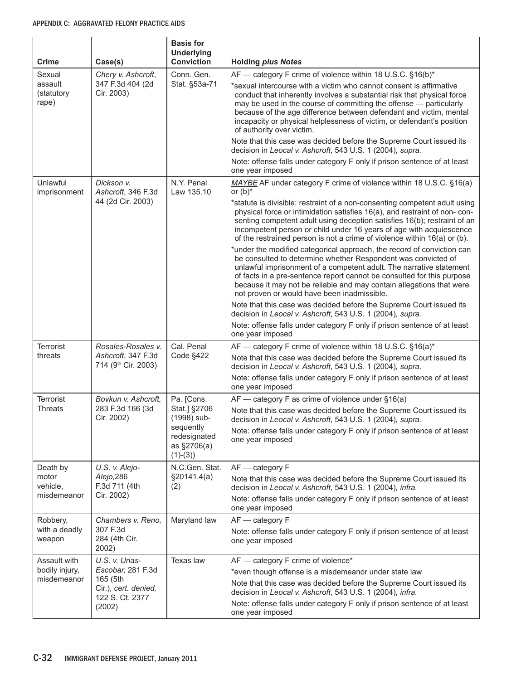| <b>Crime</b>                   | Case(s)                                                                     | <b>Basis for</b><br><b>Underlying</b><br><b>Conviction</b>                                   | <b>Holding plus Notes</b>                                                                                                                                                                                                                                                                                                                                                                                       |
|--------------------------------|-----------------------------------------------------------------------------|----------------------------------------------------------------------------------------------|-----------------------------------------------------------------------------------------------------------------------------------------------------------------------------------------------------------------------------------------------------------------------------------------------------------------------------------------------------------------------------------------------------------------|
| Sexual                         | Chery v. Ashcroft,                                                          | Conn. Gen.                                                                                   | AF — category F crime of violence within 18 U.S.C. §16(b)*                                                                                                                                                                                                                                                                                                                                                      |
| assault<br>(statutory<br>rape) | 347 F.3d 404 (2d<br>Cir. 2003)                                              | Stat. §53a-71                                                                                | *sexual intercourse with a victim who cannot consent is affirmative<br>conduct that inherently involves a substantial risk that physical force<br>may be used in the course of committing the offense - particularly<br>because of the age difference between defendant and victim, mental<br>incapacity or physical helplessness of victim, or defendant's position<br>of authority over victim.               |
|                                |                                                                             |                                                                                              | Note that this case was decided before the Supreme Court issued its<br>decision in Leocal v. Ashcroft, 543 U.S. 1 (2004), supra.                                                                                                                                                                                                                                                                                |
|                                |                                                                             |                                                                                              | Note: offense falls under category F only if prison sentence of at least<br>one year imposed                                                                                                                                                                                                                                                                                                                    |
| Unlawful<br>imprisonment       | Dickson v.<br>Ashcroft, 346 F.3d                                            | N.Y. Penal<br>Law 135.10                                                                     | MAYBE AF under category F crime of violence within 18 U.S.C. §16(a)<br>or $(b)^*$                                                                                                                                                                                                                                                                                                                               |
|                                | 44 (2d Cir. 2003)                                                           |                                                                                              | *statute is divisible: restraint of a non-consenting competent adult using<br>physical force or intimidation satisfies 16(a), and restraint of non-con-<br>senting competent adult using deception satisfies 16(b); restraint of an<br>incompetent person or child under 16 years of age with acquiescence<br>of the restrained person is not a crime of violence within 16(a) or (b).                          |
|                                |                                                                             |                                                                                              | *under the modified categorical approach, the record of conviction can<br>be consulted to determine whether Respondent was convicted of<br>unlawful imprisonment of a competent adult. The narrative statement<br>of facts in a pre-sentence report cannot be consulted for this purpose<br>because it may not be reliable and may contain allegations that were<br>not proven or would have been inadmissible. |
|                                |                                                                             |                                                                                              | Note that this case was decided before the Supreme Court issued its<br>decision in Leocal v. Ashcroft, 543 U.S. 1 (2004), supra.                                                                                                                                                                                                                                                                                |
|                                |                                                                             |                                                                                              | Note: offense falls under category F only if prison sentence of at least<br>one year imposed                                                                                                                                                                                                                                                                                                                    |
| <b>Terrorist</b><br>threats    | Rosales-Rosales v.<br>Ashcroft, 347 F.3d<br>714 (9 <sup>th</sup> Cir. 2003) | Cal. Penal<br>Code §422                                                                      | AF — category F crime of violence within 18 U.S.C. §16(a)*<br>Note that this case was decided before the Supreme Court issued its<br>decision in Leocal v. Ashcroft, 543 U.S. 1 (2004), supra.                                                                                                                                                                                                                  |
|                                |                                                                             |                                                                                              | Note: offense falls under category F only if prison sentence of at least<br>one year imposed                                                                                                                                                                                                                                                                                                                    |
| <b>Terrorist</b>               | Bovkun v. Ashcroft,                                                         | Pa. [Cons.                                                                                   | $AF$ — category F as crime of violence under §16(a)                                                                                                                                                                                                                                                                                                                                                             |
| <b>Threats</b>                 | 283 F.3d 166 (3d<br>Cir. 2002)                                              | Stat.] §2706<br>(1998) sub-<br>sequently                                                     | Note that this case was decided before the Supreme Court issued its<br>decision in Leocal v. Ashcroft, 543 U.S. 1 (2004), supra.                                                                                                                                                                                                                                                                                |
|                                |                                                                             | redesignated<br>as §2706(a)<br>$(1)-(3)$                                                     | Note: offense falls under category F only if prison sentence of at least<br>one year imposed                                                                                                                                                                                                                                                                                                                    |
| Death by                       | U.S. v. Alejo-                                                              | N.C.Gen. Stat.                                                                               | $AF - category F$                                                                                                                                                                                                                                                                                                                                                                                               |
| motor<br>vehicle,              | Alejo, 286<br>F.3d 711 (4th                                                 | §20141.4(a)<br>(2)                                                                           | Note that this case was decided before the Supreme Court issued its<br>decision in Leocal v. Ashcroft, 543 U.S. 1 (2004), infra.                                                                                                                                                                                                                                                                                |
| misdemeanor                    | Cir. 2002)                                                                  |                                                                                              | Note: offense falls under category F only if prison sentence of at least<br>one year imposed                                                                                                                                                                                                                                                                                                                    |
| Robbery,                       | Chambers v. Reno,                                                           | Maryland law                                                                                 | AF - category F                                                                                                                                                                                                                                                                                                                                                                                                 |
| with a deadly<br>weapon        | 307 F.3d<br>284 (4th Cir.<br>2002)                                          |                                                                                              | Note: offense falls under category F only if prison sentence of at least<br>one year imposed                                                                                                                                                                                                                                                                                                                    |
| Assault with<br>bodily injury, | U.S. v. Urias-<br>Escobar, 281 F.3d                                         | Texas law                                                                                    | AF - category F crime of violence*                                                                                                                                                                                                                                                                                                                                                                              |
| misdemeanor                    | 165 (5th                                                                    |                                                                                              | *even though offense is a misdemeanor under state law<br>Note that this case was decided before the Supreme Court issued its                                                                                                                                                                                                                                                                                    |
|                                | Cir.), cert. denied,<br>122 S. Ct. 2377                                     |                                                                                              | decision in Leocal v. Ashcroft, 543 U.S. 1 (2004), infra.                                                                                                                                                                                                                                                                                                                                                       |
| (2002)                         |                                                                             | Note: offense falls under category F only if prison sentence of at least<br>one year imposed |                                                                                                                                                                                                                                                                                                                                                                                                                 |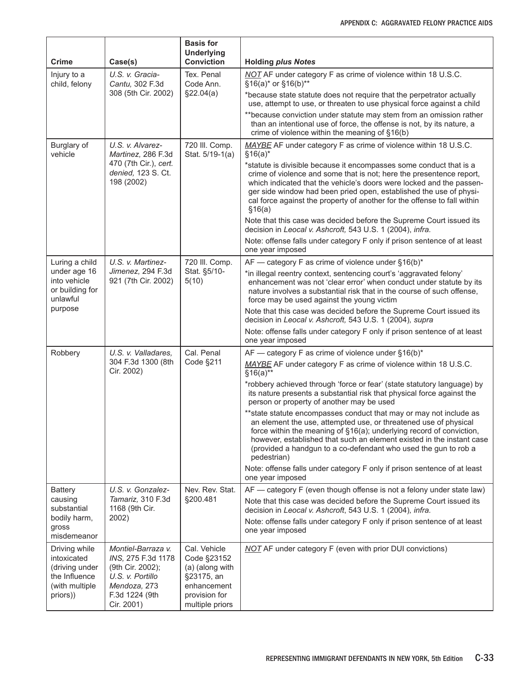| <b>Crime</b>                                                                                   | Case(s)                                                                                                                          | <b>Basis for</b><br><b>Underlying</b><br><b>Conviction</b>                                                      | <b>Holding plus Notes</b>                                                                                                                                                                                                                                                                                                                                                        |
|------------------------------------------------------------------------------------------------|----------------------------------------------------------------------------------------------------------------------------------|-----------------------------------------------------------------------------------------------------------------|----------------------------------------------------------------------------------------------------------------------------------------------------------------------------------------------------------------------------------------------------------------------------------------------------------------------------------------------------------------------------------|
| Injury to a<br>child, felony                                                                   | U.S. v. Gracia-<br>Cantu, 302 F.3d                                                                                               | Tex. Penal<br>Code Ann.                                                                                         | NOT AF under category F as crime of violence within 18 U.S.C.<br>§16(a)* or §16(b)**                                                                                                                                                                                                                                                                                             |
|                                                                                                | 308 (5th Cir. 2002)                                                                                                              | \$22.04(a)                                                                                                      | *because state statute does not require that the perpetrator actually<br>use, attempt to use, or threaten to use physical force against a child                                                                                                                                                                                                                                  |
|                                                                                                |                                                                                                                                  |                                                                                                                 | **because conviction under statute may stem from an omission rather<br>than an intentional use of force, the offense is not, by its nature, a<br>crime of violence within the meaning of §16(b)                                                                                                                                                                                  |
| Burglary of<br>vehicle                                                                         | U.S. v. Alvarez-<br>Martinez, 286 F.3d                                                                                           | 720 III. Comp.<br>Stat. 5/19-1(a)                                                                               | MAYBE AF under category F as crime of violence within 18 U.S.C.<br>$$16(a)*$                                                                                                                                                                                                                                                                                                     |
|                                                                                                | 470 (7th Cir.), cert.<br>denied, 123 S. Ct.<br>198 (2002)                                                                        |                                                                                                                 | *statute is divisible because it encompasses some conduct that is a<br>crime of violence and some that is not; here the presentence report,<br>which indicated that the vehicle's doors were locked and the passen-<br>ger side window had been pried open, established the use of physi-<br>cal force against the property of another for the offense to fall within<br>\$16(a) |
|                                                                                                |                                                                                                                                  |                                                                                                                 | Note that this case was decided before the Supreme Court issued its<br>decision in Leocal v. Ashcroft, 543 U.S. 1 (2004), infra.                                                                                                                                                                                                                                                 |
|                                                                                                |                                                                                                                                  |                                                                                                                 | Note: offense falls under category F only if prison sentence of at least<br>one year imposed                                                                                                                                                                                                                                                                                     |
| Luring a child                                                                                 | U.S. v. Martinez-                                                                                                                | 720 III. Comp.                                                                                                  | $AF$ — category F as crime of violence under §16(b)*                                                                                                                                                                                                                                                                                                                             |
| under age 16<br>into vehicle<br>or building for<br>unlawful                                    | Jimenez, 294 F.3d<br>921 (7th Cir. 2002)                                                                                         | Stat. §5/10-<br>5(10)                                                                                           | *in illegal reentry context, sentencing court's 'aggravated felony'<br>enhancement was not 'clear error' when conduct under statute by its<br>nature involves a substantial risk that in the course of such offense,<br>force may be used against the young victim                                                                                                               |
| purpose                                                                                        |                                                                                                                                  |                                                                                                                 | Note that this case was decided before the Supreme Court issued its<br>decision in Leocal v. Ashcroft, 543 U.S. 1 (2004), supra                                                                                                                                                                                                                                                  |
|                                                                                                |                                                                                                                                  |                                                                                                                 | Note: offense falls under category F only if prison sentence of at least<br>one year imposed                                                                                                                                                                                                                                                                                     |
| Robbery                                                                                        | U.S. v. Valladares,<br>304 F.3d 1300 (8th<br>Cir. 2002)                                                                          | Cal. Penal<br>Code §211                                                                                         | AF - category F as crime of violence under §16(b)*<br>MAYBE AF under category F as crime of violence within 18 U.S.C.<br>$§16(a)*$                                                                                                                                                                                                                                               |
|                                                                                                |                                                                                                                                  |                                                                                                                 | *robbery achieved through 'force or fear' (state statutory language) by<br>its nature presents a substantial risk that physical force against the<br>person or property of another may be used                                                                                                                                                                                   |
|                                                                                                |                                                                                                                                  |                                                                                                                 | ** state statute encompasses conduct that may or may not include as<br>an element the use, attempted use, or threatened use of physical<br>force within the meaning of §16(a); underlying record of conviction,<br>however, established that such an element existed in the instant case<br>(provided a handgun to a co-defendant who used the gun to rob a<br>pedestrian)       |
|                                                                                                |                                                                                                                                  |                                                                                                                 | Note: offense falls under category F only if prison sentence of at least<br>one year imposed                                                                                                                                                                                                                                                                                     |
| <b>Battery</b>                                                                                 | U.S. v. Gonzalez-                                                                                                                | Nev. Rev. Stat.                                                                                                 | AF - category F (even though offense is not a felony under state law)                                                                                                                                                                                                                                                                                                            |
| causing<br>substantial                                                                         | Tamariz, 310 F.3d<br>1168 (9th Cir.                                                                                              | §200.481                                                                                                        | Note that this case was decided before the Supreme Court issued its<br>decision in Leocal v. Ashcroft, 543 U.S. 1 (2004), infra.                                                                                                                                                                                                                                                 |
| bodily harm,<br>gross<br>misdemeanor                                                           | 2002)                                                                                                                            |                                                                                                                 | Note: offense falls under category F only if prison sentence of at least<br>one year imposed                                                                                                                                                                                                                                                                                     |
| Driving while<br>intoxicated<br>(driving under<br>the Influence<br>(with multiple)<br>priors)) | Montiel-Barraza v.<br>INS, 275 F.3d 1178<br>(9th Cir. 2002);<br>U.S. v. Portillo<br>Mendoza, 273<br>F.3d 1224 (9th<br>Cir. 2001) | Cal. Vehicle<br>Code §23152<br>(a) (along with<br>§23175, an<br>enhancement<br>provision for<br>multiple priors | <b>NOT</b> AF under category F (even with prior DUI convictions)                                                                                                                                                                                                                                                                                                                 |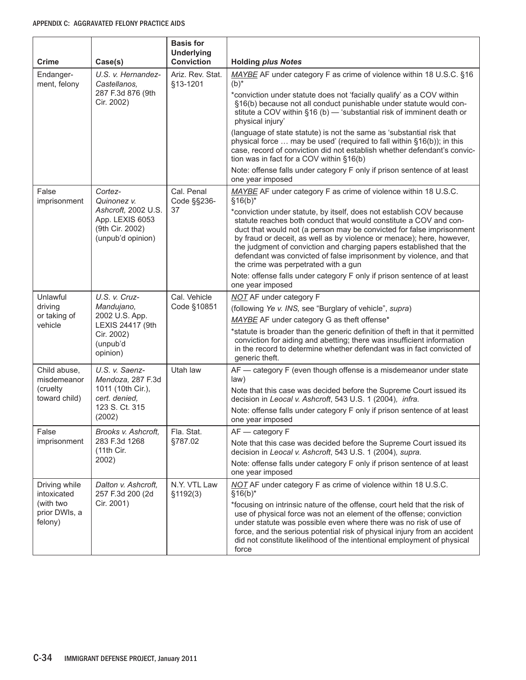| <b>Crime</b>                                                                                                                          | Case(s)                                                                        | <b>Basis for</b><br><b>Underlying</b><br><b>Conviction</b>                | <b>Holding plus Notes</b>                                                                                                                                                                                                                                                                                                                                                                                                                                                         |
|---------------------------------------------------------------------------------------------------------------------------------------|--------------------------------------------------------------------------------|---------------------------------------------------------------------------|-----------------------------------------------------------------------------------------------------------------------------------------------------------------------------------------------------------------------------------------------------------------------------------------------------------------------------------------------------------------------------------------------------------------------------------------------------------------------------------|
| Endanger-<br>ment, felony                                                                                                             | U.S. v. Hernandez-<br>Castellanos.                                             | Ariz. Rev. Stat.<br>§13-1201                                              | MAYBE AF under category F as crime of violence within 18 U.S.C. §16<br>$(b)^*$                                                                                                                                                                                                                                                                                                                                                                                                    |
|                                                                                                                                       | 287 F.3d 876 (9th<br>Cir. 2002)                                                |                                                                           | *conviction under statute does not 'facially qualify' as a COV within<br>§16(b) because not all conduct punishable under statute would con-<br>stitute a COV within §16 (b) - 'substantial risk of imminent death or<br>physical injury'                                                                                                                                                                                                                                          |
|                                                                                                                                       |                                                                                |                                                                           | (language of state statute) is not the same as 'substantial risk that<br>physical force  may be used' (required to fall within §16(b)); in this<br>case, record of conviction did not establish whether defendant's convic-<br>tion was in fact for a COV within §16(b)                                                                                                                                                                                                           |
|                                                                                                                                       |                                                                                |                                                                           | Note: offense falls under category F only if prison sentence of at least<br>one year imposed                                                                                                                                                                                                                                                                                                                                                                                      |
| False<br>imprisonment                                                                                                                 | Cortez-<br>Quinonez v.                                                         | Cal. Penal<br>Code §§236-                                                 | MAYBE AF under category F as crime of violence within 18 U.S.C.<br>$§16(b)*$                                                                                                                                                                                                                                                                                                                                                                                                      |
|                                                                                                                                       | Ashcroft, 2002 U.S.<br>App. LEXIS 6053<br>(9th Cir. 2002)<br>(unpub'd opinion) | 37                                                                        | *conviction under statute, by itself, does not establish COV because<br>statute reaches both conduct that would constitute a COV and con-<br>duct that would not (a person may be convicted for false imprisonment<br>by fraud or deceit, as well as by violence or menace); here, however,<br>the judgment of conviction and charging papers established that the<br>defendant was convicted of false imprisonment by violence, and that<br>the crime was perpetrated with a gun |
|                                                                                                                                       |                                                                                |                                                                           | Note: offense falls under category F only if prison sentence of at least<br>one year imposed                                                                                                                                                                                                                                                                                                                                                                                      |
| Unlawful                                                                                                                              | U.S. v. Cruz-                                                                  | Cal. Vehicle                                                              | <b>NOT</b> AF under category F                                                                                                                                                                                                                                                                                                                                                                                                                                                    |
| driving                                                                                                                               | Mandujano,<br>2002 U.S. App.<br>or taking of<br>LEXIS 24417 (9th               | Code §10851                                                               | (following Ye v. INS, see "Burglary of vehicle", supra)                                                                                                                                                                                                                                                                                                                                                                                                                           |
| vehicle                                                                                                                               |                                                                                |                                                                           | MAYBE AF under category G as theft offense*                                                                                                                                                                                                                                                                                                                                                                                                                                       |
|                                                                                                                                       | Cir. 2002)<br>(unpub'd<br>opinion)                                             |                                                                           | *statute is broader than the generic definition of theft in that it permitted<br>conviction for aiding and abetting; there was insufficient information<br>in the record to determine whether defendant was in fact convicted of<br>generic theft.                                                                                                                                                                                                                                |
| U.S. v. Saenz-<br>Child abuse,<br>Mendoza, 287 F.3d<br>misdemeanor<br>1011 (10th Cir.),<br>(cruelty<br>toward child)<br>cert. denied, | Utah law                                                                       | AF - category F (even though offense is a misdemeanor under state<br>law) |                                                                                                                                                                                                                                                                                                                                                                                                                                                                                   |
|                                                                                                                                       |                                                                                |                                                                           | Note that this case was decided before the Supreme Court issued its<br>decision in Leocal v. Ashcroft, 543 U.S. 1 (2004), infra.                                                                                                                                                                                                                                                                                                                                                  |
|                                                                                                                                       | 123 S. Ct. 315<br>(2002)                                                       |                                                                           | Note: offense falls under category F only if prison sentence of at least<br>one year imposed                                                                                                                                                                                                                                                                                                                                                                                      |
| False                                                                                                                                 | Brooks v. Ashcroft,                                                            | Fla. Stat.                                                                | $AF - category F$                                                                                                                                                                                                                                                                                                                                                                                                                                                                 |
| imprisonment                                                                                                                          | 283 F.3d 1268<br>(11th Cir.                                                    | §787.02                                                                   | Note that this case was decided before the Supreme Court issued its<br>decision in Leocal v. Ashcroft, 543 U.S. 1 (2004), supra.                                                                                                                                                                                                                                                                                                                                                  |
|                                                                                                                                       | 2002)                                                                          |                                                                           | Note: offense falls under category F only if prison sentence of at least<br>one year imposed                                                                                                                                                                                                                                                                                                                                                                                      |
| Driving while<br>intoxicated                                                                                                          | Dalton v. Ashcroft,<br>257 F.3d 200 (2d                                        | N.Y. VTL Law<br>\$1192(3)                                                 | NOT AF under category F as crime of violence within 18 U.S.C.<br>$§16(b)*$                                                                                                                                                                                                                                                                                                                                                                                                        |
| (with two<br>prior DWIs, a<br>felony)                                                                                                 | Cir. 2001)                                                                     |                                                                           | *focusing on intrinsic nature of the offense, court held that the risk of<br>use of physical force was not an element of the offense; conviction<br>under statute was possible even where there was no risk of use of<br>force, and the serious potential risk of physical injury from an accident<br>did not constitute likelihood of the intentional employment of physical<br>force                                                                                            |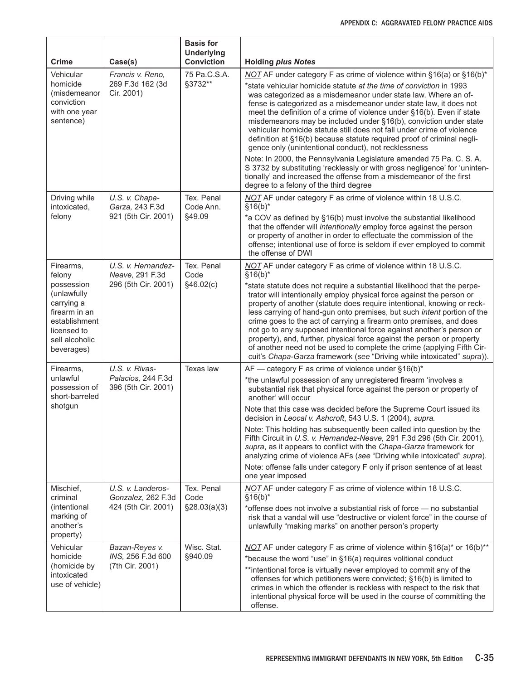| <b>Crime</b>                                                                                                             | Case(s)                                   | <b>Basis for</b><br><b>Underlying</b><br><b>Conviction</b> | <b>Holding plus Notes</b>                                                                                                                                                                                                                                                                                                                                                                                                                                                                                                                                                                                                                                                            |
|--------------------------------------------------------------------------------------------------------------------------|-------------------------------------------|------------------------------------------------------------|--------------------------------------------------------------------------------------------------------------------------------------------------------------------------------------------------------------------------------------------------------------------------------------------------------------------------------------------------------------------------------------------------------------------------------------------------------------------------------------------------------------------------------------------------------------------------------------------------------------------------------------------------------------------------------------|
| Vehicular                                                                                                                | Francis v. Reno,                          | 75 Pa.C.S.A.                                               | NOT AF under category F as crime of violence within §16(a) or §16(b)*                                                                                                                                                                                                                                                                                                                                                                                                                                                                                                                                                                                                                |
| homicide<br>(misdemeanor<br>conviction<br>with one year<br>sentence)                                                     | 269 F.3d 162 (3d<br>Cir. 2001)            | §3732**                                                    | *state vehicular homicide statute at the time of conviction in 1993<br>was categorized as a misdemeanor under state law. Where an of-<br>fense is categorized as a misdemeanor under state law, it does not<br>meet the definition of a crime of violence under §16(b). Even if state<br>misdemeanors may be included under §16(b), conviction under state<br>vehicular homicide statute still does not fall under crime of violence<br>definition at §16(b) because statute required proof of criminal negli-<br>gence only (unintentional conduct), not recklessness                                                                                                               |
|                                                                                                                          |                                           |                                                            | Note: In 2000, the Pennsylvania Legislature amended 75 Pa. C. S. A.<br>S 3732 by substituting 'recklessly or with gross negligence' for 'uninten-<br>tionally' and increased the offense from a misdemeanor of the first<br>degree to a felony of the third degree                                                                                                                                                                                                                                                                                                                                                                                                                   |
| Driving while<br>intoxicated,                                                                                            | U.S. v. Chapa-<br>Garza, 243 F.3d         | Tex. Penal<br>Code Ann.                                    | NOT AF under category F as crime of violence within 18 U.S.C.<br>$§16(b)*$                                                                                                                                                                                                                                                                                                                                                                                                                                                                                                                                                                                                           |
| felony                                                                                                                   | 921 (5th Cir. 2001)                       | §49.09                                                     | *a COV as defined by §16(b) must involve the substantial likelihood<br>that the offender will intentionally employ force against the person<br>or property of another in order to effectuate the commission of the<br>offense; intentional use of force is seldom if ever employed to commit<br>the offense of DWI                                                                                                                                                                                                                                                                                                                                                                   |
| Firearms,<br>felony                                                                                                      | U.S. v. Hernandez-<br>Neave, 291 F.3d     | Tex. Penal<br>Code                                         | NOT AF under category F as crime of violence within 18 U.S.C.<br>$§16(b)*$                                                                                                                                                                                                                                                                                                                                                                                                                                                                                                                                                                                                           |
| possession<br>(unlawfully<br>carrying a<br>firearm in an<br>establishment<br>licensed to<br>sell alcoholic<br>beverages) | 296 (5th Cir. 2001)                       | §46.02(c)                                                  | *state statute does not require a substantial likelihood that the perpe-<br>trator will intentionally employ physical force against the person or<br>property of another (statute does require intentional, knowing or reck-<br>less carrying of hand-gun onto premises, but such intent portion of the<br>crime goes to the act of carrying a firearm onto premises, and does<br>not go to any supposed intentional force against another's person or<br>property), and, further, physical force against the person or property<br>of another need not be used to complete the crime (applying Fifth Cir-<br>cuit's Chapa-Garza framework (see "Driving while intoxicated" supra)). |
| Firearms,                                                                                                                | U.S. v. Rivas-                            | Texas law                                                  | AF — category F as crime of violence under $§16(b)^*$                                                                                                                                                                                                                                                                                                                                                                                                                                                                                                                                                                                                                                |
| unlawful<br>possession of<br>short-barreled                                                                              | Palacios, 244 F.3d<br>396 (5th Cir. 2001) |                                                            | *the unlawful possession of any unregistered firearm 'involves a<br>substantial risk that physical force against the person or property of<br>another' will occur                                                                                                                                                                                                                                                                                                                                                                                                                                                                                                                    |
| shotgun                                                                                                                  |                                           |                                                            | Note that this case was decided before the Supreme Court issued its<br>decision in Leocal v. Ashcroft, 543 U.S. 1 (2004), supra.                                                                                                                                                                                                                                                                                                                                                                                                                                                                                                                                                     |
|                                                                                                                          |                                           |                                                            | Note: This holding has subsequently been called into question by the<br>Fifth Circuit in U.S. v. Hernandez-Neave, 291 F.3d 296 (5th Cir. 2001),<br>supra, as it appears to conflict with the Chapa-Garza framework for<br>analyzing crime of violence AFs (see "Driving while intoxicated" supra).                                                                                                                                                                                                                                                                                                                                                                                   |
|                                                                                                                          |                                           |                                                            | Note: offense falls under category F only if prison sentence of at least<br>one year imposed                                                                                                                                                                                                                                                                                                                                                                                                                                                                                                                                                                                         |
| Mischief,<br>criminal                                                                                                    | U.S. v. Landeros-<br>Gonzalez, 262 F.3d   | Tex. Penal<br>Code                                         | NOT AF under category F as crime of violence within 18 U.S.C.<br>$§16(b)*$                                                                                                                                                                                                                                                                                                                                                                                                                                                                                                                                                                                                           |
| (intentional<br>marking of<br>another's<br>property)                                                                     | 424 (5th Cir. 2001)                       | \$28.03(a)(3)                                              | *offense does not involve a substantial risk of force - no substantial<br>risk that a vandal will use "destructive or violent force" in the course of<br>unlawfully "making marks" on another person's property                                                                                                                                                                                                                                                                                                                                                                                                                                                                      |
| Vehicular                                                                                                                | Bazan-Reyes v.                            | Wisc. Stat.                                                | NOT AF under category F as crime of violence within §16(a)* or 16(b)**                                                                                                                                                                                                                                                                                                                                                                                                                                                                                                                                                                                                               |
| homicide<br>(homicide by                                                                                                 | INS, 256 F.3d 600<br>(7th Cir. 2001)      | §940.09                                                    | *because the word "use" in §16(a) requires volitional conduct                                                                                                                                                                                                                                                                                                                                                                                                                                                                                                                                                                                                                        |
| intoxicated<br>use of vehicle)                                                                                           |                                           |                                                            | **intentional force is virtually never employed to commit any of the<br>offenses for which petitioners were convicted; §16(b) is limited to<br>crimes in which the offender is reckless with respect to the risk that<br>intentional physical force will be used in the course of committing the<br>offense.                                                                                                                                                                                                                                                                                                                                                                         |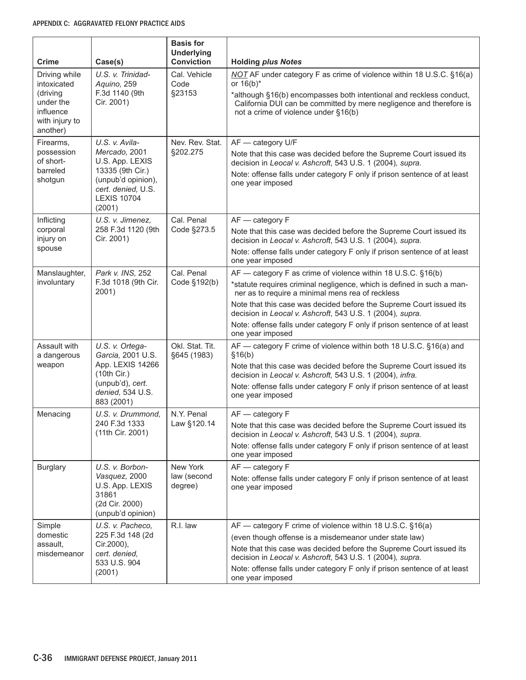| Crime                                                                                            | Case(s)                                                                                                                                            | <b>Basis for</b><br><b>Underlying</b><br><b>Conviction</b> | <b>Holding plus Notes</b>                                                                                                                                                                                                                                                                                                                                                                                                      |
|--------------------------------------------------------------------------------------------------|----------------------------------------------------------------------------------------------------------------------------------------------------|------------------------------------------------------------|--------------------------------------------------------------------------------------------------------------------------------------------------------------------------------------------------------------------------------------------------------------------------------------------------------------------------------------------------------------------------------------------------------------------------------|
| Driving while<br>intoxicated<br>(driving<br>under the<br>influence<br>with injury to<br>another) | U.S. v. Trinidad-<br>Aquino, 259<br>F.3d 1140 (9th<br>Cir. 2001)                                                                                   | Cal. Vehicle<br>Code<br>§23153                             | NOT AF under category F as crime of violence within 18 U.S.C. §16(a)<br>or $16(b)^*$<br>*although §16(b) encompasses both intentional and reckless conduct,<br>California DUI can be committed by mere negligence and therefore is<br>not a crime of violence under §16(b)                                                                                                                                                     |
| Firearms,<br>possession<br>of short-<br>barreled<br>shotgun                                      | U.S. v. Avila-<br>Mercado, 2001<br>U.S. App. LEXIS<br>13335 (9th Cir.)<br>(unpub'd opinion),<br>cert. denied, U.S.<br><b>LEXIS 10704</b><br>(2001) | Nev. Rev. Stat.<br>§202.275                                | AF - category U/F<br>Note that this case was decided before the Supreme Court issued its<br>decision in Leocal v. Ashcroft, 543 U.S. 1 (2004), supra.<br>Note: offense falls under category F only if prison sentence of at least<br>one year imposed                                                                                                                                                                          |
| Inflicting<br>corporal<br>injury on<br>spouse                                                    | U.S. v. Jimenez,<br>258 F.3d 1120 (9th<br>Cir. 2001)                                                                                               | Cal. Penal<br>Code §273.5                                  | $AF - category F$<br>Note that this case was decided before the Supreme Court issued its<br>decision in Leocal v. Ashcroft, 543 U.S. 1 (2004), supra.<br>Note: offense falls under category F only if prison sentence of at least<br>one year imposed                                                                                                                                                                          |
| Manslaughter,<br>involuntary                                                                     | Park v. INS, 252<br>F.3d 1018 (9th Cir.<br>2001)                                                                                                   | Cal. Penal<br>Code §192(b)                                 | AF - category F as crime of violence within 18 U.S.C. §16(b)<br>*statute requires criminal negligence, which is defined in such a man-<br>ner as to require a minimal mens rea of reckless<br>Note that this case was decided before the Supreme Court issued its<br>decision in Leocal v. Ashcroft, 543 U.S. 1 (2004), supra.<br>Note: offense falls under category F only if prison sentence of at least<br>one year imposed |
| Assault with<br>a dangerous<br>weapon                                                            | U.S. v. Ortega-<br>Garcia, 2001 U.S.<br>App. LEXIS 14266<br>(10th Cir.)<br>(unpub'd), cert.<br>denied, 534 U.S.<br>883 (2001)                      | Okl. Stat. Tit.<br>§645 (1983)                             | AF - category F crime of violence within both 18 U.S.C. §16(a) and<br>§16(b)<br>Note that this case was decided before the Supreme Court issued its<br>decision in Leocal v. Ashcroft, 543 U.S. 1 (2004), infra.<br>Note: offense falls under category F only if prison sentence of at least<br>one year imposed                                                                                                               |
| Menacing                                                                                         | U.S. v. Drummond,<br>240 F.3d 1333<br>(11th Cir. 2001)                                                                                             | N.Y. Penal<br>Law §120.14                                  | $AF - category F$<br>Note that this case was decided before the Supreme Court issued its<br>decision in Leocal v. Ashcroft, 543 U.S. 1 (2004), supra.<br>Note: offense falls under category F only if prison sentence of at least<br>one year imposed                                                                                                                                                                          |
| <b>Burglary</b>                                                                                  | U.S. v. Borbon-<br>Vasquez, 2000<br>U.S. App. LEXIS<br>31861<br>(2d Cir. 2000)<br>(unpub'd opinion)                                                | New York<br>law (second<br>degree)                         | $AF - category F$<br>Note: offense falls under category F only if prison sentence of at least<br>one year imposed                                                                                                                                                                                                                                                                                                              |
| Simple<br>domestic<br>assault,<br>misdemeanor                                                    | U.S. v. Pacheco,<br>225 F.3d 148 (2d<br>Cir.2000),<br>cert. denied,<br>533 U.S. 904<br>(2001)                                                      | R.I. law                                                   | AF — category F crime of violence within 18 U.S.C. §16(a)<br>(even though offense is a misdemeanor under state law)<br>Note that this case was decided before the Supreme Court issued its<br>decision in Leocal v. Ashcroft, 543 U.S. 1 (2004), supra.<br>Note: offense falls under category F only if prison sentence of at least<br>one year imposed                                                                        |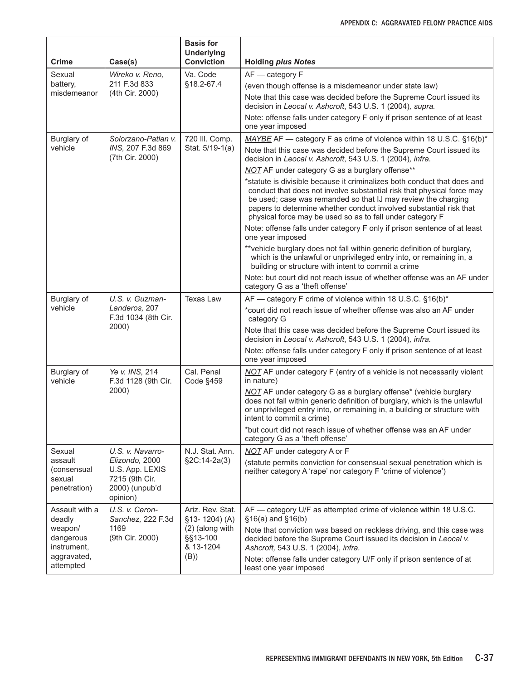| Crime                                            | Case(s)                                                                           | <b>Basis for</b><br><b>Underlying</b><br><b>Conviction</b> | <b>Holding plus Notes</b>                                                                                                                                                                                                                                                                                                                              |
|--------------------------------------------------|-----------------------------------------------------------------------------------|------------------------------------------------------------|--------------------------------------------------------------------------------------------------------------------------------------------------------------------------------------------------------------------------------------------------------------------------------------------------------------------------------------------------------|
| Sexual                                           | Wireko v. Reno,                                                                   | Va. Code                                                   | AF - category F                                                                                                                                                                                                                                                                                                                                        |
| battery,                                         | 211 F.3d 833                                                                      | §18.2-67.4                                                 | (even though offense is a misdemeanor under state law)                                                                                                                                                                                                                                                                                                 |
| misdemeanor                                      | (4th Cir. 2000)                                                                   |                                                            | Note that this case was decided before the Supreme Court issued its<br>decision in Leocal v. Ashcroft, 543 U.S. 1 (2004), supra.                                                                                                                                                                                                                       |
|                                                  |                                                                                   |                                                            | Note: offense falls under category F only if prison sentence of at least<br>one year imposed                                                                                                                                                                                                                                                           |
| Burglary of                                      | Solorzano-Patlan v.                                                               | 720 III. Comp.                                             | MAYBE AF - category F as crime of violence within 18 U.S.C. §16(b)*                                                                                                                                                                                                                                                                                    |
| vehicle                                          | INS, 207 F.3d 869<br>(7th Cir. 2000)                                              | Stat. 5/19-1(a)                                            | Note that this case was decided before the Supreme Court issued its<br>decision in Leocal v. Ashcroft, 543 U.S. 1 (2004), infra.                                                                                                                                                                                                                       |
|                                                  |                                                                                   |                                                            | NOT AF under category G as a burglary offense**                                                                                                                                                                                                                                                                                                        |
|                                                  |                                                                                   |                                                            | *statute is divisible because it criminalizes both conduct that does and<br>conduct that does not involve substantial risk that physical force may<br>be used; case was remanded so that IJ may review the charging<br>papers to determine whether conduct involved substantial risk that<br>physical force may be used so as to fall under category F |
|                                                  |                                                                                   |                                                            | Note: offense falls under category F only if prison sentence of at least<br>one year imposed                                                                                                                                                                                                                                                           |
|                                                  |                                                                                   |                                                            | **vehicle burglary does not fall within generic definition of burglary,<br>which is the unlawful or unprivileged entry into, or remaining in, a<br>building or structure with intent to commit a crime                                                                                                                                                 |
|                                                  |                                                                                   |                                                            | Note: but court did not reach issue of whether offense was an AF under<br>category G as a 'theft offense'                                                                                                                                                                                                                                              |
| Burglary of                                      | U.S. v. Guzman-                                                                   | <b>Texas Law</b>                                           | AF — category F crime of violence within 18 U.S.C. §16(b)*                                                                                                                                                                                                                                                                                             |
| vehicle                                          | Landeros, 207<br>F.3d 1034 (8th Cir.                                              |                                                            | *court did not reach issue of whether offense was also an AF under<br>category G                                                                                                                                                                                                                                                                       |
|                                                  | 2000)                                                                             |                                                            | Note that this case was decided before the Supreme Court issued its<br>decision in Leocal v. Ashcroft, 543 U.S. 1 (2004), infra.                                                                                                                                                                                                                       |
|                                                  |                                                                                   |                                                            | Note: offense falls under category F only if prison sentence of at least<br>one year imposed                                                                                                                                                                                                                                                           |
| Burglary of<br>vehicle                           | Ye v. INS, 214<br>F.3d 1128 (9th Cir.                                             | Cal. Penal<br>Code §459                                    | NOT AF under category F (entry of a vehicle is not necessarily violent<br>in nature)                                                                                                                                                                                                                                                                   |
|                                                  | 2000)                                                                             |                                                            | NOT AF under category G as a burglary offense* (vehicle burglary<br>does not fall within generic definition of burglary, which is the unlawful<br>or unprivileged entry into, or remaining in, a building or structure with<br>intent to commit a crime)                                                                                               |
|                                                  |                                                                                   |                                                            | *but court did not reach issue of whether offense was an AF under<br>category G as a 'theft offense'                                                                                                                                                                                                                                                   |
| Sexual                                           | U.S. v. Navarro-                                                                  | N.J. Stat. Ann.                                            | NOT AF under category A or F                                                                                                                                                                                                                                                                                                                           |
| assault<br>(consensual<br>sexual<br>penetration) | Elizondo, 2000<br>U.S. App. LEXIS<br>7215 (9th Cir.<br>2000) (unpub'd<br>opinion) | §2C:14-2a(3)                                               | (statute permits conviction for consensual sexual penetration which is<br>neither category A 'rape' nor category F 'crime of violence')                                                                                                                                                                                                                |
| Assault with a<br>deadly                         | U.S. v. Ceron-<br>Sanchez, 222 F.3d                                               | Ariz. Rev. Stat.<br>§13-1204)(A)                           | AF - category U/F as attempted crime of violence within 18 U.S.C.<br>$§16(a)$ and $§16(b)$                                                                                                                                                                                                                                                             |
| weapon/<br>dangerous<br>instrument,              | 1169<br>(9th Cir. 2000)                                                           | (2) (along with<br>§§13-100<br>& 13-1204                   | Note that conviction was based on reckless driving, and this case was<br>decided before the Supreme Court issued its decision in Leocal v.<br>Ashcroft, 543 U.S. 1 (2004), infra.                                                                                                                                                                      |
| aggravated,<br>attempted                         |                                                                                   | (B))                                                       | Note: offense falls under category U/F only if prison sentence of at<br>least one year imposed                                                                                                                                                                                                                                                         |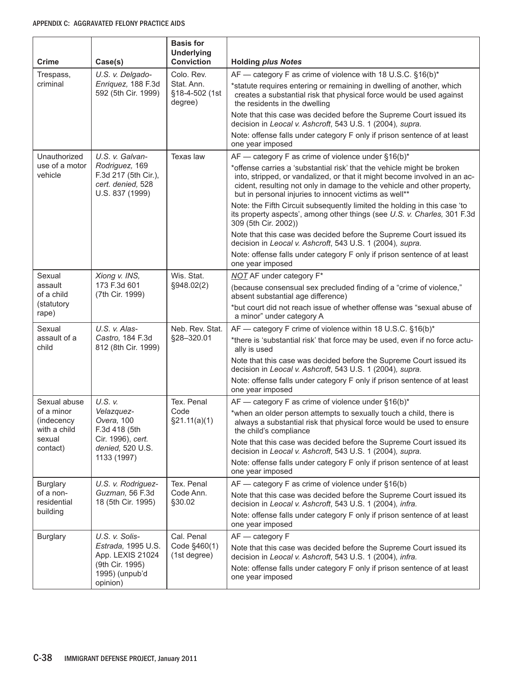| <b>Crime</b>                                             | Case(s)                                                                                                                | <b>Basis for</b><br><b>Underlying</b><br><b>Conviction</b> | <b>Holding plus Notes</b>                                                                                                                                                                                                                                                                |
|----------------------------------------------------------|------------------------------------------------------------------------------------------------------------------------|------------------------------------------------------------|------------------------------------------------------------------------------------------------------------------------------------------------------------------------------------------------------------------------------------------------------------------------------------------|
| Trespass,                                                | U.S. v. Delgado-                                                                                                       | Colo, Rev.                                                 | AF - category F as crime of violence with 18 U.S.C. §16(b)*                                                                                                                                                                                                                              |
| criminal                                                 | Enriquez, 188 F.3d<br>592 (5th Cir. 1999)                                                                              | Stat. Ann.<br>§18-4-502 (1st<br>degree)                    | *statute requires entering or remaining in dwelling of another, which<br>creates a substantial risk that physical force would be used against<br>the residents in the dwelling                                                                                                           |
|                                                          |                                                                                                                        |                                                            | Note that this case was decided before the Supreme Court issued its<br>decision in Leocal v. Ashcroft, 543 U.S. 1 (2004), supra.                                                                                                                                                         |
|                                                          |                                                                                                                        |                                                            | Note: offense falls under category F only if prison sentence of at least<br>one year imposed                                                                                                                                                                                             |
| Unauthorized                                             | U.S. v. Galvan-                                                                                                        | Texas law                                                  | AF - category F as crime of violence under §16(b)*                                                                                                                                                                                                                                       |
| use of a motor<br>vehicle                                | Rodriguez, 169<br>F.3d 217 (5th Cir.),<br>cert. denied, 528<br>U.S. 837 (1999)                                         |                                                            | *offense carries a 'substantial risk' that the vehicle might be broken<br>into, stripped, or vandalized, or that it might become involved in an ac-<br>cident, resulting not only in damage to the vehicle and other property,<br>but in personal injuries to innocent victims as well** |
|                                                          |                                                                                                                        |                                                            | Note: the Fifth Circuit subsequently limited the holding in this case 'to<br>its property aspects', among other things (see U.S. v. Charles, 301 F.3d<br>309 (5th Cir. 2002))                                                                                                            |
|                                                          |                                                                                                                        |                                                            | Note that this case was decided before the Supreme Court issued its<br>decision in Leocal v. Ashcroft, 543 U.S. 1 (2004), supra.                                                                                                                                                         |
|                                                          |                                                                                                                        |                                                            | Note: offense falls under category F only if prison sentence of at least<br>one year imposed                                                                                                                                                                                             |
| Sexual                                                   | Xiong v. INS,                                                                                                          | Wis. Stat.                                                 | <b>NOT</b> AF under category F*                                                                                                                                                                                                                                                          |
| 173 F.3d 601<br>assault<br>of a child<br>(7th Cir. 1999) |                                                                                                                        | §948.02(2)                                                 | (because consensual sex precluded finding of a "crime of violence,"<br>absent substantial age difference)                                                                                                                                                                                |
| (statutory<br>rape)                                      |                                                                                                                        |                                                            | *but court did not reach issue of whether offense was "sexual abuse of<br>a minor" under category A                                                                                                                                                                                      |
| Sexual                                                   | U.S. v. Alas-                                                                                                          | Neb. Rev. Stat.                                            | AF - category F crime of violence within 18 U.S.C. §16(b)*                                                                                                                                                                                                                               |
| child                                                    | assault of a<br>Castro, 184 F.3d<br>812 (8th Cir. 1999)                                                                | §28-320.01                                                 | *there is 'substantial risk' that force may be used, even if no force actu-<br>ally is used                                                                                                                                                                                              |
|                                                          |                                                                                                                        |                                                            | Note that this case was decided before the Supreme Court issued its<br>decision in Leocal v. Ashcroft, 543 U.S. 1 (2004), supra.                                                                                                                                                         |
|                                                          |                                                                                                                        |                                                            | Note: offense falls under category F only if prison sentence of at least<br>one year imposed                                                                                                                                                                                             |
| Sexual abuse                                             | U.S. v.                                                                                                                | Tex. Penal                                                 | $AF$ - category F as crime of violence under §16(b)*                                                                                                                                                                                                                                     |
| (indecency<br>with a child                               | Velazquez-<br>of a minor<br>Overa, 100<br>F.3d 418 (5th<br>Cir. 1996), cert.<br>sexual<br>denied, 520 U.S.<br>contact) | Code<br>\$21.11(a)(1)                                      | *when an older person attempts to sexually touch a child, there is<br>always a substantial risk that physical force would be used to ensure<br>the child's compliance                                                                                                                    |
|                                                          |                                                                                                                        |                                                            | Note that this case was decided before the Supreme Court issued its<br>decision in Leocal v. Ashcroft, 543 U.S. 1 (2004), supra.                                                                                                                                                         |
|                                                          | 1133 (1997)                                                                                                            |                                                            | Note: offense falls under category F only if prison sentence of at least<br>one year imposed                                                                                                                                                                                             |
| <b>Burglary</b>                                          | U.S. v. Rodriguez-                                                                                                     | Tex. Penal                                                 | $AF$ - category F as crime of violence under $§16(b)$                                                                                                                                                                                                                                    |
| of a non-<br>residential                                 | Guzman, 56 F.3d<br>18 (5th Cir. 1995)                                                                                  | Code Ann.<br>§30.02                                        | Note that this case was decided before the Supreme Court issued its<br>decision in Leocal v. Ashcroft, 543 U.S. 1 (2004), infra.                                                                                                                                                         |
| building                                                 |                                                                                                                        |                                                            | Note: offense falls under category F only if prison sentence of at least<br>one year imposed                                                                                                                                                                                             |
| <b>Burglary</b>                                          | U.S. v. Solis-                                                                                                         | Cal. Penal                                                 | AF - category F                                                                                                                                                                                                                                                                          |
|                                                          | Estrada, 1995 U.S.<br>App. LEXIS 21024                                                                                 | Code §460(1)<br>(1st degree)                               | Note that this case was decided before the Supreme Court issued its<br>decision in Leocal v. Ashcroft, 543 U.S. 1 (2004), infra.                                                                                                                                                         |
|                                                          | (9th Cir. 1995)<br>1995) (unpub'd<br>opinion)                                                                          |                                                            | Note: offense falls under category F only if prison sentence of at least<br>one year imposed                                                                                                                                                                                             |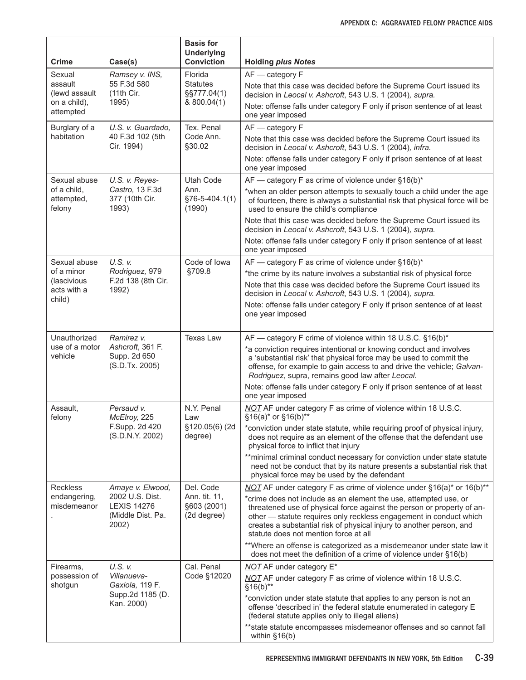| Crime                                            | Case(s)                                                             | <b>Basis for</b><br><b>Underlying</b><br><b>Conviction</b>                           | <b>Holding plus Notes</b>                                                                                                                                                                                                                                                                                                         |
|--------------------------------------------------|---------------------------------------------------------------------|--------------------------------------------------------------------------------------|-----------------------------------------------------------------------------------------------------------------------------------------------------------------------------------------------------------------------------------------------------------------------------------------------------------------------------------|
| Sexual                                           | Ramsey v. INS,                                                      | Florida                                                                              | AF - category F                                                                                                                                                                                                                                                                                                                   |
| assault<br>(lewd assault                         | 55 F.3d 580<br>(11th Cir.                                           | <b>Statutes</b><br>§§777.04(1)                                                       | Note that this case was decided before the Supreme Court issued its<br>decision in Leocal v. Ashcroft, 543 U.S. 1 (2004), supra.                                                                                                                                                                                                  |
| on a child),<br>attempted                        | 1995)                                                               | & 800.04(1)                                                                          | Note: offense falls under category F only if prison sentence of at least<br>one year imposed                                                                                                                                                                                                                                      |
| Burglary of a                                    | U.S. v. Guardado,                                                   | Tex. Penal                                                                           | AF - category F                                                                                                                                                                                                                                                                                                                   |
| habitation                                       | 40 F.3d 102 (5th<br>Cir. 1994)                                      | Code Ann.<br>§30.02                                                                  | Note that this case was decided before the Supreme Court issued its<br>decision in Leocal v. Ashcroft, 543 U.S. 1 (2004), infra.                                                                                                                                                                                                  |
|                                                  |                                                                     |                                                                                      | Note: offense falls under category F only if prison sentence of at least<br>one year imposed                                                                                                                                                                                                                                      |
| Sexual abuse                                     | U.S. v. Reyes-                                                      | <b>Utah Code</b>                                                                     | AF - category F as crime of violence under §16(b)*                                                                                                                                                                                                                                                                                |
| of a child,<br>attempted,<br>felony              | Castro, 13 F.3d<br>377 (10th Cir.<br>1993)                          | Ann.<br>§76-5-404.1(1)<br>(1990)                                                     | *when an older person attempts to sexually touch a child under the age<br>of fourteen, there is always a substantial risk that physical force will be<br>used to ensure the child's compliance                                                                                                                                    |
|                                                  |                                                                     |                                                                                      | Note that this case was decided before the Supreme Court issued its<br>decision in Leocal v. Ashcroft, 543 U.S. 1 (2004), supra.                                                                                                                                                                                                  |
|                                                  |                                                                     |                                                                                      | Note: offense falls under category F only if prison sentence of at least<br>one year imposed                                                                                                                                                                                                                                      |
| Sexual abuse                                     | U.S. v.                                                             | Code of Iowa                                                                         | AF — category F as crime of violence under §16(b)*                                                                                                                                                                                                                                                                                |
| of a minor<br>(lascivious                        | Rodriguez, 979<br>F.2d 138 (8th Cir.                                | §709.8                                                                               | *the crime by its nature involves a substantial risk of physical force                                                                                                                                                                                                                                                            |
| acts with a<br>child)                            | 1992)                                                               |                                                                                      | Note that this case was decided before the Supreme Court issued its<br>decision in Leocal v. Ashcroft, 543 U.S. 1 (2004), supra.                                                                                                                                                                                                  |
|                                                  |                                                                     |                                                                                      | Note: offense falls under category F only if prison sentence of at least<br>one year imposed                                                                                                                                                                                                                                      |
| Unauthorized                                     | Ramirez v.                                                          | <b>Texas Law</b>                                                                     | AF - category F crime of violence within 18 U.S.C. §16(b)*                                                                                                                                                                                                                                                                        |
| use of a motor<br>vehicle                        | Ashcroft, 361 F.<br>Supp. 2d 650<br>(S.D.Tx. 2005)                  |                                                                                      | *a conviction requires intentional or knowing conduct and involves<br>a 'substantial risk' that physical force may be used to commit the<br>offense, for example to gain access to and drive the vehicle; Galvan-<br>Rodriguez, supra, remains good law after Leocal.                                                             |
|                                                  |                                                                     |                                                                                      | Note: offense falls under category F only if prison sentence of at least<br>one year imposed                                                                                                                                                                                                                                      |
| Assault,<br>Persaud v.<br>McElroy, 225<br>felony | N.Y. Penal<br>Law                                                   | NOT AF under category F as crime of violence within 18 U.S.C.<br>§16(a)* or §16(b)** |                                                                                                                                                                                                                                                                                                                                   |
|                                                  | F.Supp. 2d 420<br>(S.D.N.Y. 2002)                                   | §120.05(6) (2d<br>degree)                                                            | *conviction under state statute, while requiring proof of physical injury,<br>does not require as an element of the offense that the defendant use<br>physical force to inflict that injury                                                                                                                                       |
|                                                  |                                                                     |                                                                                      | ** minimal criminal conduct necessary for conviction under state statute<br>need not be conduct that by its nature presents a substantial risk that<br>physical force may be used by the defendant                                                                                                                                |
| <b>Reckless</b>                                  | Amaye v. Elwood,                                                    | Del. Code                                                                            | NOT AF under category F as crime of violence under $§16(a)^*$ or $16(b)^{**}$                                                                                                                                                                                                                                                     |
| endangering,<br>misdemeanor                      | 2002 U.S. Dist.<br><b>LEXIS 14276</b><br>(Middle Dist. Pa.<br>2002) | Ann. tit. 11,<br>§603 (2001)<br>(2d degree)                                          | *crime does not include as an element the use, attempted use, or<br>threatened use of physical force against the person or property of an-<br>other - statute requires only reckless engagement in conduct which<br>creates a substantial risk of physical injury to another person, and<br>statute does not mention force at all |
|                                                  |                                                                     |                                                                                      | **Where an offense is categorized as a misdemeanor under state law it<br>does not meet the definition of a crime of violence under §16(b)                                                                                                                                                                                         |
| Firearms,                                        | U.S. v.                                                             | Cal. Penal                                                                           | <b>NOT AF under category E*</b>                                                                                                                                                                                                                                                                                                   |
| possession of<br>shotgun                         | Villanueva-<br>Gaxiola, 119 F.                                      | Code §12020                                                                          | <b>NOT</b> AF under category F as crime of violence within 18 U.S.C.<br>$§16(b)**$                                                                                                                                                                                                                                                |
|                                                  | Supp.2d 1185 (D.<br>Kan. 2000)                                      |                                                                                      | *conviction under state statute that applies to any person is not an<br>offense 'described in' the federal statute enumerated in category E<br>(federal statute applies only to illegal aliens)                                                                                                                                   |
|                                                  |                                                                     |                                                                                      | ** state statute encompasses misdemeanor offenses and so cannot fall<br>within §16(b)                                                                                                                                                                                                                                             |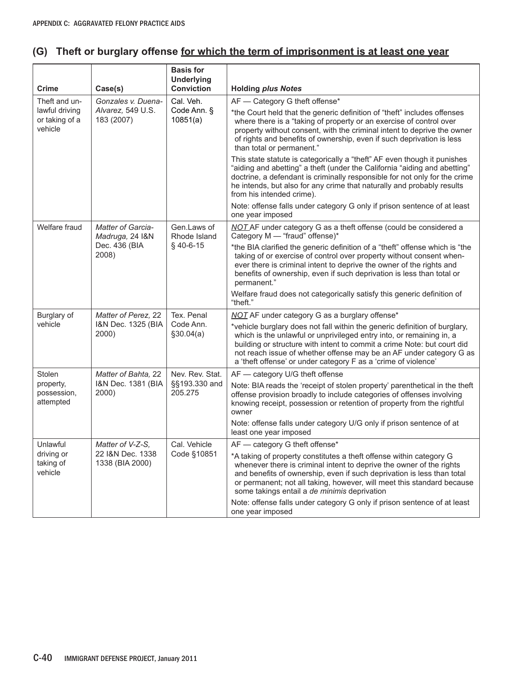## **(G) Theft or burglary offense for which the term of imprisonment is at least one year**

| <b>Crime</b>                                | Case(s)                              | <b>Basis for</b><br><b>Underlying</b><br><b>Conviction</b> | <b>Holding plus Notes</b>                                                                                                                                                                                                                                                                                                                                              |
|---------------------------------------------|--------------------------------------|------------------------------------------------------------|------------------------------------------------------------------------------------------------------------------------------------------------------------------------------------------------------------------------------------------------------------------------------------------------------------------------------------------------------------------------|
| Theft and un-                               | Gonzales v. Duena-                   | Cal. Veh.                                                  | AF - Category G theft offense*                                                                                                                                                                                                                                                                                                                                         |
| lawful driving<br>or taking of a<br>vehicle | Alvarez, 549 U.S.<br>183 (2007)      | Code Ann. §<br>10851(a)                                    | *the Court held that the generic definition of "theft" includes offenses<br>where there is a "taking of property or an exercise of control over<br>property without consent, with the criminal intent to deprive the owner<br>of rights and benefits of ownership, even if such deprivation is less<br>than total or permanent."                                       |
|                                             |                                      |                                                            | This state statute is categorically a "theft" AF even though it punishes<br>"aiding and abetting" a theft (under the California "aiding and abetting"<br>doctrine, a defendant is criminally responsible for not only for the crime<br>he intends, but also for any crime that naturally and probably results<br>from his intended crime).                             |
|                                             |                                      |                                                            | Note: offense falls under category G only if prison sentence of at least<br>one year imposed                                                                                                                                                                                                                                                                           |
| Welfare fraud                               | Matter of Garcia-<br>Madruga, 24 I&N | Gen.Laws of<br>Rhode Island                                | NOT AF under category G as a theft offense (could be considered a<br>Category M - "fraud" offense)*                                                                                                                                                                                                                                                                    |
| 2008)                                       | Dec. 436 (BIA                        | $§$ 40-6-15                                                | *the BIA clarified the generic definition of a "theft" offense which is "the<br>taking of or exercise of control over property without consent when-<br>ever there is criminal intent to deprive the owner of the rights and<br>benefits of ownership, even if such deprivation is less than total or<br>permanent."                                                   |
|                                             |                                      |                                                            | Welfare fraud does not categorically satisfy this generic definition of<br>"theft."                                                                                                                                                                                                                                                                                    |
| Burglary of                                 | Matter of Perez, 22                  | Tex. Penal                                                 | NOT AF under category G as a burglary offense*                                                                                                                                                                                                                                                                                                                         |
| vehicle                                     | I&N Dec. 1325 (BIA<br>2000)          | Code Ann.<br>\$30.04(a)                                    | *vehicle burglary does not fall within the generic definition of burglary,<br>which is the unlawful or unprivileged entry into, or remaining in, a<br>building or structure with intent to commit a crime Note: but court did<br>not reach issue of whether offense may be an AF under category G as<br>a 'theft offense' or under category F as a 'crime of violence' |
| Stolen                                      | Matter of Bahta, 22                  | Nev. Rev. Stat.                                            | AF - category U/G theft offense                                                                                                                                                                                                                                                                                                                                        |
| property,<br>possession,<br>attempted       | I&N Dec. 1381 (BIA<br>2000)          | §§193.330 and<br>205.275                                   | Note: BIA reads the 'receipt of stolen property' parenthetical in the theft<br>offense provision broadly to include categories of offenses involving<br>knowing receipt, possession or retention of property from the rightful<br>owner                                                                                                                                |
|                                             |                                      |                                                            | Note: offense falls under category U/G only if prison sentence of at<br>least one year imposed                                                                                                                                                                                                                                                                         |
| Unlawful                                    | Matter of V-Z-S,                     | Cal. Vehicle                                               | AF - category G theft offense*                                                                                                                                                                                                                                                                                                                                         |
| driving or<br>taking of<br>vehicle          | 22 I&N Dec. 1338<br>1338 (BIA 2000)  | Code §10851                                                | *A taking of property constitutes a theft offense within category G<br>whenever there is criminal intent to deprive the owner of the rights<br>and benefits of ownership, even if such deprivation is less than total<br>or permanent; not all taking, however, will meet this standard because<br>some takings entail a de minimis deprivation                        |
|                                             |                                      |                                                            | Note: offense falls under category G only if prison sentence of at least<br>one year imposed                                                                                                                                                                                                                                                                           |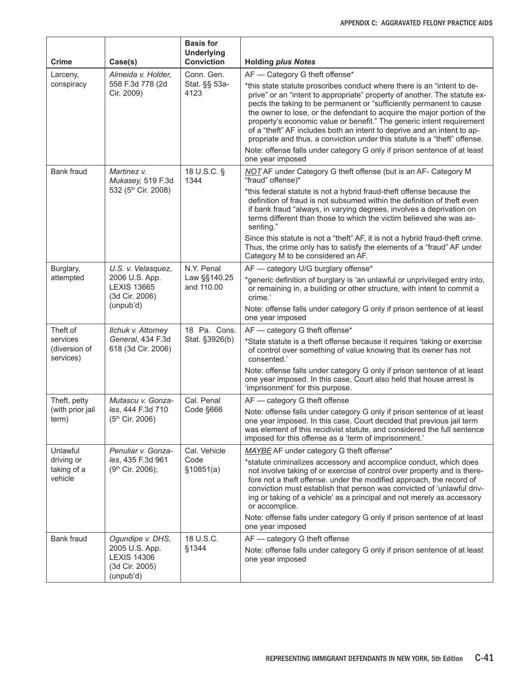| <b>Crime</b>                                       | Case(s)                                                                                   | <b>Basis for</b><br><b>Underlying</b><br><b>Conviction</b> | <b>Holding plus Notes</b>                                                                                                                                                                                                                                                                                                                                                                                                                                                                                                                                                                                                                                                  |
|----------------------------------------------------|-------------------------------------------------------------------------------------------|------------------------------------------------------------|----------------------------------------------------------------------------------------------------------------------------------------------------------------------------------------------------------------------------------------------------------------------------------------------------------------------------------------------------------------------------------------------------------------------------------------------------------------------------------------------------------------------------------------------------------------------------------------------------------------------------------------------------------------------------|
| Larceny,<br>conspiracy                             | Almeida v. Holder,<br>558 F.3d 778 (2d<br>Cir. 2009)                                      | Conn. Gen.<br>Stat. §§ 53a-<br>4123                        | AF - Category G theft offense*<br>*this state statute proscribes conduct where there is an "intent to de-<br>prive" or an "intent to appropriate" property of another. The statute ex-<br>pects the taking to be permanent or "sufficiently permanent to cause<br>the owner to lose, or the defendant to acquire the major portion of the<br>property's economic value or benefit." The generic intent requirement<br>of a "theft" AF includes both an intent to deprive and an intent to ap-<br>propriate and thus, a conviction under this statute is a "theft" offense.<br>Note: offense falls under category G only if prison sentence of at least<br>one year imposed |
| <b>Bank fraud</b>                                  | Martinez v.<br>Mukasey, 519 F.3d<br>532 (5th Cir. 2008)                                   | 18 U.S.C. §<br>1344                                        | NOT AF under Category G theft offense (but is an AF- Category M<br>"fraud" offense)*<br>*this federal statute is not a hybrid fraud-theft offense because the<br>definition of fraud is not subsumed within the definition of theft even<br>if bank fraud "always, in varying degrees, involves a deprivation on<br>terms different than those to which the victim believed she was as-                                                                                                                                                                                                                                                                                    |
|                                                    |                                                                                           |                                                            | senting."<br>Since this statute is not a "theft" AF, it is not a hybrid fraud-theft crime.<br>Thus, the crime only has to satisfy the elements of a "fraud" AF under<br>Category M to be considered an AF.                                                                                                                                                                                                                                                                                                                                                                                                                                                                 |
| Burglary,<br>attempted                             | U.S. v. Velasquez,<br>2006 U.S. App.<br><b>LEXIS 13665</b><br>(3d Cir. 2006)<br>(unpub'd) | N.Y. Penal<br>Law §§140.25<br>and 110.00                   | AF - category U/G burglary offense*<br>*generic definition of burglary is 'an unlawful or unprivileged entry into,<br>or remaining in, a building or other structure, with intent to commit a<br>crime.'<br>Note: offense falls under category G only if prison sentence of at least<br>one year imposed                                                                                                                                                                                                                                                                                                                                                                   |
| Theft of<br>services<br>(diversion of<br>services) | <b>Ilchuk v. Attorney</b><br>General, 434 F.3d<br>618 (3d Cir. 2006)                      | 18 Pa. Cons.<br>Stat. §3926(b)                             | AF - category G theft offense*<br>*State statute is a theft offense because it requires 'taking or exercise<br>of control over something of value knowing that its owner has not<br>consented.'<br>Note: offense falls under category G only if prison sentence of at least<br>one year imposed. In this case, Court also held that house arrest is<br>'imprisonment' for this purpose.                                                                                                                                                                                                                                                                                    |
| Theft, petty<br>(with prior jail<br>term)          | Mutascu v. Gonza-<br>les, 444 F.3d 710<br>(5th Cir. 2006)                                 | Cal. Penal<br>Code §666                                    | AF - category G theft offense<br>Note: offense falls under category G only if prison sentence of at least<br>one vear imposed. In this case, Court decided that previous jail term<br>was element of this recidivist statute, and considered the full sentence<br>imposed for this offense as a 'term of imprisonment.'                                                                                                                                                                                                                                                                                                                                                    |
| Unlawful<br>driving or<br>taking of a<br>vehicle   | Penuliar v. Gonza-<br>les, 435 F.3d 961<br>(9th Cir. 2006);                               | Cal. Vehicle<br>Code<br>\$10851(a)                         | MAYBE AF under category G theft offense*<br>*statute criminalizes accessory and accomplice conduct, which does<br>not involve taking of or exercise of control over property and is there-<br>fore not a theft offense. under the modified approach, the record of<br>conviction must establish that person was convicted of 'unlawful driv-<br>ing or taking of a vehicle' as a principal and not merely as accessory<br>or accomplice.<br>Note: offense falls under category G only if prison sentence of at least<br>one year imposed                                                                                                                                   |
| Bank fraud                                         | Ogundipe v. DHS,<br>2005 U.S. App.<br><b>LEXIS 14306</b><br>(3d Cir. 2005)<br>(unpub'd)   | 18 U.S.C.<br>§1344                                         | AF - category G theft offense<br>Note: offense falls under category G only if prison sentence of at least<br>one year imposed                                                                                                                                                                                                                                                                                                                                                                                                                                                                                                                                              |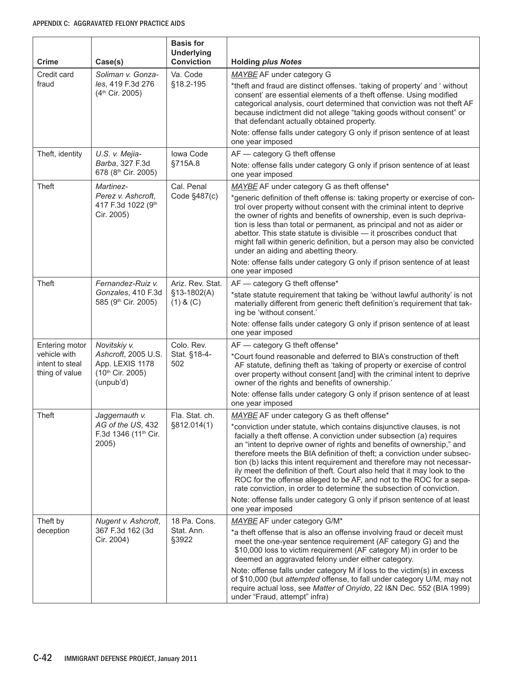| Crime                                                               | Case(s)                                                                                 | <b>Basis for</b><br><b>Underlying</b><br><b>Conviction</b> | <b>Holding plus Notes</b>                                                                                                                                                                                                                                                                                                                                                                                                                                                                                                                                                                                                                                                                                                                               |
|---------------------------------------------------------------------|-----------------------------------------------------------------------------------------|------------------------------------------------------------|---------------------------------------------------------------------------------------------------------------------------------------------------------------------------------------------------------------------------------------------------------------------------------------------------------------------------------------------------------------------------------------------------------------------------------------------------------------------------------------------------------------------------------------------------------------------------------------------------------------------------------------------------------------------------------------------------------------------------------------------------------|
| Credit card<br>fraud                                                | Soliman v. Gonza-<br>les, 419 F.3d 276<br>(4 <sup>th</sup> Cir. 2005)                   | Va. Code<br>§18.2-195                                      | MAYBE AF under category G<br>*theft and fraud are distinct offenses. 'taking of property' and ' without<br>consent' are essential elements of a theft offense. Using modified<br>categorical analysis, court determined that conviction was not theft AF<br>because indictment did not allege "taking goods without consent" or<br>that defendant actually obtained property.<br>Note: offense falls under category G only if prison sentence of at least<br>one year imposed                                                                                                                                                                                                                                                                           |
| Theft, identity                                                     | U.S. v. Mejia-<br>Barba, 327 F.3d<br>678 (8th Cir. 2005)                                | Iowa Code<br>§715A.8                                       | AF - category G theft offense<br>Note: offense falls under category G only if prison sentence of at least<br>one year imposed                                                                                                                                                                                                                                                                                                                                                                                                                                                                                                                                                                                                                           |
| Theft                                                               | Martinez-<br>Perez v. Ashcroft,<br>417 F.3d 1022 (9th<br>Cir. 2005)                     | Cal. Penal<br>Code §487(c)                                 | MAYBE AF under category G as theft offense*<br>*generic definition of theft offense is: taking property or exercise of con-<br>trol over property without consent with the criminal intent to deprive<br>the owner of rights and benefits of ownership, even is such depriva-<br>tion is less than total or permanent, as principal and not as aider or<br>abettor. This state statute is divisible - it proscribes conduct that<br>might fall within generic definition, but a person may also be convicted<br>under an aiding and abetting theory.                                                                                                                                                                                                    |
|                                                                     |                                                                                         |                                                            | Note: offense falls under category G only if prison sentence of at least<br>one year imposed                                                                                                                                                                                                                                                                                                                                                                                                                                                                                                                                                                                                                                                            |
| Theft                                                               | Fernandez-Ruiz v.<br>Gonzales, 410 F.3d<br>585 (9th Cir. 2005)                          | Ariz. Rev. Stat.<br>$$13-1802(A)$<br>$(1)$ & $(C)$         | AF - category G theft offense*<br>*state statute requirement that taking be 'without lawful authority' is not<br>materially different from generic theft definition's requirement that tak-<br>ing be 'without consent.'<br>Note: offense falls under category G only if prison sentence of at least<br>one year imposed                                                                                                                                                                                                                                                                                                                                                                                                                                |
| Entering motor<br>vehicle with<br>intent to steal<br>thing of value | Novitskiy v.<br>Ashcroft, 2005 U.S.<br>App. LEXIS 1178<br>(10th Cir. 2005)<br>(unpub'd) | Colo. Rev.<br>Stat. §18-4-<br>502                          | AF - category G theft offense*<br>*Court found reasonable and deferred to BIA's construction of theft<br>AF statute, defining theft as 'taking of property or exercise of control<br>over property without consent [and] with the criminal intent to deprive<br>owner of the rights and benefits of ownership.'<br>Note: offense falls under category G only if prison sentence of at least<br>one year imposed                                                                                                                                                                                                                                                                                                                                         |
| Theft                                                               | Jaggernauth v.<br>AG of the US, 432<br>F.3d 1346 (11 <sup>th</sup> Cir.<br>2005)        | Fla. Stat. ch.<br>§812.014(1)                              | MAYBE AF under category G as theft offense*<br>*conviction under statute, which contains disjunctive clauses, is not<br>facially a theft offense. A conviction under subsection (a) requires<br>an "intent to deprive owner of rights and benefits of ownership," and<br>therefore meets the BIA definition of theft; a conviction under subsec-<br>tion (b) lacks this intent requirement and therefore may not necessar-<br>ily meet the definition of theft. Court also held that it may look to the<br>ROC for the offense alleged to be AF, and not to the ROC for a sepa-<br>rate conviction, in order to determine the subsection of conviction.<br>Note: offense falls under category G only if prison sentence of at least<br>one year imposed |
| Theft by<br>deception                                               | Nugent v. Ashcroft,<br>367 F.3d 162 (3d<br>Cir. 2004)                                   | 18 Pa. Cons.<br>Stat. Ann.<br>§3922                        | MAYBE AF under category G/M*<br>*a theft offense that is also an offense involving fraud or deceit must<br>meet the one-year sentence requirement (AF category G) and the<br>\$10,000 loss to victim requirement (AF category M) in order to be<br>deemed an aggravated felony under either category.<br>Note: offense falls under category M if loss to the victim(s) in excess<br>of \$10,000 (but attempted offense, to fall under category U/M, may not<br>require actual loss, see Matter of Onyido, 22 I&N Dec. 552 (BIA 1999)<br>under "Fraud, attempt" infra)                                                                                                                                                                                   |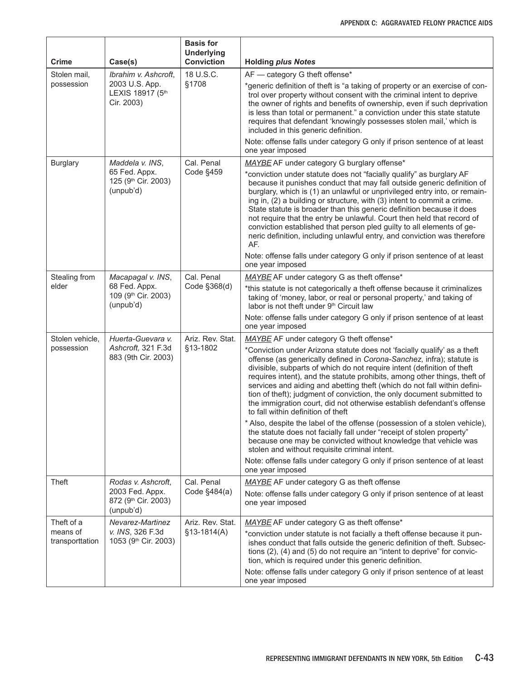| <b>Crime</b>                  | Case(s)                                                              | <b>Basis for</b><br><b>Underlying</b><br><b>Conviction</b> | <b>Holding plus Notes</b>                                                                                                                                                                                                                                                                                                                                                                                                                                                                                                                                                                                                                                                                                                                                                                                                                                                                                                                                                                              |
|-------------------------------|----------------------------------------------------------------------|------------------------------------------------------------|--------------------------------------------------------------------------------------------------------------------------------------------------------------------------------------------------------------------------------------------------------------------------------------------------------------------------------------------------------------------------------------------------------------------------------------------------------------------------------------------------------------------------------------------------------------------------------------------------------------------------------------------------------------------------------------------------------------------------------------------------------------------------------------------------------------------------------------------------------------------------------------------------------------------------------------------------------------------------------------------------------|
| Stolen mail,                  | Ibrahim v. Ashcroft,                                                 | 18 U.S.C.                                                  | AF - category G theft offense*                                                                                                                                                                                                                                                                                                                                                                                                                                                                                                                                                                                                                                                                                                                                                                                                                                                                                                                                                                         |
| possession                    | 2003 U.S. App.<br>LEXIS 18917 (5th<br>Cir. 2003)                     | §1708                                                      | *generic definition of theft is "a taking of property or an exercise of con-<br>trol over property without consent with the criminal intent to deprive<br>the owner of rights and benefits of ownership, even if such deprivation<br>is less than total or permanent." a conviction under this state statute<br>requires that defendant 'knowingly possesses stolen mail,' which is<br>included in this generic definition.                                                                                                                                                                                                                                                                                                                                                                                                                                                                                                                                                                            |
|                               |                                                                      |                                                            | Note: offense falls under category G only if prison sentence of at least<br>one year imposed                                                                                                                                                                                                                                                                                                                                                                                                                                                                                                                                                                                                                                                                                                                                                                                                                                                                                                           |
| <b>Burglary</b>               | Maddela v. INS.<br>65 Fed. Appx.<br>125 (9th Cir. 2003)<br>(unpub'd) | Cal. Penal<br>Code §459                                    | MAYBE AF under category G burglary offense*<br>*conviction under statute does not "facially qualify" as burglary AF<br>because it punishes conduct that may fall outside generic definition of<br>burglary, which is (1) an unlawful or unprivileged entry into, or remain-<br>ing in, (2) a building or structure, with (3) intent to commit a crime.<br>State statute is broader than this generic definition because it does<br>not require that the entry be unlawful. Court then held that record of<br>conviction established that person pled guilty to all elements of ge-<br>neric definition, including unlawful entry, and conviction was therefore<br>AF.<br>Note: offense falls under category G only if prison sentence of at least<br>one year imposed                                                                                                                                                                                                                                  |
| Stealing from                 | Macapagal v. INS,                                                    | Cal. Penal                                                 | MAYBE AF under category G as theft offense*                                                                                                                                                                                                                                                                                                                                                                                                                                                                                                                                                                                                                                                                                                                                                                                                                                                                                                                                                            |
| elder                         | 68 Fed. Appx.<br>109 (9th Cir. 2003)<br>(unpub'd)                    | Code §368(d)                                               | *this statute is not categorically a theft offense because it criminalizes<br>taking of 'money, labor, or real or personal property,' and taking of<br>labor is not theft under 9th Circuit law<br>Note: offense falls under category G only if prison sentence of at least                                                                                                                                                                                                                                                                                                                                                                                                                                                                                                                                                                                                                                                                                                                            |
|                               |                                                                      |                                                            | one year imposed                                                                                                                                                                                                                                                                                                                                                                                                                                                                                                                                                                                                                                                                                                                                                                                                                                                                                                                                                                                       |
| Stolen vehicle,<br>possession | Huerta-Guevara v.<br>Ashcroft, 321 F.3d<br>883 (9th Cir. 2003)       | Ariz. Rev. Stat.<br>§13-1802                               | MAYBE AF under category G theft offense*<br>*Conviction under Arizona statute does not 'facially qualify' as a theft<br>offense (as generically defined in Corona-Sanchez, infra); statute is<br>divisible, subparts of which do not require intent (definition of theft<br>requires intent), and the statute prohibits, among other things, theft of<br>services and aiding and abetting theft (which do not fall within defini-<br>tion of theft); judgment of conviction, the only document submitted to<br>the immigration court, did not otherwise establish defendant's offense<br>to fall within definition of theft<br>* Also, despite the label of the offense (possession of a stolen vehicle),<br>the statute does not facially fall under "receipt of stolen property"<br>because one may be convicted without knowledge that vehicle was<br>stolen and without requisite criminal intent.<br>Note: offense falls under category G only if prison sentence of at least<br>one year imposed |
| Theft                         | Rodas v. Ashcroft,                                                   | Cal. Penal                                                 | MAYBE AF under category G as theft offense                                                                                                                                                                                                                                                                                                                                                                                                                                                                                                                                                                                                                                                                                                                                                                                                                                                                                                                                                             |
|                               | 2003 Fed. Appx.<br>872 (9th Cir. 2003)<br>(unpub'd)                  | Code §484(a)                                               | Note: offense falls under category G only if prison sentence of at least<br>one year imposed                                                                                                                                                                                                                                                                                                                                                                                                                                                                                                                                                                                                                                                                                                                                                                                                                                                                                                           |
| Theft of a                    | Nevarez-Martinez                                                     | Ariz. Rev. Stat.                                           | MAYBE AF under category G as theft offense*                                                                                                                                                                                                                                                                                                                                                                                                                                                                                                                                                                                                                                                                                                                                                                                                                                                                                                                                                            |
| means of<br>transporttation   | v. INS, 326 F.3d<br>1053 (9th Cir. 2003)                             | $$13-1814(A)$                                              | *conviction under statute is not facially a theft offense because it pun-<br>ishes conduct that falls outside the generic definition of theft. Subsec-<br>tions (2), (4) and (5) do not require an "intent to deprive" for convic-<br>tion, which is required under this generic definition.<br>Note: offense falls under category G only if prison sentence of at least                                                                                                                                                                                                                                                                                                                                                                                                                                                                                                                                                                                                                               |
|                               |                                                                      |                                                            | one year imposed                                                                                                                                                                                                                                                                                                                                                                                                                                                                                                                                                                                                                                                                                                                                                                                                                                                                                                                                                                                       |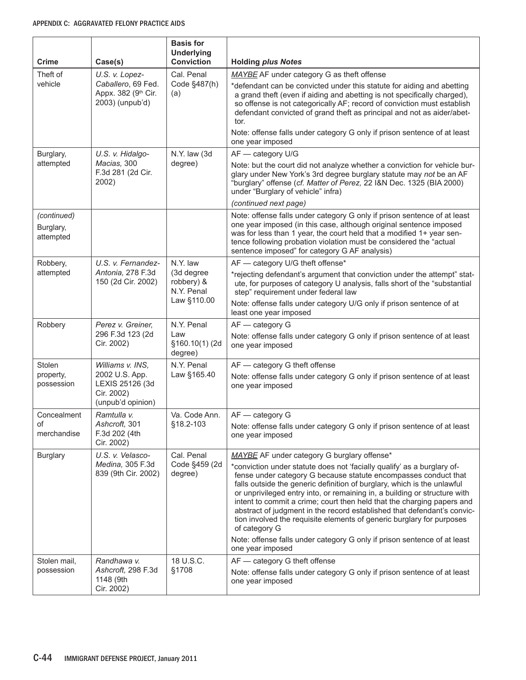| Crime                   | Case(s)                                                              | <b>Basis for</b><br><b>Underlying</b><br><b>Conviction</b> | <b>Holding plus Notes</b>                                                                                                                                                                                                                                                                                                                                                                                                                                                                                                                                                                                                     |
|-------------------------|----------------------------------------------------------------------|------------------------------------------------------------|-------------------------------------------------------------------------------------------------------------------------------------------------------------------------------------------------------------------------------------------------------------------------------------------------------------------------------------------------------------------------------------------------------------------------------------------------------------------------------------------------------------------------------------------------------------------------------------------------------------------------------|
| Theft of<br>vehicle     | U.S. v. Lopez-<br>Caballero, 69 Fed.                                 | Cal. Penal<br>Code §487(h)                                 | MAYBE AF under category G as theft offense<br>*defendant can be convicted under this statute for aiding and abetting                                                                                                                                                                                                                                                                                                                                                                                                                                                                                                          |
|                         | Appx. 382 (9th Cir.<br>2003) (unpub'd)                               | (a)                                                        | a grand theft (even if aiding and abetting is not specifically charged),<br>so offense is not categorically AF; record of conviction must establish<br>defendant convicted of grand theft as principal and not as aider/abet-<br>tor.<br>Note: offense falls under category G only if prison sentence of at least<br>one year imposed                                                                                                                                                                                                                                                                                         |
| Burglary,               | U.S. v. Hidalgo-                                                     | N.Y. law (3d                                               | AF - category U/G                                                                                                                                                                                                                                                                                                                                                                                                                                                                                                                                                                                                             |
| attempted               | Macias, 300<br>F.3d 281 (2d Cir.<br>2002)                            | degree)                                                    | Note: but the court did not analyze whether a conviction for vehicle bur-<br>glary under New York's 3rd degree burglary statute may not be an AF<br>"burglary" offense (cf. Matter of Perez, 22 I&N Dec. 1325 (BIA 2000)<br>under "Burglary of vehicle" infra)<br>(continued next page)                                                                                                                                                                                                                                                                                                                                       |
| (continued)             |                                                                      |                                                            | Note: offense falls under category G only if prison sentence of at least                                                                                                                                                                                                                                                                                                                                                                                                                                                                                                                                                      |
| Burglary,<br>attempted  |                                                                      |                                                            | one year imposed (in this case, although original sentence imposed<br>was for less than 1 year, the court held that a modified 1+ year sen-<br>tence following probation violation must be considered the "actual<br>sentence imposed" for category G AF analysis)                                                                                                                                                                                                                                                                                                                                                            |
| Robbery,                | U.S. v. Fernandez-                                                   | N.Y. law                                                   | AF - category U/G theft offense*                                                                                                                                                                                                                                                                                                                                                                                                                                                                                                                                                                                              |
| attempted               | Antonia, 278 F.3d<br>150 (2d Cir. 2002)                              | (3d degree<br>robbery) &<br>N.Y. Penal<br>Law §110.00      | *rejecting defendant's argument that conviction under the attempt" stat-<br>ute, for purposes of category U analysis, falls short of the "substantial<br>step" requirement under federal law                                                                                                                                                                                                                                                                                                                                                                                                                                  |
|                         |                                                                      |                                                            | Note: offense falls under category U/G only if prison sentence of at<br>least one year imposed                                                                                                                                                                                                                                                                                                                                                                                                                                                                                                                                |
| Robbery                 | Perez v. Greiner,                                                    | N.Y. Penal                                                 | AF - category G                                                                                                                                                                                                                                                                                                                                                                                                                                                                                                                                                                                                               |
|                         | 296 F.3d 123 (2d<br>Cir. 2002)                                       | Law<br>§160.10(1)(2d<br>degree)                            | Note: offense falls under category G only if prison sentence of at least<br>one year imposed                                                                                                                                                                                                                                                                                                                                                                                                                                                                                                                                  |
| Stolen                  | Williams v. INS,                                                     | N.Y. Penal                                                 | AF - category G theft offense                                                                                                                                                                                                                                                                                                                                                                                                                                                                                                                                                                                                 |
| property,<br>possession | 2002 U.S. App.<br>LEXIS 25126 (3d<br>Cir. 2002)<br>(unpub'd opinion) | Law §165.40                                                | Note: offense falls under category G only if prison sentence of at least<br>one year imposed                                                                                                                                                                                                                                                                                                                                                                                                                                                                                                                                  |
| Concealment             | Ramtulla v.                                                          | Va. Code Ann.                                              | $AF - category G$                                                                                                                                                                                                                                                                                                                                                                                                                                                                                                                                                                                                             |
| οf<br>merchandise       | Ashcroft, 301<br>F.3d 202 (4th<br>Cir. 2002)                         | §18.2-103                                                  | Note: offense falls under category G only if prison sentence of at least<br>one year imposed                                                                                                                                                                                                                                                                                                                                                                                                                                                                                                                                  |
| <b>Burglary</b>         | U.S. v. Velasco-                                                     | Cal. Penal                                                 | MAYBE AF under category G burglary offense*                                                                                                                                                                                                                                                                                                                                                                                                                                                                                                                                                                                   |
|                         | Medina, 305 F.3d<br>839 (9th Cir. 2002)                              | Code §459 (2d<br>degree)                                   | *conviction under statute does not 'facially qualify' as a burglary of-<br>fense under category G because statute encompasses conduct that<br>falls outside the generic definition of burglary, which is the unlawful<br>or unprivileged entry into, or remaining in, a building or structure with<br>intent to commit a crime; court then held that the charging papers and<br>abstract of judgment in the record established that defendant's convic-<br>tion involved the requisite elements of generic burglary for purposes<br>of category G<br>Note: offense falls under category G only if prison sentence of at least |
|                         |                                                                      |                                                            | one year imposed                                                                                                                                                                                                                                                                                                                                                                                                                                                                                                                                                                                                              |
| Stolen mail,            | Randhawa v.                                                          | 18 U.S.C.                                                  | AF - category G theft offense                                                                                                                                                                                                                                                                                                                                                                                                                                                                                                                                                                                                 |
| possession              | Ashcroft, 298 F.3d<br>1148 (9th<br>Cir. 2002)                        | §1708                                                      | Note: offense falls under category G only if prison sentence of at least<br>one year imposed                                                                                                                                                                                                                                                                                                                                                                                                                                                                                                                                  |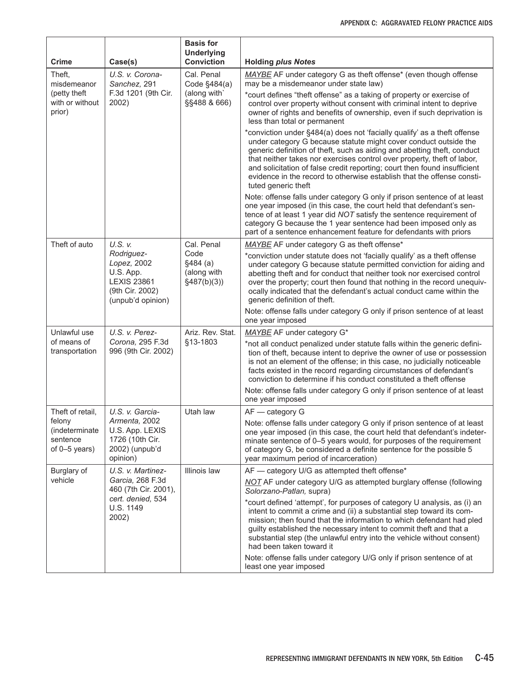| Crime                                                 | Case(s)                                                                                              | <b>Basis for</b><br><b>Underlying</b><br><b>Conviction</b> | <b>Holding plus Notes</b>                                                                                                                                                                                                                                                                                                                                                                                                                                                        |
|-------------------------------------------------------|------------------------------------------------------------------------------------------------------|------------------------------------------------------------|----------------------------------------------------------------------------------------------------------------------------------------------------------------------------------------------------------------------------------------------------------------------------------------------------------------------------------------------------------------------------------------------------------------------------------------------------------------------------------|
| Theft,<br>misdemeanor                                 | U.S. v. Corona-<br>Sanchez, 291<br>F.3d 1201 (9th Cir.<br>2002)                                      | Cal. Penal<br>Code §484(a)                                 | MAYBE AF under category G as theft offense <sup>*</sup> (even though offense<br>may be a misdemeanor under state law)                                                                                                                                                                                                                                                                                                                                                            |
| (petty theft)<br>with or without<br>prior)            |                                                                                                      | (along with)<br>§§488 & 666)                               | *court defines "theft offense" as a taking of property or exercise of<br>control over property without consent with criminal intent to deprive<br>owner of rights and benefits of ownership, even if such deprivation is<br>less than total or permanent                                                                                                                                                                                                                         |
|                                                       |                                                                                                      |                                                            | *conviction under §484(a) does not 'facially qualify' as a theft offense<br>under category G because statute might cover conduct outside the<br>generic definition of theft, such as aiding and abetting theft, conduct<br>that neither takes nor exercises control over property, theft of labor,<br>and solicitation of false credit reporting; court then found insufficient<br>evidence in the record to otherwise establish that the offense consti-<br>tuted generic theft |
|                                                       |                                                                                                      |                                                            | Note: offense falls under category G only if prison sentence of at least<br>one year imposed (in this case, the court held that defendant's sen-<br>tence of at least 1 year did NOT satisfy the sentence requirement of<br>category G because the 1 year sentence had been imposed only as<br>part of a sentence enhancement feature for defendants with priors                                                                                                                 |
| Theft of auto                                         | U.S. v.                                                                                              | Cal. Penal                                                 | MAYBE AF under category G as theft offense*                                                                                                                                                                                                                                                                                                                                                                                                                                      |
|                                                       | Rodriguez-<br>Lopez, 2002<br>U.S. App.<br><b>LEXIS 23861</b><br>(9th Cir. 2002)<br>(unpub'd opinion) | Code<br>\$484(a)<br>(along with<br>§487(b)(3))             | *conviction under statute does not 'facially qualify' as a theft offense<br>under category G because statute permitted conviction for aiding and<br>abetting theft and for conduct that neither took nor exercised control<br>over the property; court then found that nothing in the record unequiv-<br>ocally indicated that the defendant's actual conduct came within the<br>generic definition of theft.                                                                    |
|                                                       |                                                                                                      |                                                            | Note: offense falls under category G only if prison sentence of at least<br>one year imposed                                                                                                                                                                                                                                                                                                                                                                                     |
| Unlawful use                                          | U.S. v. Perez-                                                                                       | Ariz. Rev. Stat.                                           | MAYBE AF under category G*                                                                                                                                                                                                                                                                                                                                                                                                                                                       |
| of means of<br>transportation                         | Corona, 295 F.3d<br>996 (9th Cir. 2002)                                                              | §13-1803                                                   | *not all conduct penalized under statute falls within the generic defini-<br>tion of theft, because intent to deprive the owner of use or possession<br>is not an element of the offense; in this case, no judicially noticeable<br>facts existed in the record regarding circumstances of defendant's<br>conviction to determine if his conduct constituted a theft offense                                                                                                     |
|                                                       |                                                                                                      |                                                            | Note: offense falls under category G only if prison sentence of at least<br>one year imposed                                                                                                                                                                                                                                                                                                                                                                                     |
| Theft of retail,                                      | U.S. v. Garcia-                                                                                      | Utah law                                                   | $AF - category G$                                                                                                                                                                                                                                                                                                                                                                                                                                                                |
| felony<br>(indeterminate<br>sentence<br>of 0-5 years) | Armenta, 2002<br>U.S. App. LEXIS<br>1726 (10th Cir.<br>2002) (unpub'd<br>opinion)                    |                                                            | Note: offense falls under category G only if prison sentence of at least<br>one year imposed (in this case, the court held that defendant's indeter-<br>minate sentence of 0-5 years would, for purposes of the requirement<br>of category G, be considered a definite sentence for the possible 5<br>year maximum period of incarceration)                                                                                                                                      |
| Burglary of                                           | U.S. v. Martinez-                                                                                    | Illinois law                                               | AF — category U/G as attempted theft offense*                                                                                                                                                                                                                                                                                                                                                                                                                                    |
| vehicle                                               | Garcia, 268 F.3d<br>460 (7th Cir. 2001),                                                             |                                                            | NOT AF under category U/G as attempted burglary offense (following<br>Solorzano-Patlan, supra)                                                                                                                                                                                                                                                                                                                                                                                   |
|                                                       | cert. denied, 534<br>U.S. 1149<br>2002)                                                              |                                                            | *court defined 'attempt', for purposes of category U analysis, as (i) an<br>intent to commit a crime and (ii) a substantial step toward its com-<br>mission; then found that the information to which defendant had pled<br>guilty established the necessary intent to commit theft and that a<br>substantial step (the unlawful entry into the vehicle without consent)<br>had been taken toward it                                                                             |
|                                                       |                                                                                                      |                                                            | Note: offense falls under category U/G only if prison sentence of at<br>least one year imposed                                                                                                                                                                                                                                                                                                                                                                                   |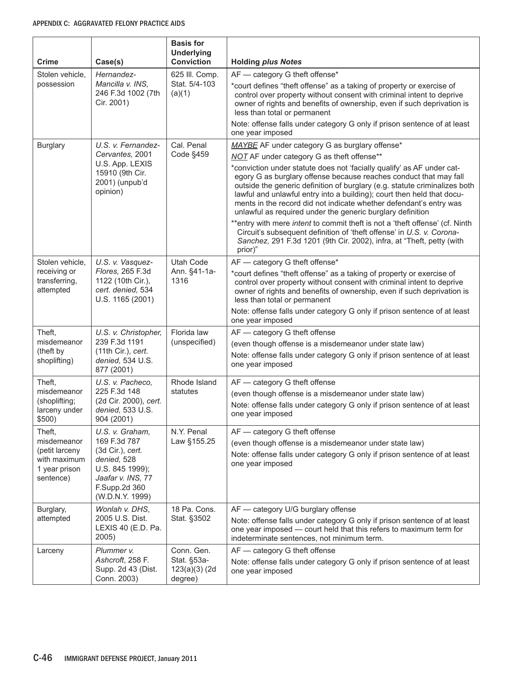| Crime                                                                                 | Case(s)                                                                                                                                        | <b>Basis for</b><br><b>Underlying</b><br><b>Conviction</b> | <b>Holding plus Notes</b>                                                                                                                                                                                                                                                                                                                                                                                                                                                                                                                                                                                                                                                                                                                                                            |
|---------------------------------------------------------------------------------------|------------------------------------------------------------------------------------------------------------------------------------------------|------------------------------------------------------------|--------------------------------------------------------------------------------------------------------------------------------------------------------------------------------------------------------------------------------------------------------------------------------------------------------------------------------------------------------------------------------------------------------------------------------------------------------------------------------------------------------------------------------------------------------------------------------------------------------------------------------------------------------------------------------------------------------------------------------------------------------------------------------------|
| Stolen vehicle,<br>possession                                                         | Hernandez-<br>Mancilla v. INS,<br>246 F.3d 1002 (7th<br>Cir. 2001)                                                                             | 625 III. Comp.<br>Stat. 5/4-103<br>(a)(1)                  | AF - category G theft offense*<br>*court defines "theft offense" as a taking of property or exercise of<br>control over property without consent with criminal intent to deprive<br>owner of rights and benefits of ownership, even if such deprivation is<br>less than total or permanent<br>Note: offense falls under category G only if prison sentence of at least<br>one year imposed                                                                                                                                                                                                                                                                                                                                                                                           |
| <b>Burglary</b>                                                                       | U.S. v. Fernandez-<br>Cervantes, 2001<br>U.S. App. LEXIS<br>15910 (9th Cir.<br>2001) (unpub'd<br>opinion)                                      | Cal. Penal<br>Code §459                                    | MAYBE AF under category G as burglary offense*<br>NOT AF under category G as theft offense**<br>*conviction under statute does not 'facially qualify' as AF under cat-<br>egory G as burglary offense because reaches conduct that may fall<br>outside the generic definition of burglary (e.g. statute criminalizes both<br>lawful and unlawful entry into a building); court then held that docu-<br>ments in the record did not indicate whether defendant's entry was<br>unlawful as required under the generic burglary definition<br>**entry with mere intent to commit theft is not a 'theft offense' (cf. Ninth<br>Circuit's subsequent definition of 'theft offense' in U.S. v. Corona-<br>Sanchez, 291 F.3d 1201 (9th Cir. 2002), infra, at "Theft, petty (with<br>prior)" |
| Stolen vehicle,<br>receiving or<br>transferring,<br>attempted                         | U.S. v. Vasquez-<br>Flores, 265 F.3d<br>1122 (10th Cir.),<br>cert. denied, 534<br>U.S. 1165 (2001)                                             | Utah Code<br>Ann. §41-1a-<br>1316                          | AF - category G theft offense*<br>*court defines "theft offense" as a taking of property or exercise of<br>control over property without consent with criminal intent to deprive<br>owner of rights and benefits of ownership, even if such deprivation is<br>less than total or permanent<br>Note: offense falls under category G only if prison sentence of at least<br>one year imposed                                                                                                                                                                                                                                                                                                                                                                                           |
| Theft,<br>misdemeanor<br>(theft by<br>shoplifting)                                    | U.S. v. Christopher,<br>239 F.3d 1191<br>(11th Cir.), cert.<br>denied, 534 U.S.<br>877 (2001)                                                  | Florida law<br>(unspecified)                               | AF - category G theft offense<br>(even though offense is a misdemeanor under state law)<br>Note: offense falls under category G only if prison sentence of at least<br>one year imposed                                                                                                                                                                                                                                                                                                                                                                                                                                                                                                                                                                                              |
| Theft,<br>misdemeanor<br>(shoplifting;<br>larceny under<br>\$500)                     | U.S. v. Pacheco,<br>225 F.3d 148<br>(2d Cir. 2000), cert.<br>denied, 533 U.S.<br>904 (2001)                                                    | Rhode Island<br>statutes                                   | AF - category G theft offense<br>(even though offense is a misdemeanor under state law)<br>Note: offense falls under category G only if prison sentence of at least<br>one year imposed                                                                                                                                                                                                                                                                                                                                                                                                                                                                                                                                                                                              |
| Theft.<br>misdemeanor<br>(petit larceny<br>with maximum<br>1 year prison<br>sentence) | U.S. v. Graham,<br>169 F.3d 787<br>(3d Cir.), cert.<br>denied, 528<br>U.S. 845 1999);<br>Jaafar v. INS, 77<br>F.Supp.2d 360<br>(W.D.N.Y. 1999) | N.Y. Penal<br>Law §155.25                                  | AF - category G theft offense<br>(even though offense is a misdemeanor under state law)<br>Note: offense falls under category G only if prison sentence of at least<br>one year imposed                                                                                                                                                                                                                                                                                                                                                                                                                                                                                                                                                                                              |
| Burglary,<br>attempted                                                                | Wonlah v. DHS,<br>2005 U.S. Dist.<br>LEXIS 40 (E.D. Pa.<br>2005)                                                                               | 18 Pa. Cons.<br>Stat. §3502                                | AF - category U/G burglary offense<br>Note: offense falls under category G only if prison sentence of at least<br>one year imposed - court held that this refers to maximum term for<br>indeterminate sentences, not minimum term.                                                                                                                                                                                                                                                                                                                                                                                                                                                                                                                                                   |
| Larceny                                                                               | Plummer v.<br>Ashcroft, 258 F.<br>Supp. 2d 43 (Dist.<br>Conn. 2003)                                                                            | Conn. Gen.<br>Stat. §53a-<br>$123(a)(3)$ (2d<br>degree)    | AF - category G theft offense<br>Note: offense falls under category G only if prison sentence of at least<br>one year imposed                                                                                                                                                                                                                                                                                                                                                                                                                                                                                                                                                                                                                                                        |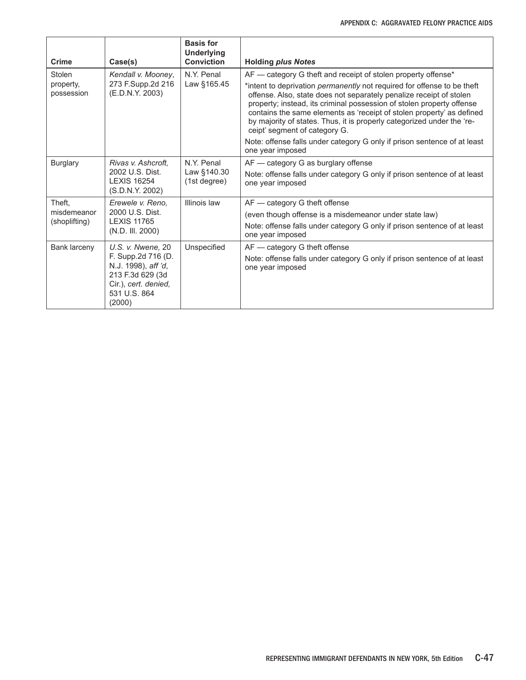| <b>Crime</b>                           | Case(s)                                                                                                                              | <b>Basis for</b><br><b>Underlying</b><br><b>Conviction</b> | <b>Holding plus Notes</b>                                                                                                                                                                                                                                                                                                                                                                                                                                                                                                                                                           |
|----------------------------------------|--------------------------------------------------------------------------------------------------------------------------------------|------------------------------------------------------------|-------------------------------------------------------------------------------------------------------------------------------------------------------------------------------------------------------------------------------------------------------------------------------------------------------------------------------------------------------------------------------------------------------------------------------------------------------------------------------------------------------------------------------------------------------------------------------------|
| Stolen<br>property,<br>possession      | Kendall v. Mooney,<br>273 F.Supp.2d 216<br>(E.D.N.Y. 2003)                                                                           | N.Y. Penal<br>Law §165.45                                  | AF - category G theft and receipt of stolen property offense*<br>*intent to deprivation <i>permanently</i> not required for offense to be theft<br>offense. Also, state does not separately penalize receipt of stolen<br>property; instead, its criminal possession of stolen property offense<br>contains the same elements as 'receipt of stolen property' as defined<br>by majority of states. Thus, it is properly categorized under the 're-<br>ceipt' segment of category G.<br>Note: offense falls under category G only if prison sentence of at least<br>one year imposed |
| <b>Burglary</b>                        | Rivas v. Ashcroft.<br>2002 U.S. Dist.<br><b>LEXIS 16254</b><br>(S.D.N.Y. 2002)                                                       | N.Y. Penal<br>Law §140.30<br>(1st degree)                  | AF - category G as burglary offense<br>Note: offense falls under category G only if prison sentence of at least<br>one year imposed                                                                                                                                                                                                                                                                                                                                                                                                                                                 |
| Theft.<br>misdemeanor<br>(shoplifting) | Erewele v. Reno.<br>2000 U.S. Dist.<br><b>LEXIS 11765</b><br>(N.D. III. 2000)                                                        | Illinois law                                               | AF - category G theft offense<br>(even though offense is a misdemeanor under state law)<br>Note: offense falls under category G only if prison sentence of at least<br>one year imposed                                                                                                                                                                                                                                                                                                                                                                                             |
| Bank larceny                           | U.S. v. Nwene, 20<br>F. Supp.2d 716 (D.<br>N.J. 1998), aff 'd,<br>213 F.3d 629 (3d<br>Cir.), cert. denied,<br>531 U.S. 864<br>(2000) | Unspecified                                                | AF - category G theft offense<br>Note: offense falls under category G only if prison sentence of at least<br>one year imposed                                                                                                                                                                                                                                                                                                                                                                                                                                                       |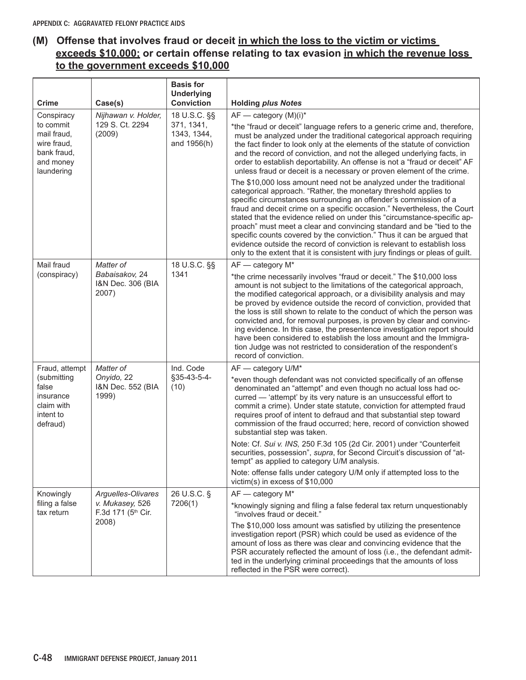## **(M) Offense that involves fraud or deceit in which the loss to the victim or victims exceeds \$10,000; or certain offense relating to tax evasion in which the revenue loss to the government exceeds \$10,000**

| <b>Crime</b>                                                                      | Case(s)                                      | <b>Basis for</b><br><b>Underlying</b><br><b>Conviction</b> | <b>Holding plus Notes</b>                                                                                                                                                                                                                                                                                                                                                                                                                                                                                                                                                                                                                                                                           |
|-----------------------------------------------------------------------------------|----------------------------------------------|------------------------------------------------------------|-----------------------------------------------------------------------------------------------------------------------------------------------------------------------------------------------------------------------------------------------------------------------------------------------------------------------------------------------------------------------------------------------------------------------------------------------------------------------------------------------------------------------------------------------------------------------------------------------------------------------------------------------------------------------------------------------------|
| Conspiracy                                                                        | Nijhawan v. Holder,                          | 18 U.S.C. §§                                               | $AF$ - category $(M)(i)^*$                                                                                                                                                                                                                                                                                                                                                                                                                                                                                                                                                                                                                                                                          |
| to commit<br>mail fraud.<br>wire fraud,<br>bank fraud,<br>and money<br>laundering | 129 S. Ct. 2294<br>(2009)                    | 371, 1341,<br>1343, 1344,<br>and 1956(h)                   | *the "fraud or deceit" language refers to a generic crime and, therefore,<br>must be analyzed under the traditional categorical approach requiring<br>the fact finder to look only at the elements of the statute of conviction<br>and the record of conviction, and not the alleged underlying facts, in<br>order to establish deportability. An offense is not a "fraud or deceit" AF<br>unless fraud or deceit is a necessary or proven element of the crime.                                                                                                                                                                                                                                    |
|                                                                                   |                                              |                                                            | The \$10,000 loss amount need not be analyzed under the traditional<br>categorical approach. "Rather, the monetary threshold applies to<br>specific circumstances surrounding an offender's commission of a<br>fraud and deceit crime on a specific occasion." Nevertheless, the Court<br>stated that the evidence relied on under this "circumstance-specific ap-<br>proach" must meet a clear and convincing standard and be "tied to the<br>specific counts covered by the conviction." Thus it can be argued that<br>evidence outside the record of conviction is relevant to establish loss<br>only to the extent that it is consistent with jury findings or pleas of guilt.                  |
| Mail fraud                                                                        | Matter of                                    | 18 U.S.C. §§                                               | AF - category M*                                                                                                                                                                                                                                                                                                                                                                                                                                                                                                                                                                                                                                                                                    |
| (conspiracy)                                                                      | Babaisakov, 24<br>I&N Dec. 306 (BIA<br>2007) | 1341                                                       | *the crime necessarily involves "fraud or deceit." The \$10,000 loss<br>amount is not subject to the limitations of the categorical approach,<br>the modified categorical approach, or a divisibility analysis and may<br>be proved by evidence outside the record of conviction, provided that<br>the loss is still shown to relate to the conduct of which the person was<br>convicted and, for removal purposes, is proven by clear and convinc-<br>ing evidence. In this case, the presentence investigation report should<br>have been considered to establish the loss amount and the Immigra-<br>tion Judge was not restricted to consideration of the respondent's<br>record of conviction. |
| Fraud, attempt                                                                    | Matter of                                    | Ind. Code                                                  | AF - category U/M*                                                                                                                                                                                                                                                                                                                                                                                                                                                                                                                                                                                                                                                                                  |
| (submitting<br>false<br>insurance<br>claim with<br>intent to<br>defraud)          | Onyido, 22<br>I&N Dec. 552 (BIA<br>1999)     | §35-43-5-4-<br>(10)                                        | *even though defendant was not convicted specifically of an offense<br>denominated an "attempt" and even though no actual loss had oc-<br>curred - 'attempt' by its very nature is an unsuccessful effort to<br>commit a crime). Under state statute, conviction for attempted fraud<br>requires proof of intent to defraud and that substantial step toward<br>commission of the fraud occurred; here, record of conviction showed<br>substantial step was taken.                                                                                                                                                                                                                                  |
|                                                                                   |                                              |                                                            | Note: Cf. Sui v. INS, 250 F.3d 105 (2d Cir. 2001) under "Counterfeit<br>securities, possession", supra, for Second Circuit's discussion of "at-<br>tempt" as applied to category U/M analysis.                                                                                                                                                                                                                                                                                                                                                                                                                                                                                                      |
|                                                                                   |                                              |                                                            | Note: offense falls under category U/M only if attempted loss to the<br>victim(s) in excess of \$10,000                                                                                                                                                                                                                                                                                                                                                                                                                                                                                                                                                                                             |
| Knowingly                                                                         | Arguelles-Olivares                           | 26 U.S.C. §                                                | AF - category M*                                                                                                                                                                                                                                                                                                                                                                                                                                                                                                                                                                                                                                                                                    |
| filing a false<br>tax return                                                      | v. Mukasey, 526<br>F.3d 171 (5th Cir.        | 7206(1)                                                    | *knowingly signing and filing a false federal tax return unquestionably<br>"involves fraud or deceit."                                                                                                                                                                                                                                                                                                                                                                                                                                                                                                                                                                                              |
|                                                                                   | 2008)                                        |                                                            | The \$10,000 loss amount was satisfied by utilizing the presentence<br>investigation report (PSR) which could be used as evidence of the<br>amount of loss as there was clear and convincing evidence that the<br>PSR accurately reflected the amount of loss (i.e., the defendant admit-<br>ted in the underlying criminal proceedings that the amounts of loss<br>reflected in the PSR were correct).                                                                                                                                                                                                                                                                                             |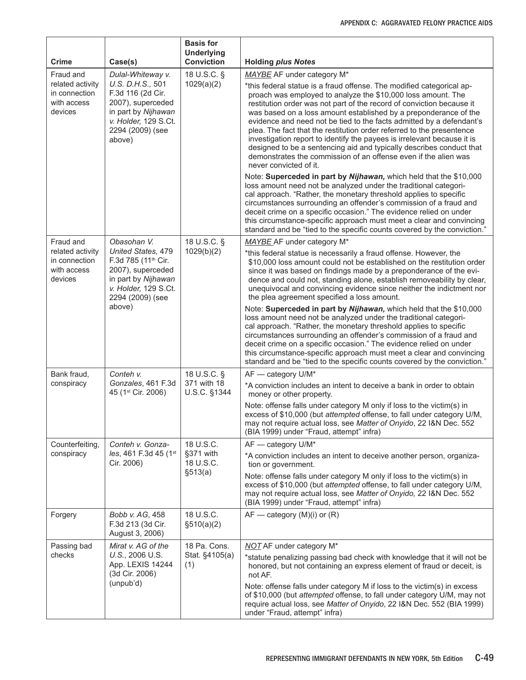| Crime                                                       | Case(s)                                                                                                                                       | <b>Basis for</b><br><b>Underlying</b><br><b>Conviction</b> | <b>Holding plus Notes</b>                                                                                                                                                                                                                                                                                                                                                                                                                                                                                                                                                                                                                                                           |
|-------------------------------------------------------------|-----------------------------------------------------------------------------------------------------------------------------------------------|------------------------------------------------------------|-------------------------------------------------------------------------------------------------------------------------------------------------------------------------------------------------------------------------------------------------------------------------------------------------------------------------------------------------------------------------------------------------------------------------------------------------------------------------------------------------------------------------------------------------------------------------------------------------------------------------------------------------------------------------------------|
| Fraud and                                                   | Dulal-Whiteway v.                                                                                                                             | 18 U.S.C. §                                                | MAYBE AF under category M*                                                                                                                                                                                                                                                                                                                                                                                                                                                                                                                                                                                                                                                          |
| related activity<br>in connection<br>with access<br>devices | U.S. D.H.S., 501<br>F.3d 116 (2d Cir.<br>2007), superceded<br>in part by Nijhawan<br>v. Holder, 129 S.Ct.<br>2294 (2009) (see<br>above)       | 1029(a)(2)                                                 | *this federal statue is a fraud offense. The modified categorical ap-<br>proach was employed to analyze the \$10,000 loss amount. The<br>restitution order was not part of the record of conviction because it<br>was based on a loss amount established by a preponderance of the<br>evidence and need not be tied to the facts admitted by a defendant's<br>plea. The fact that the restitution order referred to the presentence<br>investigation report to identify the payees is irrelevant because it is<br>designed to be a sentencing aid and typically describes conduct that<br>demonstrates the commission of an offense even if the alien was<br>never convicted of it. |
|                                                             |                                                                                                                                               |                                                            | Note: Superceded in part by Nijhawan, which held that the \$10,000<br>loss amount need not be analyzed under the traditional categori-<br>cal approach. "Rather, the monetary threshold applies to specific<br>circumstances surrounding an offender's commission of a fraud and<br>deceit crime on a specific occasion." The evidence relied on under<br>this circumstance-specific approach must meet a clear and convincing<br>standard and be "tied to the specific counts covered by the conviction."                                                                                                                                                                          |
| Fraud and                                                   | Obasohan V.                                                                                                                                   | 18 U.S.C. §                                                | MAYBE AF under category M*                                                                                                                                                                                                                                                                                                                                                                                                                                                                                                                                                                                                                                                          |
| related activity<br>in connection<br>with access<br>devices | United States, 479<br>F.3d 785 (11 <sup>th</sup> Cir.<br>2007), superceded<br>in part by Nijhawan<br>v. Holder, 129 S.Ct.<br>2294 (2009) (see | 1029(b)(2)                                                 | *this federal statue is necessarily a fraud offense. However, the<br>\$10,000 loss amount could not be established on the restitution order<br>since it was based on findings made by a preponderance of the evi-<br>dence and could not, standing alone, establish removeability by clear,<br>unequivocal and convincing evidence since neither the indictment nor<br>the plea agreement specified a loss amount.                                                                                                                                                                                                                                                                  |
|                                                             | above)                                                                                                                                        |                                                            | Note: Superceded in part by Nijhawan, which held that the \$10,000<br>loss amount need not be analyzed under the traditional categori-<br>cal approach. "Rather, the monetary threshold applies to specific<br>circumstances surrounding an offender's commission of a fraud and<br>deceit crime on a specific occasion." The evidence relied on under<br>this circumstance-specific approach must meet a clear and convincing<br>standard and be "tied to the specific counts covered by the conviction."                                                                                                                                                                          |
| Bank fraud,<br>conspiracy                                   | Conteh v.<br>Gonzales, 461 F.3d<br>45 (1 <sup>st</sup> Cir. 2006)                                                                             | 18 U.S.C. §<br>371 with 18<br>U.S.C. §1344                 | AF - category U/M*<br>*A conviction includes an intent to deceive a bank in order to obtain                                                                                                                                                                                                                                                                                                                                                                                                                                                                                                                                                                                         |
|                                                             |                                                                                                                                               |                                                            | money or other property.<br>Note: offense falls under category M only if loss to the victim(s) in<br>excess of \$10,000 (but attempted offense, to fall under category U/M,<br>may not require actual loss, see Matter of Onyido, 22 I&N Dec. 552<br>(BIA 1999) under "Fraud, attempt" infra)                                                                                                                                                                                                                                                                                                                                                                                       |
| Counterfeiting,                                             | Conteh v. Gonza-                                                                                                                              | 18 U.S.C.                                                  | AF - category U/M*                                                                                                                                                                                                                                                                                                                                                                                                                                                                                                                                                                                                                                                                  |
| conspiracy                                                  | les, 461 F.3d 45 (1st<br>Cir. 2006)                                                                                                           | §371 with<br>18 U.S.C.<br>\$513(a)                         | *A conviction includes an intent to deceive another person, organiza-<br>tion or government.                                                                                                                                                                                                                                                                                                                                                                                                                                                                                                                                                                                        |
|                                                             |                                                                                                                                               |                                                            | Note: offense falls under category M only if loss to the victim(s) in<br>excess of \$10,000 (but attempted offense, to fall under category U/M,<br>may not require actual loss, see Matter of Onyido, 22 I&N Dec. 552<br>(BIA 1999) under "Fraud, attempt" infra)                                                                                                                                                                                                                                                                                                                                                                                                                   |
| Forgery                                                     | Bobb v. AG, 458<br>F.3d 213 (3d Cir.<br>August 3, 2006)                                                                                       | 18 U.S.C.<br>\$510(a)(2)                                   | $AF$ — category (M)(i) or (R)                                                                                                                                                                                                                                                                                                                                                                                                                                                                                                                                                                                                                                                       |
| Passing bad                                                 | Mirat v. AG of the                                                                                                                            | 18 Pa. Cons.                                               | <b>NOT</b> AF under category M <sup>*</sup>                                                                                                                                                                                                                                                                                                                                                                                                                                                                                                                                                                                                                                         |
| checks                                                      | U.S., 2006 U.S.<br>App. LEXIS 14244<br>(3d Cir. 2006)                                                                                         | Stat. §4105(a)<br>(1)                                      | *statute penalizing passing bad check with knowledge that it will not be<br>honored, but not containing an express element of fraud or deceit, is<br>not AF.                                                                                                                                                                                                                                                                                                                                                                                                                                                                                                                        |
|                                                             | (unpub'd)                                                                                                                                     |                                                            | Note: offense falls under category M if loss to the victim(s) in excess<br>of \$10,000 (but attempted offense, to fall under category U/M, may not<br>require actual loss, see Matter of Onyido, 22 I&N Dec. 552 (BIA 1999)<br>under "Fraud, attempt" infra)                                                                                                                                                                                                                                                                                                                                                                                                                        |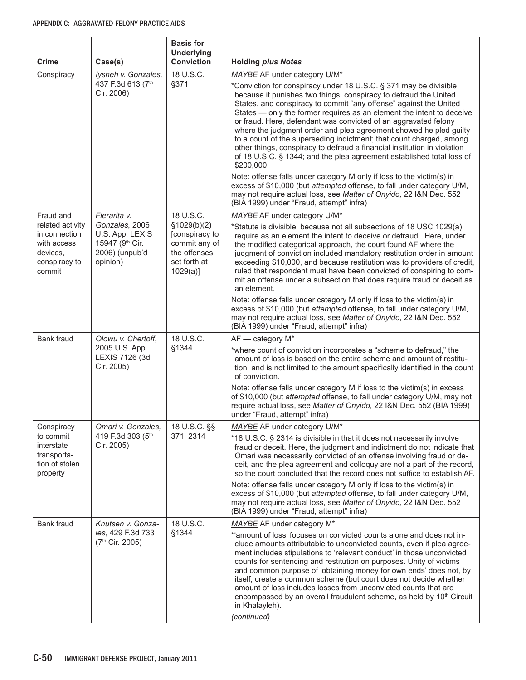| <b>Crime</b>                                                                            | Case(s)                                                                            | <b>Basis for</b><br><b>Underlying</b><br><b>Conviction</b>                                     | <b>Holding plus Notes</b>                                                                                                                                                                                                                                                                                                                                                                                                                                                                                                                                                                                                                                             |
|-----------------------------------------------------------------------------------------|------------------------------------------------------------------------------------|------------------------------------------------------------------------------------------------|-----------------------------------------------------------------------------------------------------------------------------------------------------------------------------------------------------------------------------------------------------------------------------------------------------------------------------------------------------------------------------------------------------------------------------------------------------------------------------------------------------------------------------------------------------------------------------------------------------------------------------------------------------------------------|
| Conspiracy                                                                              | lysheh v. Gonzales,                                                                | 18 U.S.C.                                                                                      | MAYBE AF under category U/M*                                                                                                                                                                                                                                                                                                                                                                                                                                                                                                                                                                                                                                          |
|                                                                                         | 437 F.3d 613 (7th<br>Cir. 2006)                                                    | §371                                                                                           | *Conviction for conspiracy under 18 U.S.C. § 371 may be divisible<br>because it punishes two things: conspiracy to defraud the United<br>States, and conspiracy to commit "any offense" against the United<br>States - only the former requires as an element the intent to deceive<br>or fraud. Here, defendant was convicted of an aggravated felony<br>where the judgment order and plea agreement showed he pled guilty<br>to a count of the superseding indictment; that count charged, among<br>other things, conspiracy to defraud a financial institution in violation<br>of 18 U.S.C. § 1344; and the plea agreement established total loss of<br>\$200,000. |
|                                                                                         |                                                                                    |                                                                                                | Note: offense falls under category M only if loss to the victim(s) in<br>excess of \$10,000 (but attempted offense, to fall under category U/M,<br>may not require actual loss, see Matter of Onyido, 22 I&N Dec. 552<br>(BIA 1999) under "Fraud, attempt" infra)                                                                                                                                                                                                                                                                                                                                                                                                     |
| Fraud and                                                                               | Fierarita v.                                                                       | 18 U.S.C.                                                                                      | MAYBE AF under category U/M*                                                                                                                                                                                                                                                                                                                                                                                                                                                                                                                                                                                                                                          |
| related activity<br>in connection<br>with access<br>devices,<br>conspiracy to<br>commit | Gonzales, 2006<br>U.S. App. LEXIS<br>15947 (9th Cir.<br>2006) (unpub'd<br>opinion) | \$1029(b)(2)<br>[conspiracy to<br>commit any of<br>the offenses<br>set forth at<br>$1029(a)$ ] | *Statute is divisible, because not all subsections of 18 USC 1029(a)<br>require as an element the intent to deceive or defraud. Here, under<br>the modified categorical approach, the court found AF where the<br>judgment of conviction included mandatory restitution order in amount<br>exceeding \$10,000, and because restitution was to providers of credit,<br>ruled that respondent must have been convicted of conspiring to com-<br>mit an offense under a subsection that does require fraud or deceit as<br>an element.                                                                                                                                   |
|                                                                                         |                                                                                    |                                                                                                | Note: offense falls under category M only if loss to the victim(s) in<br>excess of \$10,000 (but attempted offense, to fall under category U/M,<br>may not require actual loss, see Matter of Onyido, 22 I&N Dec. 552<br>(BIA 1999) under "Fraud, attempt" infra)                                                                                                                                                                                                                                                                                                                                                                                                     |
| Bank fraud                                                                              | Olowu v. Chertoff,                                                                 | 18 U.S.C.                                                                                      | AF - category M*                                                                                                                                                                                                                                                                                                                                                                                                                                                                                                                                                                                                                                                      |
|                                                                                         | 2005 U.S. App.<br>LEXIS 7126 (3d<br>Cir. 2005)                                     | §1344                                                                                          | *where count of conviction incorporates a "scheme to defraud," the<br>amount of loss is based on the entire scheme and amount of restitu-<br>tion, and is not limited to the amount specifically identified in the count<br>of conviction.                                                                                                                                                                                                                                                                                                                                                                                                                            |
|                                                                                         |                                                                                    |                                                                                                | Note: offense falls under category M if loss to the victim(s) in excess<br>of \$10,000 (but attempted offense, to fall under category U/M, may not<br>require actual loss, see Matter of Onyido, 22 I&N Dec. 552 (BIA 1999)<br>under "Fraud, attempt" infra)                                                                                                                                                                                                                                                                                                                                                                                                          |
| Conspiracy                                                                              | Omari v. Gonzales,                                                                 | 18 U.S.C. §§                                                                                   | MAYBE AF under category U/M*                                                                                                                                                                                                                                                                                                                                                                                                                                                                                                                                                                                                                                          |
| to commit<br>interstate<br>transporta-<br>tion of stolen<br>property                    | 419 F.3d 303 (5th<br>Cir. 2005)                                                    | 371, 2314                                                                                      | *18 U.S.C. § 2314 is divisible in that it does not necessarily involve<br>fraud or deceit. Here, the judgment and indictment do not indicate that<br>Omari was necessarily convicted of an offense involving fraud or de-<br>ceit, and the plea agreement and colloquy are not a part of the record,<br>so the court concluded that the record does not suffice to establish AF.                                                                                                                                                                                                                                                                                      |
|                                                                                         |                                                                                    |                                                                                                | Note: offense falls under category M only if loss to the victim(s) in<br>excess of \$10,000 (but attempted offense, to fall under category U/M,<br>may not require actual loss, see Matter of Onyido, 22 I&N Dec. 552<br>(BIA 1999) under "Fraud, attempt" infra)                                                                                                                                                                                                                                                                                                                                                                                                     |
| Bank fraud                                                                              | Knutsen v. Gonza-                                                                  | 18 U.S.C.                                                                                      | MAYBE AF under category M*                                                                                                                                                                                                                                                                                                                                                                                                                                                                                                                                                                                                                                            |
|                                                                                         | les, 429 F.3d 733<br>(7 <sup>th</sup> Cir. 2005)                                   | §1344                                                                                          | *'amount of loss' focuses on convicted counts alone and does not in-<br>clude amounts attributable to unconvicted counts, even if plea agree-<br>ment includes stipulations to 'relevant conduct' in those unconvicted<br>counts for sentencing and restitution on purposes. Unity of victims<br>and common purpose of 'obtaining money for own ends' does not, by<br>itself, create a common scheme (but court does not decide whether<br>amount of loss includes losses from unconvicted counts that are<br>encompassed by an overall fraudulent scheme, as held by 10 <sup>th</sup> Circuit<br>in Khalayleh).<br>(continued)                                       |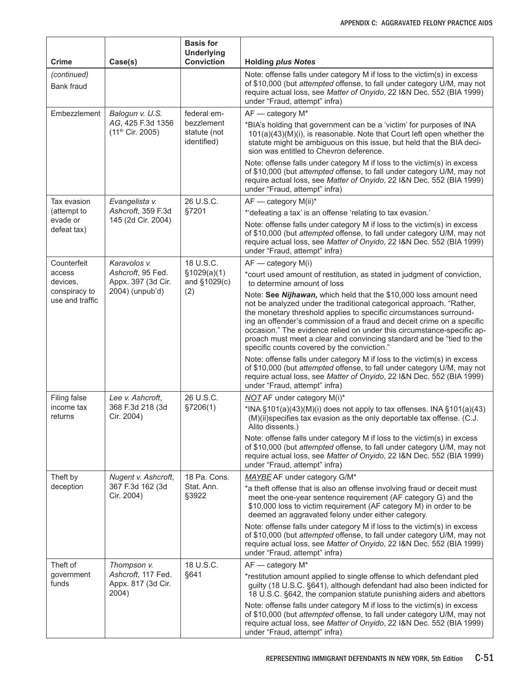| Crime                            | Case(s)                                           | <b>Basis for</b><br><b>Underlying</b><br><b>Conviction</b> | <b>Holding plus Notes</b>                                                                                                                                                                                                                                                                                                                                                                                                                                                                  |
|----------------------------------|---------------------------------------------------|------------------------------------------------------------|--------------------------------------------------------------------------------------------------------------------------------------------------------------------------------------------------------------------------------------------------------------------------------------------------------------------------------------------------------------------------------------------------------------------------------------------------------------------------------------------|
| (continued)<br>Bank fraud        |                                                   |                                                            | Note: offense falls under category M if loss to the victim(s) in excess<br>of \$10,000 (but attempted offense, to fall under category U/M, may not<br>require actual loss, see Matter of Onyido, 22 I&N Dec. 552 (BIA 1999)<br>under "Fraud, attempt" infra)                                                                                                                                                                                                                               |
| Embezzlement                     | Balogun v. U.S.                                   | federal em-                                                | AF - category M*                                                                                                                                                                                                                                                                                                                                                                                                                                                                           |
|                                  | AG, 425 F.3d 1356<br>(11 <sup>th</sup> Cir. 2005) | bezzlement<br>statute (not<br>identified)                  | *BIA's holding that government can be a 'victim' for purposes of INA<br>101(a)(43)(M)(i), is reasonable. Note that Court left open whether the<br>statute might be ambiguous on this issue, but held that the BIA deci-<br>sion was entitled to Chevron deference.                                                                                                                                                                                                                         |
|                                  |                                                   |                                                            | Note: offense falls under category M if loss to the victim(s) in excess<br>of \$10,000 (but attempted offense, to fall under category U/M, may not<br>require actual loss, see Matter of Onyido, 22 I&N Dec. 552 (BIA 1999)<br>under "Fraud, attempt" infra)                                                                                                                                                                                                                               |
| Tax evasion                      | Evangelista v.                                    | 26 U.S.C.                                                  | $AF$ - category $M(ii)^*$                                                                                                                                                                                                                                                                                                                                                                                                                                                                  |
| (attempt to<br>evade or          | Ashcroft, 359 F.3d<br>145 (2d Cir. 2004)          | §7201                                                      | *'defeating a tax' is an offense 'relating to tax evasion.'                                                                                                                                                                                                                                                                                                                                                                                                                                |
| defeat tax)                      |                                                   |                                                            | Note: offense falls under category M if loss to the victim(s) in excess<br>of \$10,000 (but attempted offense, to fall under category U/M, may not<br>require actual loss, see Matter of Onyido, 22 I&N Dec. 552 (BIA 1999)<br>under "Fraud, attempt" infra)                                                                                                                                                                                                                               |
| Counterfeit                      | Karavolos v.                                      | 18 U.S.C.                                                  | $AF - category M(i)$                                                                                                                                                                                                                                                                                                                                                                                                                                                                       |
| access<br>devices,               | Ashcroft, 95 Fed.<br>Appx. 397 (3d Cir.           | \$1029(a)(1)<br>and §1029(c)                               | *court used amount of restitution, as stated in judgment of conviction,<br>to determine amount of loss                                                                                                                                                                                                                                                                                                                                                                                     |
| conspiracy to<br>use and traffic | 2004) (unpub'd)                                   | (2)                                                        | Note: See Nijhawan, which held that the \$10,000 loss amount need<br>not be analyzed under the traditional categorical approach. "Rather,<br>the monetary threshold applies to specific circumstances surround-<br>ing an offender's commission of a fraud and deceit crime on a specific<br>occasion." The evidence relied on under this circumstance-specific ap-<br>proach must meet a clear and convincing standard and be "tied to the<br>specific counts covered by the conviction." |
|                                  |                                                   |                                                            | Note: offense falls under category M if loss to the victim(s) in excess<br>of \$10,000 (but attempted offense, to fall under category U/M, may not<br>require actual loss, see Matter of Onyido, 22 I&N Dec. 552 (BIA 1999)<br>under "Fraud, attempt" infra)                                                                                                                                                                                                                               |
| Filing false                     | Lee v. Ashcroft,                                  | 26 U.S.C.                                                  | NOT AF under category M(i)*                                                                                                                                                                                                                                                                                                                                                                                                                                                                |
| income tax<br>returns            | 368 F.3d 218 (3d<br>Cir. 2004)                    | \$7206(1)                                                  | *INA $\S$ 101(a)(43)(M)(i) does not apply to tax offenses. INA $\S$ 101(a)(43)<br>(M)(ii)specifies tax evasion as the only deportable tax offense. (C.J.<br>Alito dissents.)                                                                                                                                                                                                                                                                                                               |
|                                  |                                                   |                                                            | Note: offense falls under category M if loss to the victim(s) in excess<br>of \$10,000 (but attempted offense, to fall under category U/M, may not<br>require actual loss, see Matter of Onyido, 22 I&N Dec. 552 (BIA 1999)<br>under "Fraud, attempt" infra)                                                                                                                                                                                                                               |
| Theft by                         | Nugent v. Ashcroft,                               | 18 Pa. Cons.                                               | MAYBE AF under category G/M*                                                                                                                                                                                                                                                                                                                                                                                                                                                               |
| deception                        | 367 F.3d 162 (3d<br>Cir. 2004)                    | Stat. Ann.<br>§3922                                        | *a theft offense that is also an offense involving fraud or deceit must<br>meet the one-year sentence requirement (AF category G) and the<br>\$10,000 loss to victim requirement (AF category M) in order to be<br>deemed an aggravated felony under either category.                                                                                                                                                                                                                      |
|                                  |                                                   |                                                            | Note: offense falls under category M if loss to the victim(s) in excess<br>of \$10,000 (but attempted offense, to fall under category U/M, may not<br>require actual loss, see Matter of Onyido, 22 I&N Dec. 552 (BIA 1999)<br>under "Fraud, attempt" infra)                                                                                                                                                                                                                               |
| Theft of                         | Thompson v.                                       | 18 U.S.C.                                                  | AF - category M*                                                                                                                                                                                                                                                                                                                                                                                                                                                                           |
| government<br>funds              | Ashcroft, 117 Fed.<br>Appx. 817 (3d Cir.<br>2004) | §641                                                       | *restitution amount applied to single offense to which defendant pled<br>guilty (18 U.S.C. §641), although defendant had also been indicted for<br>18 U.S.C. §642, the companion statute punishing aiders and abettors                                                                                                                                                                                                                                                                     |
|                                  |                                                   |                                                            | Note: offense falls under category M if loss to the victim(s) in excess<br>of \$10,000 (but attempted offense, to fall under category U/M, may not<br>require actual loss, see Matter of Onyido, 22 I&N Dec. 552 (BIA 1999)<br>under "Fraud, attempt" infra)                                                                                                                                                                                                                               |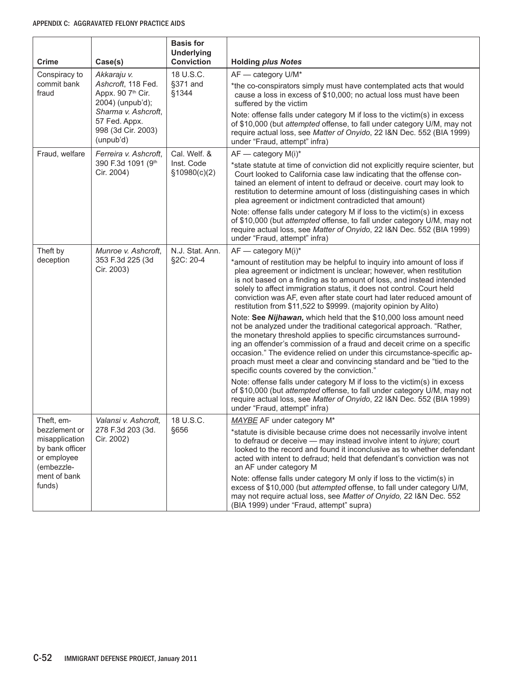| Crime                                                                           | Case(s)                                                                 | <b>Basis for</b><br><b>Underlying</b><br><b>Conviction</b> | <b>Holding plus Notes</b>                                                                                                                                                                                                                                                                                                                                                                                                                                                                  |
|---------------------------------------------------------------------------------|-------------------------------------------------------------------------|------------------------------------------------------------|--------------------------------------------------------------------------------------------------------------------------------------------------------------------------------------------------------------------------------------------------------------------------------------------------------------------------------------------------------------------------------------------------------------------------------------------------------------------------------------------|
| Conspiracy to                                                                   | Akkaraju v.                                                             | 18 U.S.C.                                                  | AF - category U/M*                                                                                                                                                                                                                                                                                                                                                                                                                                                                         |
| commit bank<br>fraud                                                            | Ashcroft, 118 Fed.<br>Appx. 90 7th Cir.<br>2004) (unpub'd);             | §371 and<br>§1344                                          | *the co-conspirators simply must have contemplated acts that would<br>cause a loss in excess of \$10,000; no actual loss must have been<br>suffered by the victim                                                                                                                                                                                                                                                                                                                          |
|                                                                                 | Sharma v. Ashcroft,<br>57 Fed. Appx.<br>998 (3d Cir. 2003)<br>(unpub'd) |                                                            | Note: offense falls under category M if loss to the victim(s) in excess<br>of \$10,000 (but attempted offense, to fall under category U/M, may not<br>require actual loss, see Matter of Onyido, 22 I&N Dec. 552 (BIA 1999)<br>under "Fraud, attempt" infra)                                                                                                                                                                                                                               |
| Fraud, welfare                                                                  | Ferreira v. Ashcroft,                                                   | Cal. Welf. &                                               | $AF$ — category $M(i)^*$                                                                                                                                                                                                                                                                                                                                                                                                                                                                   |
|                                                                                 | 390 F.3d 1091 (9th<br>Cir. 2004)                                        | Inst. Code<br>\$10980(c)(2)                                | *state statute at time of conviction did not explicitly require scienter, but<br>Court looked to California case law indicating that the offense con-<br>tained an element of intent to defraud or deceive. court may look to<br>restitution to determine amount of loss (distinguishing cases in which<br>plea agreement or indictment contradicted that amount)                                                                                                                          |
|                                                                                 |                                                                         |                                                            | Note: offense falls under category M if loss to the victim(s) in excess<br>of \$10,000 (but attempted offense, to fall under category U/M, may not<br>require actual loss, see Matter of Onyido, 22 I&N Dec. 552 (BIA 1999)<br>under "Fraud, attempt" infra)                                                                                                                                                                                                                               |
| Theft by                                                                        | Munroe v. Ashcroft,                                                     | N.J. Stat. Ann.                                            | $AF$ — category $M(i)^*$                                                                                                                                                                                                                                                                                                                                                                                                                                                                   |
| deception                                                                       | 353 F.3d 225 (3d<br>Cir. 2003)                                          | §2C: 20-4                                                  | *amount of restitution may be helpful to inquiry into amount of loss if<br>plea agreement or indictment is unclear; however, when restitution<br>is not based on a finding as to amount of loss, and instead intended<br>solely to affect immigration status, it does not control. Court held<br>conviction was AF, even after state court had later reduced amount of<br>restitution from \$11,522 to \$9999. (majority opinion by Alito)                                                 |
|                                                                                 |                                                                         |                                                            | Note: See Nijhawan, which held that the \$10,000 loss amount need<br>not be analyzed under the traditional categorical approach. "Rather,<br>the monetary threshold applies to specific circumstances surround-<br>ing an offender's commission of a fraud and deceit crime on a specific<br>occasion." The evidence relied on under this circumstance-specific ap-<br>proach must meet a clear and convincing standard and be "tied to the<br>specific counts covered by the conviction." |
|                                                                                 |                                                                         |                                                            | Note: offense falls under category M if loss to the victim(s) in excess<br>of \$10,000 (but attempted offense, to fall under category U/M, may not<br>require actual loss, see Matter of Onyido, 22 I&N Dec. 552 (BIA 1999)<br>under "Fraud, attempt" infra)                                                                                                                                                                                                                               |
| Theft, em-                                                                      | Valansi v. Ashcroft,                                                    | 18 U.S.C.                                                  | MAYBE AF under category M*                                                                                                                                                                                                                                                                                                                                                                                                                                                                 |
| bezzlement or<br>misapplication<br>by bank officer<br>or employee<br>(embezzle- | 278 F.3d 203 (3d.<br>Cir. 2002)                                         | §656                                                       | *statute is divisible because crime does not necessarily involve intent<br>to defraud or deceive - may instead involve intent to <i>injure</i> ; court<br>looked to the record and found it inconclusive as to whether defendant<br>acted with intent to defraud; held that defendant's conviction was not<br>an AF under category M                                                                                                                                                       |
| ment of bank<br>funds)                                                          |                                                                         |                                                            | Note: offense falls under category M only if loss to the victim(s) in<br>excess of \$10,000 (but attempted offense, to fall under category U/M,<br>may not require actual loss, see Matter of Onyido, 22 I&N Dec. 552<br>(BIA 1999) under "Fraud, attempt" supra)                                                                                                                                                                                                                          |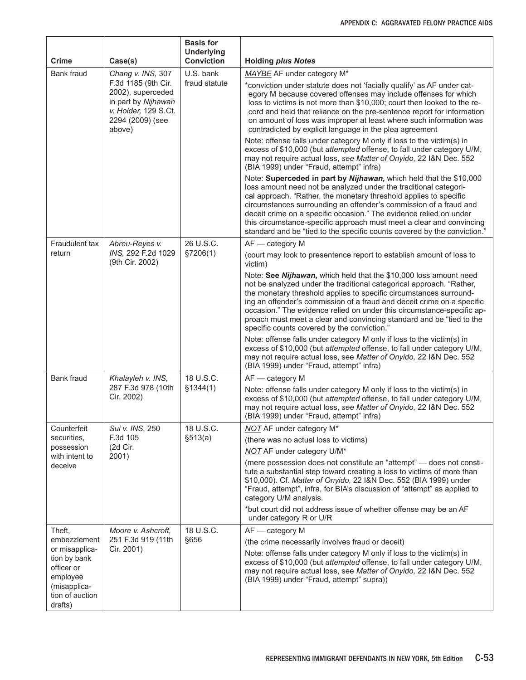| Bank fraud<br>Chang v. INS, 307<br>U.S. bank<br>MAYBE AF under category M*<br>F.3d 1185 (9th Cir.<br>fraud statute<br>2002), superceded<br>in part by Nijhawan<br>v. Holder, 129 S.Ct.<br>2294 (2009) (see<br>contradicted by explicit language in the plea agreement<br>above)<br>Note: offense falls under category M only if loss to the victim(s) in<br>(BIA 1999) under "Fraud, attempt" infra)<br>loss amount need not be analyzed under the traditional categori-<br>cal approach. "Rather, the monetary threshold applies to specific<br>26 U.S.C.<br>AF - category M<br>Fraudulent tax<br>Abreu-Reyes v.<br>INS, 292 F.2d 1029<br>§7206(1)<br>return<br>(9th Cir. 2002)<br>victim)<br>specific counts covered by the conviction."<br>Note: offense falls under category M only if loss to the victim(s) in | Crime | Case(s) | <b>Basis for</b><br><b>Underlying</b><br><b>Conviction</b> | <b>Holding plus Notes</b>                                                                                                                                                                                                                                                                                                                                                                                                                   |
|---------------------------------------------------------------------------------------------------------------------------------------------------------------------------------------------------------------------------------------------------------------------------------------------------------------------------------------------------------------------------------------------------------------------------------------------------------------------------------------------------------------------------------------------------------------------------------------------------------------------------------------------------------------------------------------------------------------------------------------------------------------------------------------------------------------------|-------|---------|------------------------------------------------------------|---------------------------------------------------------------------------------------------------------------------------------------------------------------------------------------------------------------------------------------------------------------------------------------------------------------------------------------------------------------------------------------------------------------------------------------------|
|                                                                                                                                                                                                                                                                                                                                                                                                                                                                                                                                                                                                                                                                                                                                                                                                                     |       |         |                                                            |                                                                                                                                                                                                                                                                                                                                                                                                                                             |
|                                                                                                                                                                                                                                                                                                                                                                                                                                                                                                                                                                                                                                                                                                                                                                                                                     |       |         |                                                            | *conviction under statute does not 'facially qualify' as AF under cat-<br>egory M because covered offenses may include offenses for which<br>loss to victims is not more than \$10,000; court then looked to the re-<br>cord and held that reliance on the pre-sentence report for information<br>on amount of loss was improper at least where such information was                                                                        |
|                                                                                                                                                                                                                                                                                                                                                                                                                                                                                                                                                                                                                                                                                                                                                                                                                     |       |         |                                                            | excess of \$10,000 (but attempted offense, to fall under category U/M,<br>may not require actual loss, see Matter of Onyido, 22 I&N Dec. 552                                                                                                                                                                                                                                                                                                |
|                                                                                                                                                                                                                                                                                                                                                                                                                                                                                                                                                                                                                                                                                                                                                                                                                     |       |         |                                                            | Note: Superceded in part by Nijhawan, which held that the \$10,000<br>circumstances surrounding an offender's commission of a fraud and<br>deceit crime on a specific occasion." The evidence relied on under<br>this circumstance-specific approach must meet a clear and convincing<br>standard and be "tied to the specific counts covered by the conviction."                                                                           |
|                                                                                                                                                                                                                                                                                                                                                                                                                                                                                                                                                                                                                                                                                                                                                                                                                     |       |         |                                                            |                                                                                                                                                                                                                                                                                                                                                                                                                                             |
|                                                                                                                                                                                                                                                                                                                                                                                                                                                                                                                                                                                                                                                                                                                                                                                                                     |       |         |                                                            | (court may look to presentence report to establish amount of loss to                                                                                                                                                                                                                                                                                                                                                                        |
|                                                                                                                                                                                                                                                                                                                                                                                                                                                                                                                                                                                                                                                                                                                                                                                                                     |       |         |                                                            | Note: See Nijhawan, which held that the \$10,000 loss amount need<br>not be analyzed under the traditional categorical approach. "Rather,<br>the monetary threshold applies to specific circumstances surround-<br>ing an offender's commission of a fraud and deceit crime on a specific<br>occasion." The evidence relied on under this circumstance-specific ap-<br>proach must meet a clear and convincing standard and be "tied to the |
| (BIA 1999) under "Fraud, attempt" infra)                                                                                                                                                                                                                                                                                                                                                                                                                                                                                                                                                                                                                                                                                                                                                                            |       |         |                                                            | excess of \$10,000 (but attempted offense, to fall under category U/M,<br>may not require actual loss, see Matter of Onyido, 22 I&N Dec. 552                                                                                                                                                                                                                                                                                                |
| 18 U.S.C.<br>Bank fraud<br>Khalayleh v. INS,<br>AF - category M                                                                                                                                                                                                                                                                                                                                                                                                                                                                                                                                                                                                                                                                                                                                                     |       |         |                                                            |                                                                                                                                                                                                                                                                                                                                                                                                                                             |
| 287 F.3d 978 (10th<br>\$1344(1)<br>Note: offense falls under category M only if loss to the victim(s) in<br>Cir. 2002)<br>(BIA 1999) under "Fraud, attempt" infra)                                                                                                                                                                                                                                                                                                                                                                                                                                                                                                                                                                                                                                                  |       |         |                                                            | excess of \$10,000 (but attempted offense, to fall under category U/M,<br>may not require actual loss, see Matter of Onyido, 22 I&N Dec. 552                                                                                                                                                                                                                                                                                                |
| 18 U.S.C.<br>Counterfeit<br>Sui v. INS, 250<br><b>NOT AF under category M*</b>                                                                                                                                                                                                                                                                                                                                                                                                                                                                                                                                                                                                                                                                                                                                      |       |         |                                                            |                                                                                                                                                                                                                                                                                                                                                                                                                                             |
| securities,<br>F.3d 105<br>(there was no actual loss to victims)<br>(2d Cir.<br>possession                                                                                                                                                                                                                                                                                                                                                                                                                                                                                                                                                                                                                                                                                                                          |       |         | \$513(a)                                                   |                                                                                                                                                                                                                                                                                                                                                                                                                                             |
| <b>NOT AF under category U/M*</b><br>with intent to<br>2001)                                                                                                                                                                                                                                                                                                                                                                                                                                                                                                                                                                                                                                                                                                                                                        |       |         |                                                            |                                                                                                                                                                                                                                                                                                                                                                                                                                             |
| deceive<br>category U/M analysis.                                                                                                                                                                                                                                                                                                                                                                                                                                                                                                                                                                                                                                                                                                                                                                                   |       |         |                                                            | (mere possession does not constitute an "attempt" – does not consti-<br>tute a substantial step toward creating a loss to victims of more than<br>\$10,000). Cf. Matter of Onyido, 22 I&N Dec. 552 (BIA 1999) under<br>"Fraud, attempt", infra, for BIA's discussion of "attempt" as applied to                                                                                                                                             |
| under category R or U/R                                                                                                                                                                                                                                                                                                                                                                                                                                                                                                                                                                                                                                                                                                                                                                                             |       |         |                                                            | *but court did not address issue of whether offense may be an AF                                                                                                                                                                                                                                                                                                                                                                            |
| 18 U.S.C.<br>Moore v. Ashcroft.<br>AF - category M<br>Theft,                                                                                                                                                                                                                                                                                                                                                                                                                                                                                                                                                                                                                                                                                                                                                        |       |         |                                                            |                                                                                                                                                                                                                                                                                                                                                                                                                                             |
| embezzlement<br>251 F.3d 919 (11th<br>§656<br>(the crime necessarily involves fraud or deceit)<br>or misapplica-<br>Cir. 2001)                                                                                                                                                                                                                                                                                                                                                                                                                                                                                                                                                                                                                                                                                      |       |         |                                                            |                                                                                                                                                                                                                                                                                                                                                                                                                                             |
| Note: offense falls under category M only if loss to the victim(s) in<br>tion by bank<br>officer or<br>employee<br>(BIA 1999) under "Fraud, attempt" supra))<br>(misapplica-<br>tion of auction<br>drafts)                                                                                                                                                                                                                                                                                                                                                                                                                                                                                                                                                                                                          |       |         |                                                            | excess of \$10,000 (but attempted offense, to fall under category U/M,<br>may not require actual loss, see Matter of Onyido, 22 I&N Dec. 552                                                                                                                                                                                                                                                                                                |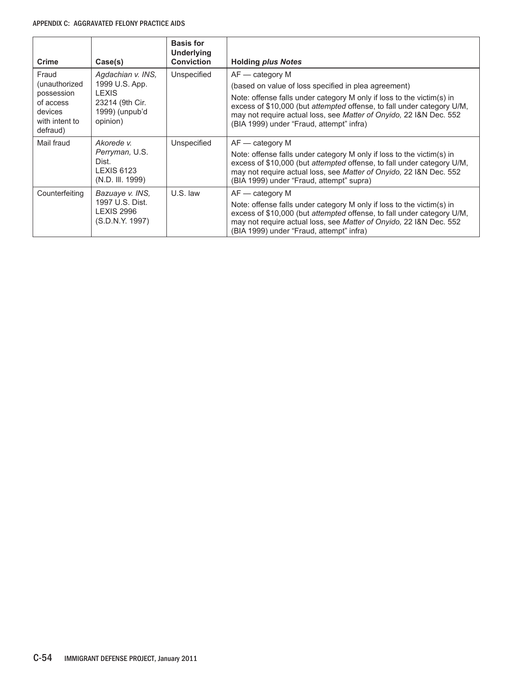#### APPENDIX C: Aggravated Felony Practice Aids

| <b>Crime</b>                                                                               | Case(s)                                                                                              | <b>Basis for</b><br><b>Underlying</b><br><b>Conviction</b> | <b>Holding plus Notes</b>                                                                                                                                                                                                                                                                                                                      |
|--------------------------------------------------------------------------------------------|------------------------------------------------------------------------------------------------------|------------------------------------------------------------|------------------------------------------------------------------------------------------------------------------------------------------------------------------------------------------------------------------------------------------------------------------------------------------------------------------------------------------------|
| Fraud<br>(unauthorized<br>possession<br>of access<br>devices<br>with intent to<br>defraud) | Agdachian v. INS,<br>1999 U.S. App.<br><b>LEXIS</b><br>23214 (9th Cir.<br>1999) (unpub'd<br>opinion) | Unspecified                                                | $AF - category M$<br>(based on value of loss specified in plea agreement)<br>Note: offense falls under category M only if loss to the victim(s) in<br>excess of \$10,000 (but attempted offense, to fall under category U/M,<br>may not require actual loss, see Matter of Onyido, 22 I&N Dec. 552<br>(BIA 1999) under "Fraud, attempt" infra) |
| Mail fraud                                                                                 | Akorede v.<br>Perryman, U.S.<br>Dist.<br><b>LEXIS 6123</b><br>(N.D. III. 1999)                       | Unspecified                                                | $AF - category M$<br>Note: offense falls under category M only if loss to the victim(s) in<br>excess of \$10,000 (but attempted offense, to fall under category U/M,<br>may not require actual loss, see Matter of Onyido, 22 I&N Dec. 552<br>(BIA 1999) under "Fraud, attempt" supra)                                                         |
| Counterfeiting                                                                             | Bazuaye v. INS,<br>1997 U.S. Dist.<br><b>LEXIS 2996</b><br>(S.D.N.Y. 1997)                           | U.S. law                                                   | $AF - category M$<br>Note: offense falls under category M only if loss to the victim(s) in<br>excess of \$10,000 (but attempted offense, to fall under category U/M,<br>may not require actual loss, see Matter of Onyido, 22 I&N Dec. 552<br>(BIA 1999) under "Fraud, attempt" infra)                                                         |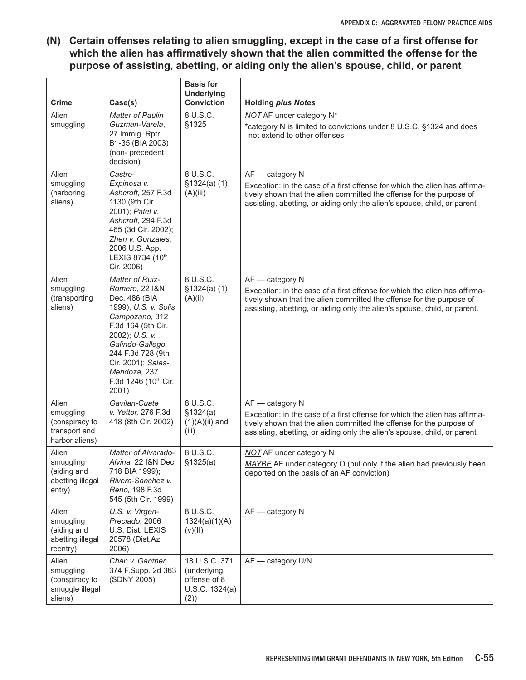**(N) Certain offenses relating to alien smuggling, except in the case of a first offense for which the alien has affirmatively shown that the alien committed the offense for the purpose of assisting, abetting, or aiding only the alien's spouse, child, or parent**

| Crime                                                                   | Case(s)                                                                                                                                                                                                                                                     | <b>Basis for</b><br><b>Underlying</b><br><b>Conviction</b>            | <b>Holding plus Notes</b>                                                                                                                                                                                                                            |
|-------------------------------------------------------------------------|-------------------------------------------------------------------------------------------------------------------------------------------------------------------------------------------------------------------------------------------------------------|-----------------------------------------------------------------------|------------------------------------------------------------------------------------------------------------------------------------------------------------------------------------------------------------------------------------------------------|
| Alien<br>smuggling                                                      | <b>Matter of Paulin</b><br>Guzman-Varela,<br>27 Immig. Rptr.<br>B1-35 (BIA 2003)<br>(non-precedent<br>decision)                                                                                                                                             | 8 U.S.C.<br>§1325                                                     | <b>NOT</b> AF under category N <sup>*</sup><br>*category N is limited to convictions under 8 U.S.C. §1324 and does<br>not extend to other offenses                                                                                                   |
| Alien<br>smuggling<br>(harboring<br>aliens)                             | Castro-<br>Expinosa v.<br>Ashcroft, 257 F.3d<br>1130 (9th Cir.<br>2001); Patel v.<br>Ashcroft, 294 F.3d<br>465 (3d Cir. 2002);<br>Zhen v. Gonzales,<br>2006 U.S. App.<br>LEXIS 8734 (10th<br>Cir. 2006)                                                     | 8 U.S.C.<br>\$1324(a) (1)<br>(A)(iii)                                 | AF - category N<br>Exception: in the case of a first offense for which the alien has affirma-<br>tively shown that the alien committed the offense for the purpose of<br>assisting, abetting, or aiding only the alien's spouse, child, or parent    |
| Alien<br>smuggling<br>(transporting<br>aliens)                          | <b>Matter of Ruiz-</b><br>Romero, 22 I&N<br>Dec. 486 (BIA<br>1999); U.S. v. Solis<br>Campozano, 312<br>F.3d 164 (5th Cir.<br>2002); U.S. v.<br>Galindo-Gallego,<br>244 F.3d 728 (9th<br>Cir. 2001); Salas-<br>Mendoza, 237<br>F.3d 1246 (10th Cir.<br>2001) | 8 U.S.C.<br>\$1324(a) (1)<br>(A)(ii)                                  | $AF - category N$<br>Exception: in the case of a first offense for which the alien has affirma-<br>tively shown that the alien committed the offense for the purpose of<br>assisting, abetting, or aiding only the alien's spouse, child, or parent. |
| Alien<br>smuggling<br>(conspiracy to<br>transport and<br>harbor aliens) | Gavilan-Cuate<br>v. Yetter, 276 F.3d<br>418 (8th Cir. 2002)                                                                                                                                                                                                 | 8 U.S.C.<br>\$1324(a)<br>$(1)(A)(ii)$ and<br>(iii)                    | AF - category N<br>Exception: in the case of a first offense for which the alien has affirma-<br>tively shown that the alien committed the offense for the purpose of<br>assisting, abetting, or aiding only the alien's spouse, child, or parent    |
| Alien<br>smuggling<br>(aiding and<br>abetting illegal<br>entry)         | Matter of Alvarado-<br>Alvina, 22 I&N Dec.<br>718 BIA 1999);<br>Rivera-Sanchez v.<br>Reno, 198 F.3d<br>545 (5th Cir. 1999)                                                                                                                                  | 8 U.S.C.<br>\$1325(a)                                                 | <b>NOT</b> AF under category N<br>MAYBE AF under category O (but only if the alien had previously been<br>deported on the basis of an AF conviction)                                                                                                 |
| Alien<br>smuggling<br>(aiding and<br>abetting illegal<br>reentry)       | U.S. v. Virgen-<br>Preciado, 2006<br>U.S. Dist. LEXIS<br>20578 (Dist.Az<br>2006)                                                                                                                                                                            | 8 U.S.C.<br>1324(a)(1)(A)<br>(V)(II)                                  | AF - category N                                                                                                                                                                                                                                      |
| Alien<br>smuggling<br>(conspiracy to<br>smuggle illegal<br>aliens)      | Chan v. Gantner,<br>374 F.Supp. 2d 363<br>(SDNY 2005)                                                                                                                                                                                                       | 18 U.S.C. 371<br>(underlying<br>offense of 8<br>U.S.C. 1324(a)<br>(2) | AF - category U/N                                                                                                                                                                                                                                    |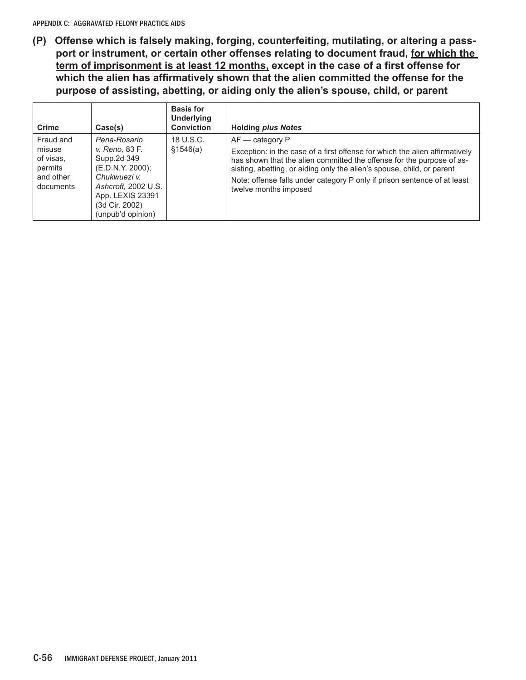**(P) Offense which is falsely making, forging, counterfeiting, mutilating, or altering a passport or instrument, or certain other offenses relating to document fraud, for which the term of imprisonment is at least 12 months, except in the case of a first offense for which the alien has affirmatively shown that the alien committed the offense for the purpose of assisting, abetting, or aiding only the alien's spouse, child, or parent**

| Crime                                                                 | Case(s)                                                                                                                                                             | <b>Basis for</b><br><b>Underlying</b><br><b>Conviction</b> | <b>Holding plus Notes</b>                                                                                                                                                                                                                                                                                                                                |
|-----------------------------------------------------------------------|---------------------------------------------------------------------------------------------------------------------------------------------------------------------|------------------------------------------------------------|----------------------------------------------------------------------------------------------------------------------------------------------------------------------------------------------------------------------------------------------------------------------------------------------------------------------------------------------------------|
| Fraud and<br>misuse<br>of visas.<br>permits<br>and other<br>documents | Pena-Rosario<br>v. Reno, 83 F.<br>Supp.2d 349<br>(E.D.N.Y. 2000);<br>Chukwuezi v.<br>Ashcroft, 2002 U.S.<br>App. LEXIS 23391<br>(3d Cir. 2002)<br>(unpub'd opinion) | 18 U.S.C.<br>\$1546(a)                                     | $AF - category P$<br>Exception: in the case of a first offense for which the alien affirmatively<br>has shown that the alien committed the offense for the purpose of as-<br>sisting, abetting, or aiding only the alien's spouse, child, or parent<br>Note: offense falls under category P only if prison sentence of at least<br>twelve months imposed |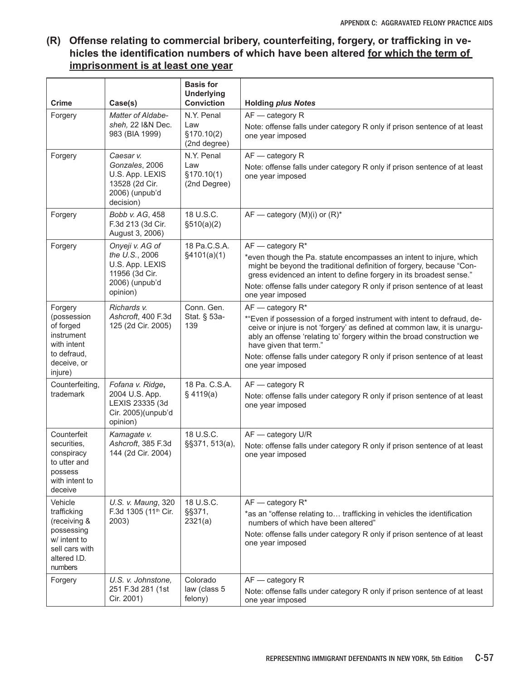### **(R) Offense relating to commercial bribery, counterfeiting, forgery, or trafficking in vehicles the identification numbers of which have been altered for which the term of imprisonment is at least one year**

| <b>Crime</b>                                                                                                      | Case(s)                                                                                              | <b>Basis for</b><br><b>Underlying</b><br><b>Conviction</b> | <b>Holding plus Notes</b>                                                                                                                                                                                                                                                                                                                                                      |
|-------------------------------------------------------------------------------------------------------------------|------------------------------------------------------------------------------------------------------|------------------------------------------------------------|--------------------------------------------------------------------------------------------------------------------------------------------------------------------------------------------------------------------------------------------------------------------------------------------------------------------------------------------------------------------------------|
| Forgery                                                                                                           | Matter of Aldabe-<br>sheh, 22 I&N Dec.<br>983 (BIA 1999)                                             | N.Y. Penal<br>Law<br>§170.10(2)<br>(2nd degree)            | $AF - category R$<br>Note: offense falls under category R only if prison sentence of at least<br>one year imposed                                                                                                                                                                                                                                                              |
| Forgery                                                                                                           | Caesar v.<br>Gonzales, 2006<br>U.S. App. LEXIS<br>13528 (2d Cir.<br>2006) (unpub'd<br>decision)      | N.Y. Penal<br>Law<br>§170.10(1)<br>(2nd Degree)            | AF - category R<br>Note: offense falls under category R only if prison sentence of at least<br>one year imposed                                                                                                                                                                                                                                                                |
| Forgery                                                                                                           | Bobb v. AG, 458<br>F.3d 213 (3d Cir.<br>August 3, 2006)                                              | 18 U.S.C.<br>\$510(a)(2)                                   | $AF$ — category (M)(i) or $(R)^*$                                                                                                                                                                                                                                                                                                                                              |
| Forgery                                                                                                           | Onyeji v. AG of<br>the U.S., 2006<br>U.S. App. LEXIS<br>11956 (3d Cir.<br>2006) (unpub'd<br>opinion) | 18 Pa.C.S.A.<br>§4101(a)(1)                                | $AF - category R*$<br>*even though the Pa. statute encompasses an intent to injure, which<br>might be beyond the traditional definition of forgery, because "Con-<br>gress evidenced an intent to define forgery in its broadest sense."<br>Note: offense falls under category R only if prison sentence of at least<br>one year imposed                                       |
| Forgery<br>(possession<br>of forged<br>instrument<br>with intent<br>to defraud.<br>deceive, or<br>injure)         | Richards v.<br>Ashcroft, 400 F.3d<br>125 (2d Cir. 2005)                                              | Conn. Gen.<br>Stat. § 53a-<br>139                          | $AF - category R^*$<br>*"Even if possession of a forged instrument with intent to defraud, de-<br>ceive or injure is not 'forgery' as defined at common law, it is unargu-<br>ably an offense 'relating to' forgery within the broad construction we<br>have given that term."<br>Note: offense falls under category R only if prison sentence of at least<br>one year imposed |
| Counterfeiting,<br>trademark                                                                                      | Fofana v. Ridge,<br>2004 U.S. App.<br>LEXIS 23335 (3d<br>Cir. 2005)(unpub'd<br>opinion)              | 18 Pa. C.S.A.<br>\$4119(a)                                 | $AF - category R$<br>Note: offense falls under category R only if prison sentence of at least<br>one year imposed                                                                                                                                                                                                                                                              |
| Counterfeit<br>securities,<br>conspiracy<br>to utter and<br>possess<br>with intent to<br>deceive                  | Kamagate v.<br>Ashcroft, 385 F.3d<br>144 (2d Cir. 2004)                                              | 18 U.S.C.<br>§§371, 513(a),                                | AF - category U/R<br>Note: offense falls under category R only if prison sentence of at least<br>one year imposed                                                                                                                                                                                                                                                              |
| Vehicle<br>trafficking<br>(receiving &<br>possessing<br>w/ intent to<br>sell cars with<br>altered I.D.<br>numbers | U.S. v. Maung, 320<br>F.3d 1305 (11th Cir.<br>2003)                                                  | 18 U.S.C.<br>§§371,<br>2321(a)                             | $AF - category R*$<br>*as an "offense relating to trafficking in vehicles the identification<br>numbers of which have been altered"<br>Note: offense falls under category R only if prison sentence of at least<br>one year imposed                                                                                                                                            |
| Forgery                                                                                                           | U.S. v. Johnstone,<br>251 F.3d 281 (1st<br>Cir. 2001)                                                | Colorado<br>law (class 5<br>felony)                        | AF - category R<br>Note: offense falls under category R only if prison sentence of at least<br>one year imposed                                                                                                                                                                                                                                                                |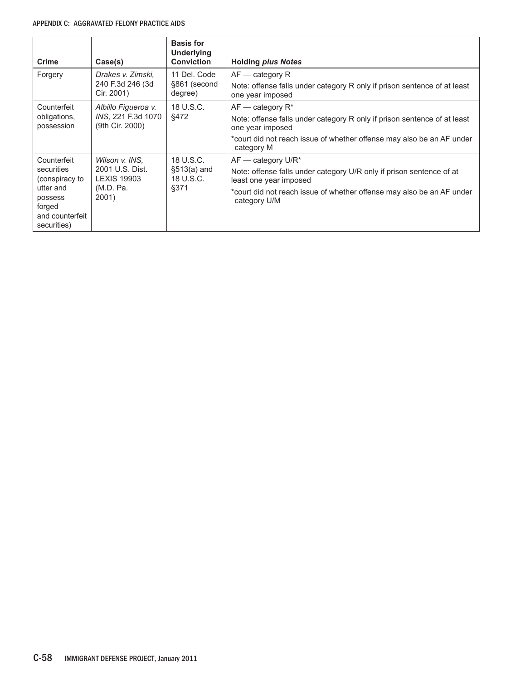#### APPENDIX C: Aggravated Felony Practice Aids

| <b>Crime</b>                                                                                                    | Case(s)                                                                       | <b>Basis for</b><br><b>Underlying</b><br><b>Conviction</b> | <b>Holding plus Notes</b>                                                                                                                                                                                       |
|-----------------------------------------------------------------------------------------------------------------|-------------------------------------------------------------------------------|------------------------------------------------------------|-----------------------------------------------------------------------------------------------------------------------------------------------------------------------------------------------------------------|
| Forgery                                                                                                         | Drakes v. Zimski.<br>240 F.3d 246 (3d<br>Cir. 2001)                           | 11 Del. Code<br>§861 (second<br>degree)                    | $AF - category R$<br>Note: offense falls under category R only if prison sentence of at least<br>one year imposed                                                                                               |
| Counterfeit<br>obligations,<br>possession                                                                       | Albillo Figueroa v.<br>INS, 221 F.3d 1070<br>(9th Cir. 2000)                  | 18 U.S.C.<br>§472                                          | $AF -$ category $R^*$<br>Note: offense falls under category R only if prison sentence of at least<br>one year imposed<br>*court did not reach issue of whether offense may also be an AF under<br>category M    |
| Counterfeit<br>securities<br>(conspiracy to<br>utter and<br>possess<br>forged<br>and counterfeit<br>securities) | Wilson v. INS.<br>2001 U.S. Dist.<br><b>LEXIS 19903</b><br>(M.D. Pa.<br>2001) | 18 U.S.C.<br>$$513(a)$ and<br>18 U.S.C.<br>§371            | $AF$ - category U/R*<br>Note: offense falls under category U/R only if prison sentence of at<br>least one year imposed<br>*court did not reach issue of whether offense may also be an AF under<br>category U/M |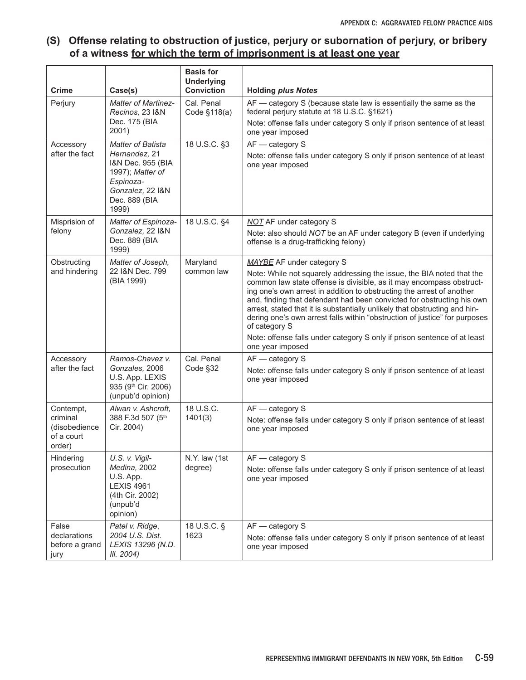## **(S) Offense relating to obstruction of justice, perjury or subornation of perjury, or bribery of a witness for which the term of imprisonment is at least one year**

| <b>Crime</b>                                                   | Case(s)                                                                                                                                       | <b>Basis for</b><br><b>Underlying</b><br><b>Conviction</b> | <b>Holding plus Notes</b>                                                                                                                                                                                                                                                                                                                                                                                                                                                                                                                                                                                  |
|----------------------------------------------------------------|-----------------------------------------------------------------------------------------------------------------------------------------------|------------------------------------------------------------|------------------------------------------------------------------------------------------------------------------------------------------------------------------------------------------------------------------------------------------------------------------------------------------------------------------------------------------------------------------------------------------------------------------------------------------------------------------------------------------------------------------------------------------------------------------------------------------------------------|
| Perjury                                                        | <b>Matter of Martinez-</b><br>Recinos, 23 I&N<br>Dec. 175 (BIA<br>2001)                                                                       | Cal. Penal<br>Code §118(a)                                 | AF - category S (because state law is essentially the same as the<br>federal perjury statute at 18 U.S.C. §1621)<br>Note: offense falls under category S only if prison sentence of at least<br>one year imposed                                                                                                                                                                                                                                                                                                                                                                                           |
| Accessory<br>after the fact                                    | <b>Matter of Batista</b><br>Hernandez, 21<br>I&N Dec. 955 (BIA<br>1997); Matter of<br>Espinoza-<br>Gonzalez, 22 I&N<br>Dec. 889 (BIA<br>1999) | 18 U.S.C. §3                                               | AF - category S<br>Note: offense falls under category S only if prison sentence of at least<br>one year imposed                                                                                                                                                                                                                                                                                                                                                                                                                                                                                            |
| Misprision of<br>felony                                        | Matter of Espinoza-<br>Gonzalez, 22 I&N<br>Dec. 889 (BIA<br>1999)                                                                             | 18 U.S.C. §4                                               | <b>NOT AF under category S</b><br>Note: also should NOT be an AF under category B (even if underlying<br>offense is a drug-trafficking felony)                                                                                                                                                                                                                                                                                                                                                                                                                                                             |
| Obstructing<br>and hindering                                   | Matter of Joseph,<br>22 I&N Dec. 799<br>(BIA 1999)                                                                                            | Maryland<br>common law                                     | MAYBE AF under category S<br>Note: While not squarely addressing the issue, the BIA noted that the<br>common law state offense is divisible, as it may encompass obstruct-<br>ing one's own arrest in addition to obstructing the arrest of another<br>and, finding that defendant had been convicted for obstructing his own<br>arrest, stated that it is substantially unlikely that obstructing and hin-<br>dering one's own arrest falls within "obstruction of justice" for purposes<br>of category S<br>Note: offense falls under category S only if prison sentence of at least<br>one year imposed |
| Accessory<br>after the fact                                    | Ramos-Chavez v.<br>Gonzales, 2006<br>U.S. App. LEXIS<br>935 (9th Cir. 2006)<br>(unpub'd opinion)                                              | Cal. Penal<br>Code §32                                     | AF - category S<br>Note: offense falls under category S only if prison sentence of at least<br>one year imposed                                                                                                                                                                                                                                                                                                                                                                                                                                                                                            |
| Contempt,<br>criminal<br>(disobedience<br>of a court<br>order) | Alwan v. Ashcroft,<br>388 F.3d 507 (5th<br>Cir. 2004)                                                                                         | 18 U.S.C.<br>1401(3)                                       | $AF - category S$<br>Note: offense falls under category S only if prison sentence of at least<br>one year imposed                                                                                                                                                                                                                                                                                                                                                                                                                                                                                          |
| Hindering<br>prosecution                                       | U.S. v. Vigil-<br>Medina, 2002<br>U.S. App.<br><b>LEXIS 4961</b><br>(4th Cir. 2002)<br>(unpub'd<br>opinion)                                   | N.Y. law (1st<br>degree)                                   | AF - category S<br>Note: offense falls under category S only if prison sentence of at least<br>one year imposed                                                                                                                                                                                                                                                                                                                                                                                                                                                                                            |
| False<br>declarations<br>before a grand<br>jury                | Patel v. Ridge,<br>2004 U.S. Dist.<br>LEXIS 13296 (N.D.<br>III. 2004)                                                                         | 18 U.S.C. §<br>1623                                        | $AF - category S$<br>Note: offense falls under category S only if prison sentence of at least<br>one year imposed                                                                                                                                                                                                                                                                                                                                                                                                                                                                                          |